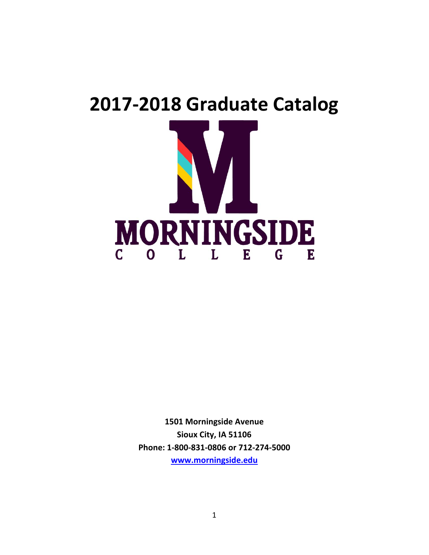# **2017-2018 Graduate Catalog MORNINGSIDE**  $\overline{C}$ L E L  $\mathbf{G}$  $\Omega$ E

**1501 Morningside Avenue Sioux City, IA 51106 Phone: 1-800-831-0806 or 712-274-5000 [www.morningside.edu](http://www.morningside.edu/)**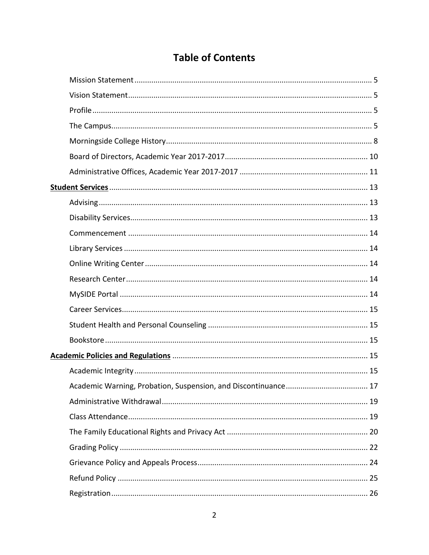## **Table of Contents**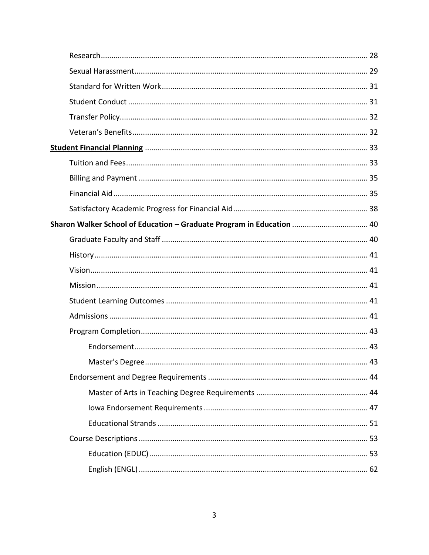| Sharon Walker School of Education - Graduate Program in Education  40 |  |
|-----------------------------------------------------------------------|--|
|                                                                       |  |
|                                                                       |  |
|                                                                       |  |
|                                                                       |  |
|                                                                       |  |
|                                                                       |  |
|                                                                       |  |
|                                                                       |  |
| Master's Degree<br>. 43                                               |  |
|                                                                       |  |
|                                                                       |  |
|                                                                       |  |
|                                                                       |  |
|                                                                       |  |
|                                                                       |  |
|                                                                       |  |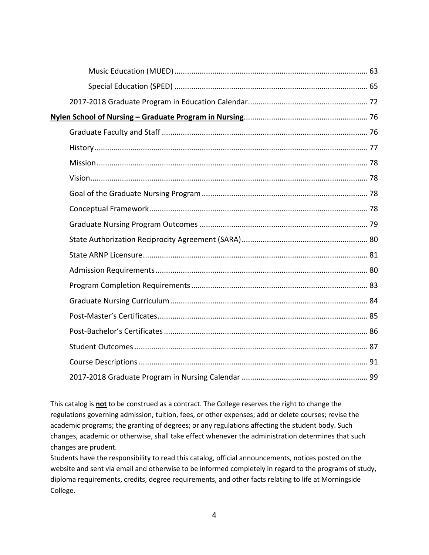This catalog is **not** to be construed as a contract. The College reserves the right to change the regulations governing admission, tuition, fees, or other expenses; add or delete courses; revise the academic programs; the granting of degrees; or any regulations affecting the student body. Such changes, academic or otherwise, shall take effect whenever the administration determines that such changes are prudent.

Students have the responsibility to read this catalog, official announcements, notices posted on the website and sent via email and otherwise to be informed completely in regard to the programs of study, diploma requirements, credits, degree requirements, and other facts relating to life at Morningside College.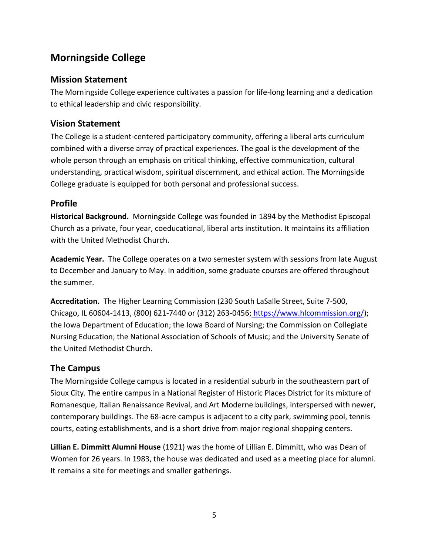## **Morningside College**

## **Mission Statement**

The Morningside College experience cultivates a passion for life-long learning and a dedication to ethical leadership and civic responsibility.

## **Vision Statement**

The College is a student-centered participatory community, offering a liberal arts curriculum combined with a diverse array of practical experiences. The goal is the development of the whole person through an emphasis on critical thinking, effective communication, cultural understanding, practical wisdom, spiritual discernment, and ethical action. The Morningside College graduate is equipped for both personal and professional success.

## **Profile**

**Historical Background.** Morningside College was founded in 1894 by the Methodist Episcopal Church as a private, four year, coeducational, liberal arts institution. It maintains its affiliation with the United Methodist Church.

**Academic Year.** The College operates on a two semester system with sessions from late August to December and January to May. In addition, some graduate courses are offered throughout the summer.

**Accreditation.** The Higher Learning Commission (230 South LaSalle Street, Suite 7-500, Chicago, IL 60604-1413, (800) 621-7440 or (312) 263-0456; https://www.hlcommission.org/); the Iowa Department of Education; the Iowa Board of Nursing; the Commission on Collegiate Nursing Education; the National Association of Schools of Music; and the University Senate of the United Methodist Church.

## **The Campus**

The Morningside College campus is located in a residential suburb in the southeastern part of Sioux City. The entire campus in a National Register of Historic Places District for its mixture of Romanesque, Italian Renaissance Revival, and Art Moderne buildings, interspersed with newer, contemporary buildings. The 68-acre campus is adjacent to a city park, swimming pool, tennis courts, eating establishments, and is a short drive from major regional shopping centers.

**Lillian E. Dimmitt Alumni House** (1921) was the home of Lillian E. Dimmitt, who was Dean of Women for 26 years. In 1983, the house was dedicated and used as a meeting place for alumni. It remains a site for meetings and smaller gatherings.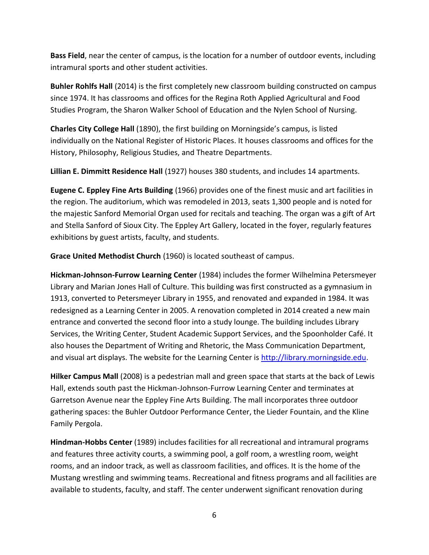**Bass Field**, near the center of campus, is the location for a number of outdoor events, including intramural sports and other student activities.

**Buhler Rohlfs Hall** (2014) is the first completely new classroom building constructed on campus since 1974. It has classrooms and offices for the Regina Roth Applied Agricultural and Food Studies Program, the Sharon Walker School of Education and the Nylen School of Nursing.

**Charles City College Hall** (1890), the first building on Morningside's campus, is listed individually on the National Register of Historic Places. It houses classrooms and offices for the History, Philosophy, Religious Studies, and Theatre Departments.

**Lillian E. Dimmitt Residence Hall** (1927) houses 380 students, and includes 14 apartments.

**Eugene C. Eppley Fine Arts Building** (1966) provides one of the finest music and art facilities in the region. The auditorium, which was remodeled in 2013, seats 1,300 people and is noted for the majestic Sanford Memorial Organ used for recitals and teaching. The organ was a gift of Art and Stella Sanford of Sioux City. The Eppley Art Gallery, located in the foyer, regularly features exhibitions by guest artists, faculty, and students.

**Grace United Methodist Church** (1960) is located southeast of campus.

**Hickman-Johnson-Furrow Learning Center** (1984) includes the former Wilhelmina Petersmeyer Library and Marian Jones Hall of Culture. This building was first constructed as a gymnasium in 1913, converted to Petersmeyer Library in 1955, and renovated and expanded in 1984. It was redesigned as a Learning Center in 2005. A renovation completed in 2014 created a new main entrance and converted the second floor into a study lounge. The building includes Library Services, the Writing Center, Student Academic Support Services, and the Spoonholder Café. It also houses the Department of Writing and Rhetoric, the Mass Communication Department, and visual art displays. The website for the Learning Center is [http://library.morningside.edu.](http://library.morningside.edu/)

**Hilker Campus Mall** (2008) is a pedestrian mall and green space that starts at the back of Lewis Hall, extends south past the Hickman-Johnson-Furrow Learning Center and terminates at Garretson Avenue near the Eppley Fine Arts Building. The mall incorporates three outdoor gathering spaces: the Buhler Outdoor Performance Center, the Lieder Fountain, and the Kline Family Pergola.

**Hindman-Hobbs Center** (1989) includes facilities for all recreational and intramural programs and features three activity courts, a swimming pool, a golf room, a wrestling room, weight rooms, and an indoor track, as well as classroom facilities, and offices. It is the home of the Mustang wrestling and swimming teams. Recreational and fitness programs and all facilities are available to students, faculty, and staff. The center underwent significant renovation during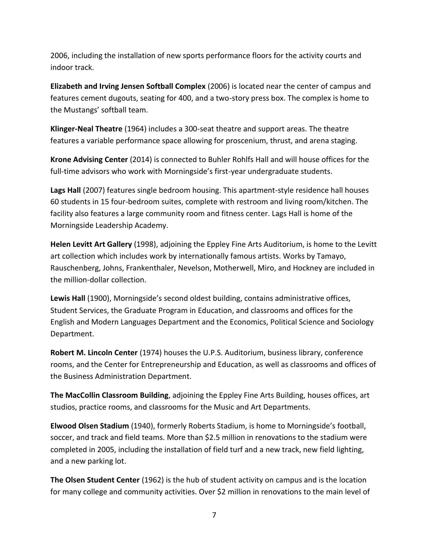2006, including the installation of new sports performance floors for the activity courts and indoor track.

**Elizabeth and Irving Jensen Softball Complex** (2006) is located near the center of campus and features cement dugouts, seating for 400, and a two-story press box. The complex is home to the Mustangs' softball team.

**Klinger-Neal Theatre** (1964) includes a 300-seat theatre and support areas. The theatre features a variable performance space allowing for proscenium, thrust, and arena staging.

**Krone Advising Center** (2014) is connected to Buhler Rohlfs Hall and will house offices for the full-time advisors who work with Morningside's first-year undergraduate students.

**Lags Hall** (2007) features single bedroom housing. This apartment-style residence hall houses 60 students in 15 four-bedroom suites, complete with restroom and living room/kitchen. The facility also features a large community room and fitness center. Lags Hall is home of the Morningside Leadership Academy.

**Helen Levitt Art Gallery** (1998), adjoining the Eppley Fine Arts Auditorium, is home to the Levitt art collection which includes work by internationally famous artists. Works by Tamayo, Rauschenberg, Johns, Frankenthaler, Nevelson, Motherwell, Miro, and Hockney are included in the million-dollar collection.

**Lewis Hall** (1900), Morningside's second oldest building, contains administrative offices, Student Services, the Graduate Program in Education, and classrooms and offices for the English and Modern Languages Department and the Economics, Political Science and Sociology Department.

**Robert M. Lincoln Center** (1974) houses the U.P.S. Auditorium, business library, conference rooms, and the Center for Entrepreneurship and Education, as well as classrooms and offices of the Business Administration Department.

**The MacCollin Classroom Building**, adjoining the Eppley Fine Arts Building, houses offices, art studios, practice rooms, and classrooms for the Music and Art Departments.

**Elwood Olsen Stadium** (1940), formerly Roberts Stadium, is home to Morningside's football, soccer, and track and field teams. More than \$2.5 million in renovations to the stadium were completed in 2005, including the installation of field turf and a new track, new field lighting, and a new parking lot.

**The Olsen Student Center** (1962) is the hub of student activity on campus and is the location for many college and community activities. Over \$2 million in renovations to the main level of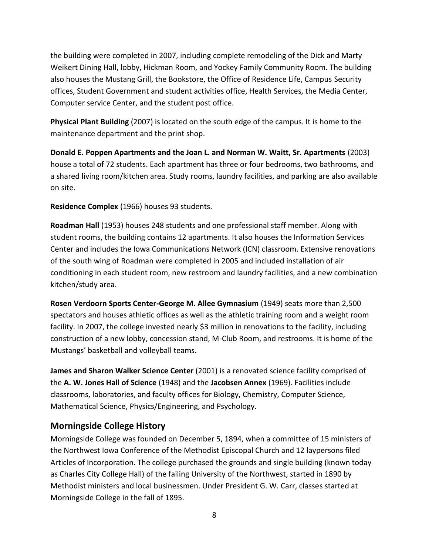the building were completed in 2007, including complete remodeling of the Dick and Marty Weikert Dining Hall, lobby, Hickman Room, and Yockey Family Community Room. The building also houses the Mustang Grill, the Bookstore, the Office of Residence Life, Campus Security offices, Student Government and student activities office, Health Services, the Media Center, Computer service Center, and the student post office.

**Physical Plant Building** (2007) is located on the south edge of the campus. It is home to the maintenance department and the print shop.

**Donald E. Poppen Apartments and the Joan L. and Norman W. Waitt, Sr. Apartments** (2003) house a total of 72 students. Each apartment has three or four bedrooms, two bathrooms, and a shared living room/kitchen area. Study rooms, laundry facilities, and parking are also available on site.

**Residence Complex** (1966) houses 93 students.

**Roadman Hall** (1953) houses 248 students and one professional staff member. Along with student rooms, the building contains 12 apartments. It also houses the Information Services Center and includes the Iowa Communications Network (ICN) classroom. Extensive renovations of the south wing of Roadman were completed in 2005 and included installation of air conditioning in each student room, new restroom and laundry facilities, and a new combination kitchen/study area.

**Rosen Verdoorn Sports Center-George M. Allee Gymnasium** (1949) seats more than 2,500 spectators and houses athletic offices as well as the athletic training room and a weight room facility. In 2007, the college invested nearly \$3 million in renovations to the facility, including construction of a new lobby, concession stand, M-Club Room, and restrooms. It is home of the Mustangs' basketball and volleyball teams.

**James and Sharon Walker Science Center** (2001) is a renovated science facility comprised of the **A. W. Jones Hall of Science** (1948) and the **Jacobsen Annex** (1969). Facilities include classrooms, laboratories, and faculty offices for Biology, Chemistry, Computer Science, Mathematical Science, Physics/Engineering, and Psychology.

#### **Morningside College History**

Morningside College was founded on December 5, 1894, when a committee of 15 ministers of the Northwest Iowa Conference of the Methodist Episcopal Church and 12 laypersons filed Articles of Incorporation. The college purchased the grounds and single building (known today as Charles City College Hall) of the failing University of the Northwest, started in 1890 by Methodist ministers and local businessmen. Under President G. W. Carr, classes started at Morningside College in the fall of 1895.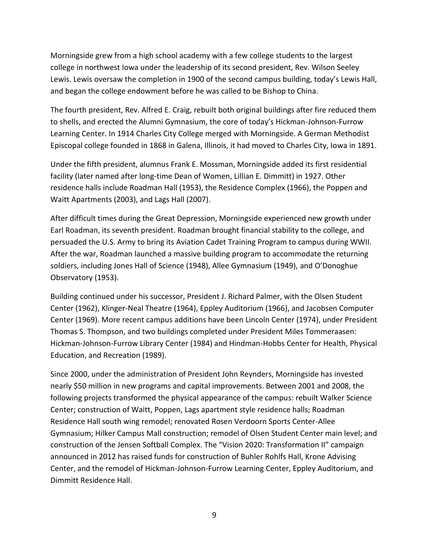Morningside grew from a high school academy with a few college students to the largest college in northwest Iowa under the leadership of its second president, Rev. Wilson Seeley Lewis. Lewis oversaw the completion in 1900 of the second campus building, today's Lewis Hall, and began the college endowment before he was called to be Bishop to China.

The fourth president, Rev. Alfred E. Craig, rebuilt both original buildings after fire reduced them to shells, and erected the Alumni Gymnasium, the core of today's Hickman-Johnson-Furrow Learning Center. In 1914 Charles City College merged with Morningside. A German Methodist Episcopal college founded in 1868 in Galena, Illinois, it had moved to Charles City, Iowa in 1891.

Under the fifth president, alumnus Frank E. Mossman, Morningside added its first residential facility (later named after long-time Dean of Women, Lillian E. Dimmitt) in 1927. Other residence halls include Roadman Hall (1953), the Residence Complex (1966), the Poppen and Waitt Apartments (2003), and Lags Hall (2007).

After difficult times during the Great Depression, Morningside experienced new growth under Earl Roadman, its seventh president. Roadman brought financial stability to the college, and persuaded the U.S. Army to bring its Aviation Cadet Training Program to campus during WWII. After the war, Roadman launched a massive building program to accommodate the returning soldiers, including Jones Hall of Science (1948), Allee Gymnasium (1949), and O'Donoghue Observatory (1953).

Building continued under his successor, President J. Richard Palmer, with the Olsen Student Center (1962), Klinger-Neal Theatre (1964), Eppley Auditorium (1966), and Jacobsen Computer Center (1969). More recent campus additions have been Lincoln Center (1974), under President Thomas S. Thompson, and two buildings completed under President Miles Tommeraasen: Hickman-Johnson-Furrow Library Center (1984) and Hindman-Hobbs Center for Health, Physical Education, and Recreation (1989).

Since 2000, under the administration of President John Reynders, Morningside has invested nearly \$50 million in new programs and capital improvements. Between 2001 and 2008, the following projects transformed the physical appearance of the campus: rebuilt Walker Science Center; construction of Waitt, Poppen, Lags apartment style residence halls; Roadman Residence Hall south wing remodel; renovated Rosen Verdoorn Sports Center-Allee Gymnasium; Hilker Campus Mall construction; remodel of Olsen Student Center main level; and construction of the Jensen Softball Complex. The "Vision 2020: Transformation II" campaign announced in 2012 has raised funds for construction of Buhler Rohlfs Hall, Krone Advising Center, and the remodel of Hickman-Johnson-Furrow Learning Center, Eppley Auditorium, and Dimmitt Residence Hall.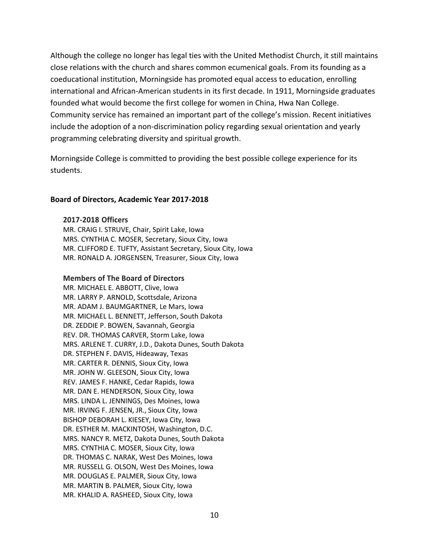Although the college no longer has legal ties with the United Methodist Church, it still maintains close relations with the church and shares common ecumenical goals. From its founding as a coeducational institution, Morningside has promoted equal access to education, enrolling international and African-American students in its first decade. In 1911, Morningside graduates founded what would become the first college for women in China, Hwa Nan College. Community service has remained an important part of the college's mission. Recent initiatives include the adoption of a non-discrimination policy regarding sexual orientation and yearly programming celebrating diversity and spiritual growth.

Morningside College is committed to providing the best possible college experience for its students.

#### **Board of Directors, Academic Year 2017-2018**

#### **2017-2018 Officers**

MR. CRAIG I. STRUVE, Chair, Spirit Lake, Iowa MRS. CYNTHIA C. MOSER, Secretary, Sioux City, Iowa MR. CLIFFORD E. TUFTY, Assistant Secretary, Sioux City, Iowa MR. RONALD A. JORGENSEN, Treasurer, Sioux City, Iowa

#### **Members of The Board of Directors**

MR. MICHAEL E. ABBOTT, Clive, Iowa MR. LARRY P. ARNOLD, Scottsdale, Arizona MR. ADAM J. BAUMGARTNER, Le Mars, Iowa MR. MICHAEL L. BENNETT, Jefferson, South Dakota DR. ZEDDIE P. BOWEN, Savannah, Georgia REV. DR. THOMAS CARVER, Storm Lake, Iowa MRS. ARLENE T. CURRY, J.D., Dakota Dunes, South Dakota DR. STEPHEN F. DAVIS, Hideaway, Texas MR. CARTER R. DENNIS, Sioux City, Iowa MR. JOHN W. GLEESON, Sioux City, Iowa REV. JAMES F. HANKE, Cedar Rapids, Iowa MR. DAN E. HENDERSON, Sioux City, Iowa MRS. LINDA L. JENNINGS, Des Moines, Iowa MR. IRVING F. JENSEN, JR., Sioux City, Iowa BISHOP DEBORAH L. KIESEY, Iowa City, Iowa DR. ESTHER M. MACKINTOSH, Washington, D.C. MRS. NANCY R. METZ, Dakota Dunes, South Dakota MRS. CYNTHIA C. MOSER, Sioux City, Iowa DR. THOMAS C. NARAK, West Des Moines, Iowa MR. RUSSELL G. OLSON, West Des Moines, Iowa MR. DOUGLAS E. PALMER, Sioux City, Iowa MR. MARTIN B. PALMER, Sioux City, Iowa MR. KHALID A. RASHEED, Sioux City, Iowa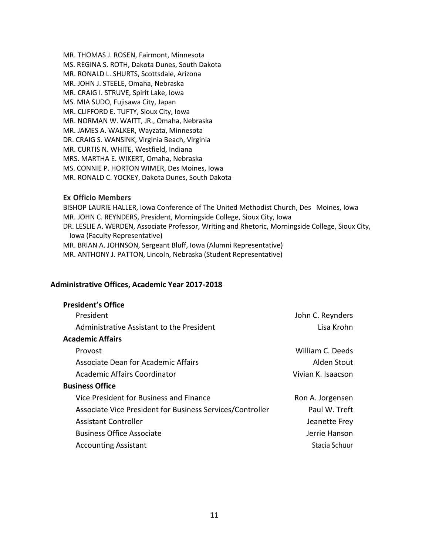MR. THOMAS J. ROSEN, Fairmont, Minnesota MS. REGINA S. ROTH, Dakota Dunes, South Dakota MR. RONALD L. SHURTS, Scottsdale, Arizona MR. JOHN J. STEELE, Omaha, Nebraska MR. CRAIG I. STRUVE, Spirit Lake, Iowa MS. MIA SUDO, Fujisawa City, Japan MR. CLIFFORD E. TUFTY, Sioux City, Iowa MR. NORMAN W. WAITT, JR., Omaha, Nebraska MR. JAMES A. WALKER, Wayzata, Minnesota DR. CRAIG S. WANSINK, Virginia Beach, Virginia MR. CURTIS N. WHITE, Westfield, Indiana MRS. MARTHA E. WIKERT, Omaha, Nebraska MS. CONNIE P. HORTON WIMER, Des Moines, Iowa MR. RONALD C. YOCKEY, Dakota Dunes, South Dakota

#### **Ex Officio Members**

BISHOP LAURIE HALLER, Iowa Conference of The United Methodist Church, Des Moines, Iowa MR. JOHN C. REYNDERS, President, Morningside College, Sioux City, Iowa DR. LESLIE A. WERDEN, Associate Professor, Writing and Rhetoric, Morningside College, Sioux City, Iowa (Faculty Representative) MR. BRIAN A. JOHNSON, Sergeant Bluff, Iowa (Alumni Representative) MR. ANTHONY J. PATTON, Lincoln, Nebraska (Student Representative)

#### **Administrative Offices, Academic Year 2017-2018**

| <b>President's Office</b>                                 |                    |
|-----------------------------------------------------------|--------------------|
| President                                                 | John C. Reynders   |
| Administrative Assistant to the President                 | Lisa Krohn         |
| <b>Academic Affairs</b>                                   |                    |
| Provost                                                   | William C. Deeds   |
| Associate Dean for Academic Affairs                       | Alden Stout        |
| Academic Affairs Coordinator                              | Vivian K. Isaacson |
| <b>Business Office</b>                                    |                    |
| Vice President for Business and Finance                   | Ron A. Jorgensen   |
| Associate Vice President for Business Services/Controller | Paul W. Treft      |
| <b>Assistant Controller</b>                               | Jeanette Frey      |
| <b>Business Office Associate</b>                          | Jerrie Hanson      |
| <b>Accounting Assistant</b>                               | Stacia Schuur      |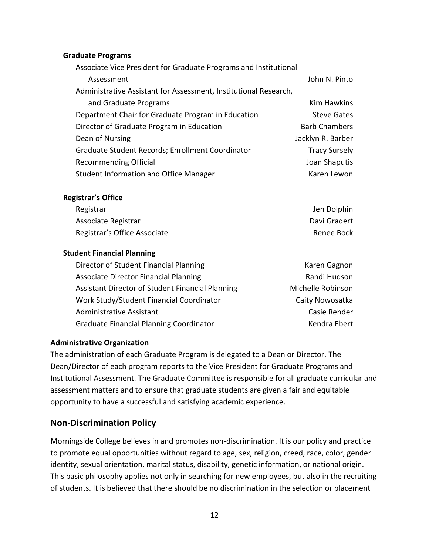#### **Graduate Programs**

| Associate Vice President for Graduate Programs and Institutional |                      |
|------------------------------------------------------------------|----------------------|
| Assessment                                                       | John N. Pinto        |
| Administrative Assistant for Assessment, Institutional Research, |                      |
| and Graduate Programs                                            | Kim Hawkins          |
| Department Chair for Graduate Program in Education               | <b>Steve Gates</b>   |
| Director of Graduate Program in Education                        | <b>Barb Chambers</b> |
| Dean of Nursing                                                  | Jacklyn R. Barber    |
| Graduate Student Records; Enrollment Coordinator                 | <b>Tracy Sursely</b> |
| <b>Recommending Official</b>                                     | Joan Shaputis        |
| <b>Student Information and Office Manager</b>                    | Karen Lewon          |

#### **Registrar's Office**

| Registrar                    | Jen Dolphin  |
|------------------------------|--------------|
| Associate Registrar          | Davi Gradert |
| Registrar's Office Associate | Renee Bock   |

#### **Student Financial Planning**

| Director of Student Financial Planning           | Karen Gagnon      |
|--------------------------------------------------|-------------------|
| <b>Associate Director Financial Planning</b>     | Randi Hudson      |
| Assistant Director of Student Financial Planning | Michelle Robinson |
| Work Study/Student Financial Coordinator         | Caity Nowosatka   |
| Administrative Assistant                         | Casie Rehder      |
| <b>Graduate Financial Planning Coordinator</b>   | Kendra Ebert      |

#### **Administrative Organization**

The administration of each Graduate Program is delegated to a Dean or Director. The Dean/Director of each program reports to the Vice President for Graduate Programs and Institutional Assessment. The Graduate Committee is responsible for all graduate curricular and assessment matters and to ensure that graduate students are given a fair and equitable opportunity to have a successful and satisfying academic experience.

#### **Non-Discrimination Policy**

Morningside College believes in and promotes non-discrimination. It is our policy and practice to promote equal opportunities without regard to age, sex, religion, creed, race, color, gender identity, sexual orientation, marital status, disability, genetic information, or national origin. This basic philosophy applies not only in searching for new employees, but also in the recruiting of students. It is believed that there should be no discrimination in the selection or placement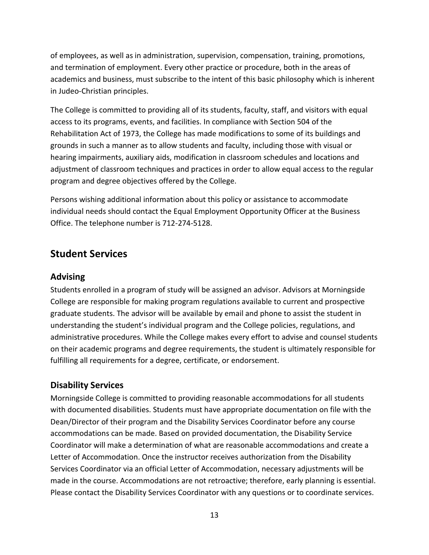of employees, as well as in administration, supervision, compensation, training, promotions, and termination of employment. Every other practice or procedure, both in the areas of academics and business, must subscribe to the intent of this basic philosophy which is inherent in Judeo-Christian principles.

The College is committed to providing all of its students, faculty, staff, and visitors with equal access to its programs, events, and facilities. In compliance with Section 504 of the Rehabilitation Act of 1973, the College has made modifications to some of its buildings and grounds in such a manner as to allow students and faculty, including those with visual or hearing impairments, auxiliary aids, modification in classroom schedules and locations and adjustment of classroom techniques and practices in order to allow equal access to the regular program and degree objectives offered by the College.

Persons wishing additional information about this policy or assistance to accommodate individual needs should contact the Equal Employment Opportunity Officer at the Business Office. The telephone number is 712-274-5128.

## **Student Services**

#### **Advising**

Students enrolled in a program of study will be assigned an advisor. Advisors at Morningside College are responsible for making program regulations available to current and prospective graduate students. The advisor will be available by email and phone to assist the student in understanding the student's individual program and the College policies, regulations, and administrative procedures. While the College makes every effort to advise and counsel students on their academic programs and degree requirements, the student is ultimately responsible for fulfilling all requirements for a degree, certificate, or endorsement.

## **Disability Services**

Morningside College is committed to providing reasonable accommodations for all students with documented disabilities. Students must have appropriate documentation on file with the Dean/Director of their program and the Disability Services Coordinator before any course accommodations can be made. Based on provided documentation, the Disability Service Coordinator will make a determination of what are reasonable accommodations and create a Letter of Accommodation. Once the instructor receives authorization from the Disability Services Coordinator via an official Letter of Accommodation, necessary adjustments will be made in the course. Accommodations are not retroactive; therefore, early planning is essential. Please contact the Disability Services Coordinator with any questions or to coordinate services.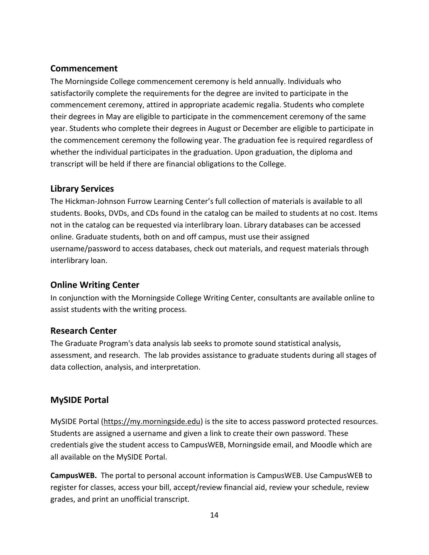## **Commencement**

The Morningside College commencement ceremony is held annually. Individuals who satisfactorily complete the requirements for the degree are invited to participate in the commencement ceremony, attired in appropriate academic regalia. Students who complete their degrees in May are eligible to participate in the commencement ceremony of the same year. Students who complete their degrees in August or December are eligible to participate in the commencement ceremony the following year. The graduation fee is required regardless of whether the individual participates in the graduation. Upon graduation, the diploma and transcript will be held if there are financial obligations to the College.

## **Library Services**

The Hickman-Johnson Furrow Learning Center's full collection of materials is available to all students. Books, DVDs, and CDs found in the catalog can be mailed to students at no cost. Items not in the catalog can be requested via interlibrary loan. Library databases can be accessed online. Graduate students, both on and off campus, must use their assigned username/password to access databases, check out materials, and request materials through interlibrary loan.

## **Online Writing Center**

In conjunction with the Morningside College Writing Center, consultants are available online to assist students with the writing process.

## **Research Center**

The Graduate Program's data analysis lab seeks to promote sound statistical analysis, assessment, and research. The lab provides assistance to graduate students during all stages of data collection, analysis, and interpretation.

## **MySIDE Portal**

MySIDE Portal [\(https://my.morningside.edu\)](https://my.morningside.edu/) is the site to access password protected resources. Students are assigned a username and given a link to create their own password. These credentials give the student access to CampusWEB, Morningside email, and Moodle which are all available on the MySIDE Portal.

**CampusWEB.** The portal to personal account information is CampusWEB. Use CampusWEB to register for classes, access your bill, accept/review financial aid, review your schedule, review grades, and print an unofficial transcript.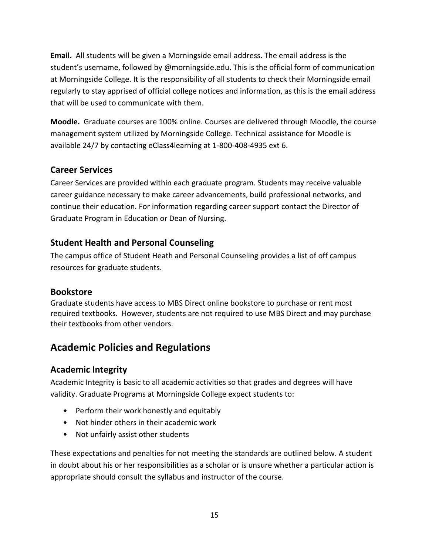**Email.** All students will be given a Morningside email address. The email address is the student's username, followed by @morningside.edu. This is the official form of communication at Morningside College. It is the responsibility of all students to check their Morningside email regularly to stay apprised of official college notices and information, as this is the email address that will be used to communicate with them.

**Moodle.** Graduate courses are 100% online. Courses are delivered through Moodle, the course management system utilized by Morningside College. Technical assistance for Moodle is available 24/7 by contacting eClass4learning at 1-800-408-4935 ext 6.

## **Career Services**

Career Services are provided within each graduate program. Students may receive valuable career guidance necessary to make career advancements, build professional networks, and continue their education. For information regarding career support contact the Director of Graduate Program in Education or Dean of Nursing.

## **Student Health and Personal Counseling**

The campus office of Student Heath and Personal Counseling provides a list of off campus resources for graduate students.

## **Bookstore**

Graduate students have access to MBS Direct online bookstore to purchase or rent most required textbooks. However, students are not required to use MBS Direct and may purchase their textbooks from other vendors.

## **Academic Policies and Regulations**

## **Academic Integrity**

Academic Integrity is basic to all academic activities so that grades and degrees will have validity. Graduate Programs at Morningside College expect students to:

- Perform their work honestly and equitably
- Not hinder others in their academic work
- Not unfairly assist other students

These expectations and penalties for not meeting the standards are outlined below. A student in doubt about his or her responsibilities as a scholar or is unsure whether a particular action is appropriate should consult the syllabus and instructor of the course.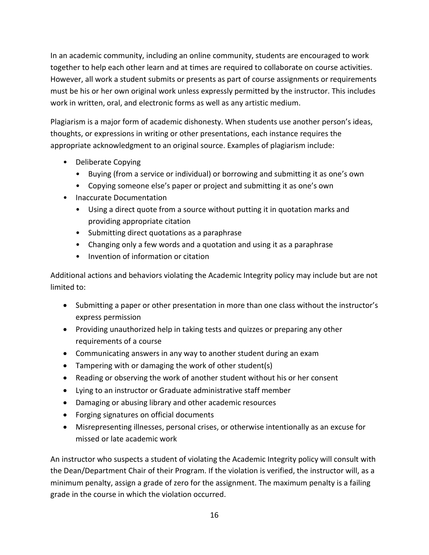In an academic community, including an online community, students are encouraged to work together to help each other learn and at times are required to collaborate on course activities. However, all work a student submits or presents as part of course assignments or requirements must be his or her own original work unless expressly permitted by the instructor. This includes work in written, oral, and electronic forms as well as any artistic medium.

Plagiarism is a major form of academic dishonesty. When students use another person's ideas, thoughts, or expressions in writing or other presentations, each instance requires the appropriate acknowledgment to an original source. Examples of plagiarism include:

- Deliberate Copying
	- Buying (from a service or individual) or borrowing and submitting it as one's own
	- Copying someone else's paper or project and submitting it as one's own
- Inaccurate Documentation
	- Using a direct quote from a source without putting it in quotation marks and providing appropriate citation
	- Submitting direct quotations as a paraphrase
	- Changing only a few words and a quotation and using it as a paraphrase
	- Invention of information or citation

Additional actions and behaviors violating the Academic Integrity policy may include but are not limited to:

- Submitting a paper or other presentation in more than one class without the instructor's express permission
- Providing unauthorized help in taking tests and quizzes or preparing any other requirements of a course
- Communicating answers in any way to another student during an exam
- Tampering with or damaging the work of other student(s)
- Reading or observing the work of another student without his or her consent
- Lying to an instructor or Graduate administrative staff member
- Damaging or abusing library and other academic resources
- Forging signatures on official documents
- Misrepresenting illnesses, personal crises, or otherwise intentionally as an excuse for missed or late academic work

An instructor who suspects a student of violating the Academic Integrity policy will consult with the Dean/Department Chair of their Program. If the violation is verified, the instructor will, as a minimum penalty, assign a grade of zero for the assignment. The maximum penalty is a failing grade in the course in which the violation occurred.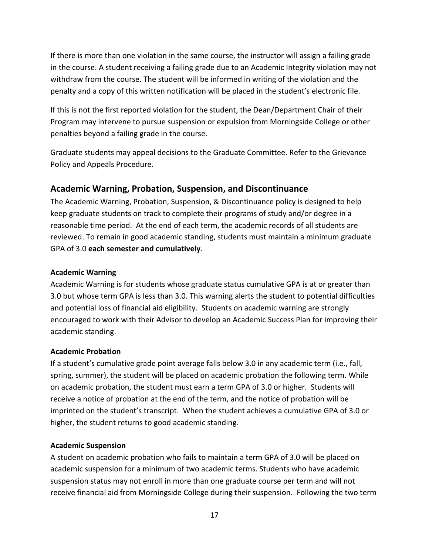If there is more than one violation in the same course, the instructor will assign a failing grade in the course. A student receiving a failing grade due to an Academic Integrity violation may not withdraw from the course. The student will be informed in writing of the violation and the penalty and a copy of this written notification will be placed in the student's electronic file.

If this is not the first reported violation for the student, the Dean/Department Chair of their Program may intervene to pursue suspension or expulsion from Morningside College or other penalties beyond a failing grade in the course.

Graduate students may appeal decisions to the Graduate Committee. Refer to the Grievance Policy and Appeals Procedure.

#### **Academic Warning, Probation, Suspension, and Discontinuance**

The Academic Warning, Probation, Suspension, & Discontinuance policy is designed to help keep graduate students on track to complete their programs of study and/or degree in a reasonable time period. At the end of each term, the academic records of all students are reviewed. To remain in good academic standing, students must maintain a minimum graduate GPA of 3.0 **each semester and cumulatively**.

#### **Academic Warning**

Academic Warning is for students whose graduate status cumulative GPA is at or greater than 3.0 but whose term GPA is less than 3.0. This warning alerts the student to potential difficulties and potential loss of financial aid eligibility. Students on academic warning are strongly encouraged to work with their Advisor to develop an Academic Success Plan for improving their academic standing.

#### **Academic Probation**

If a student's cumulative grade point average falls below 3.0 in any academic term (i.e., fall, spring, summer), the student will be placed on academic probation the following term. While on academic probation, the student must earn a term GPA of 3.0 or higher. Students will receive a notice of probation at the end of the term, and the notice of probation will be imprinted on the student's transcript. When the student achieves a cumulative GPA of 3.0 or higher, the student returns to good academic standing.

#### **Academic Suspension**

A student on academic probation who fails to maintain a term GPA of 3.0 will be placed on academic suspension for a minimum of two academic terms. Students who have academic suspension status may not enroll in more than one graduate course per term and will not receive financial aid from Morningside College during their suspension. Following the two term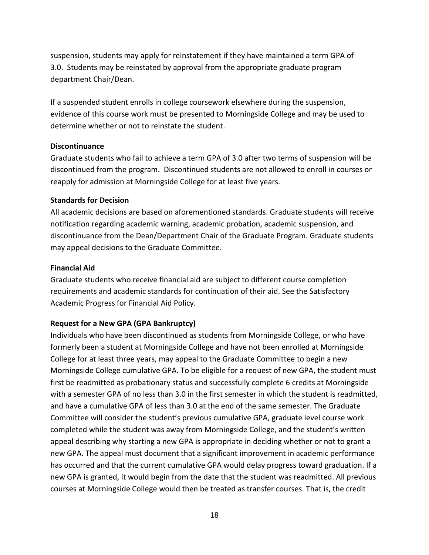suspension, students may apply for reinstatement if they have maintained a term GPA of 3.0. Students may be reinstated by approval from the appropriate graduate program department Chair/Dean.

If a suspended student enrolls in college coursework elsewhere during the suspension, evidence of this course work must be presented to Morningside College and may be used to determine whether or not to reinstate the student.

#### **Discontinuance**

Graduate students who fail to achieve a term GPA of 3.0 after two terms of suspension will be discontinued from the program. Discontinued students are not allowed to enroll in courses or reapply for admission at Morningside College for at least five years.

#### **Standards for Decision**

All academic decisions are based on aforementioned standards. Graduate students will receive notification regarding academic warning, academic probation, academic suspension, and discontinuance from the Dean/Department Chair of the Graduate Program. Graduate students may appeal decisions to the Graduate Committee.

#### **Financial Aid**

Graduate students who receive financial aid are subject to different course completion requirements and academic standards for continuation of their aid. See the Satisfactory Academic Progress for Financial Aid Policy.

#### **Request for a New GPA (GPA Bankruptcy)**

Individuals who have been discontinued as students from Morningside College, or who have formerly been a student at Morningside College and have not been enrolled at Morningside College for at least three years, may appeal to the Graduate Committee to begin a new Morningside College cumulative GPA. To be eligible for a request of new GPA, the student must first be readmitted as probationary status and successfully complete 6 credits at Morningside with a semester GPA of no less than 3.0 in the first semester in which the student is readmitted, and have a cumulative GPA of less than 3.0 at the end of the same semester. The Graduate Committee will consider the student's previous cumulative GPA, graduate level course work completed while the student was away from Morningside College, and the student's written appeal describing why starting a new GPA is appropriate in deciding whether or not to grant a new GPA. The appeal must document that a significant improvement in academic performance has occurred and that the current cumulative GPA would delay progress toward graduation. If a new GPA is granted, it would begin from the date that the student was readmitted. All previous courses at Morningside College would then be treated as transfer courses. That is, the credit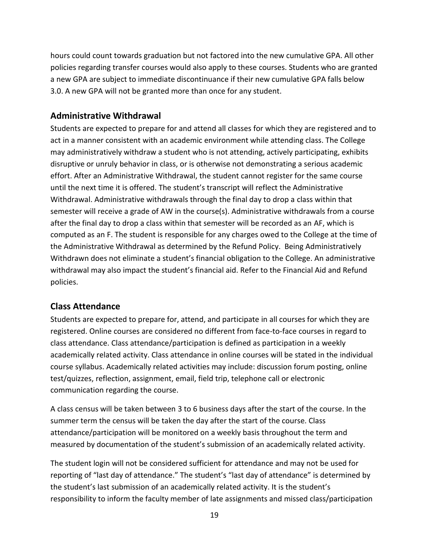hours could count towards graduation but not factored into the new cumulative GPA. All other policies regarding transfer courses would also apply to these courses. Students who are granted a new GPA are subject to immediate discontinuance if their new cumulative GPA falls below 3.0. A new GPA will not be granted more than once for any student.

## **Administrative Withdrawal**

Students are expected to prepare for and attend all classes for which they are registered and to act in a manner consistent with an academic environment while attending class. The College may administratively withdraw a student who is not attending, actively participating, exhibits disruptive or unruly behavior in class, or is otherwise not demonstrating a serious academic effort. After an Administrative Withdrawal, the student cannot register for the same course until the next time it is offered. The student's transcript will reflect the Administrative Withdrawal. Administrative withdrawals through the final day to drop a class within that semester will receive a grade of AW in the course(s). Administrative withdrawals from a course after the final day to drop a class within that semester will be recorded as an AF, which is computed as an F. The student is responsible for any charges owed to the College at the time of the Administrative Withdrawal as determined by the Refund Policy. Being Administratively Withdrawn does not eliminate a student's financial obligation to the College. An administrative withdrawal may also impact the student's financial aid. Refer to the Financial Aid and Refund policies.

## **Class Attendance**

Students are expected to prepare for, attend, and participate in all courses for which they are registered. Online courses are considered no different from face-to-face courses in regard to class attendance. Class attendance/participation is defined as participation in a weekly academically related activity. Class attendance in online courses will be stated in the individual course syllabus. Academically related activities may include: discussion forum posting, online test/quizzes, reflection, assignment, email, field trip, telephone call or electronic communication regarding the course.

A class census will be taken between 3 to 6 business days after the start of the course. In the summer term the census will be taken the day after the start of the course. Class attendance/participation will be monitored on a weekly basis throughout the term and measured by documentation of the student's submission of an academically related activity.

The student login will not be considered sufficient for attendance and may not be used for reporting of "last day of attendance." The student's "last day of attendance" is determined by the student's last submission of an academically related activity. It is the student's responsibility to inform the faculty member of late assignments and missed class/participation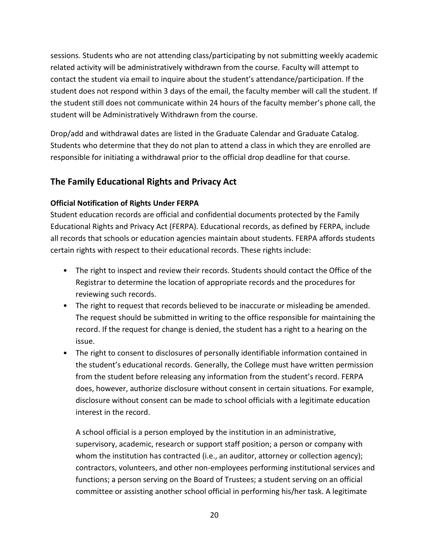sessions. Students who are not attending class/participating by not submitting weekly academic related activity will be administratively withdrawn from the course. Faculty will attempt to contact the student via email to inquire about the student's attendance/participation. If the student does not respond within 3 days of the email, the faculty member will call the student. If the student still does not communicate within 24 hours of the faculty member's phone call, the student will be Administratively Withdrawn from the course.

Drop/add and withdrawal dates are listed in the Graduate Calendar and Graduate Catalog. Students who determine that they do not plan to attend a class in which they are enrolled are responsible for initiating a withdrawal prior to the official drop deadline for that course.

## **The Family Educational Rights and Privacy Act**

#### **Official Notification of Rights Under FERPA**

Student education records are official and confidential documents protected by the Family Educational Rights and Privacy Act (FERPA). Educational records, as defined by FERPA, include all records that schools or education agencies maintain about students. FERPA affords students certain rights with respect to their educational records. These rights include:

- The right to inspect and review their records. Students should contact the Office of the Registrar to determine the location of appropriate records and the procedures for reviewing such records.
- The right to request that records believed to be inaccurate or misleading be amended. The request should be submitted in writing to the office responsible for maintaining the record. If the request for change is denied, the student has a right to a hearing on the issue.
- The right to consent to disclosures of personally identifiable information contained in the student's educational records. Generally, the College must have written permission from the student before releasing any information from the student's record. FERPA does, however, authorize disclosure without consent in certain situations. For example, disclosure without consent can be made to school officials with a legitimate education interest in the record.

A school official is a person employed by the institution in an administrative, supervisory, academic, research or support staff position; a person or company with whom the institution has contracted (i.e., an auditor, attorney or collection agency); contractors, volunteers, and other non-employees performing institutional services and functions; a person serving on the Board of Trustees; a student serving on an official committee or assisting another school official in performing his/her task. A legitimate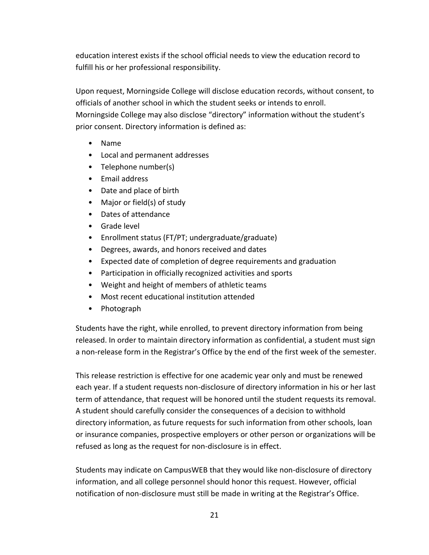education interest exists if the school official needs to view the education record to fulfill his or her professional responsibility.

Upon request, Morningside College will disclose education records, without consent, to officials of another school in which the student seeks or intends to enroll. Morningside College may also disclose "directory" information without the student's prior consent. Directory information is defined as:

- Name
- Local and permanent addresses
- Telephone number(s)
- Email address
- Date and place of birth
- Major or field(s) of study
- Dates of attendance
- Grade level
- Enrollment status (FT/PT; undergraduate/graduate)
- Degrees, awards, and honors received and dates
- Expected date of completion of degree requirements and graduation
- Participation in officially recognized activities and sports
- Weight and height of members of athletic teams
- Most recent educational institution attended
- Photograph

Students have the right, while enrolled, to prevent directory information from being released. In order to maintain directory information as confidential, a student must sign a non-release form in the Registrar's Office by the end of the first week of the semester.

This release restriction is effective for one academic year only and must be renewed each year. If a student requests non-disclosure of directory information in his or her last term of attendance, that request will be honored until the student requests its removal. A student should carefully consider the consequences of a decision to withhold directory information, as future requests for such information from other schools, loan or insurance companies, prospective employers or other person or organizations will be refused as long as the request for non-disclosure is in effect.

Students may indicate on CampusWEB that they would like non-disclosure of directory information, and all college personnel should honor this request. However, official notification of non-disclosure must still be made in writing at the Registrar's Office.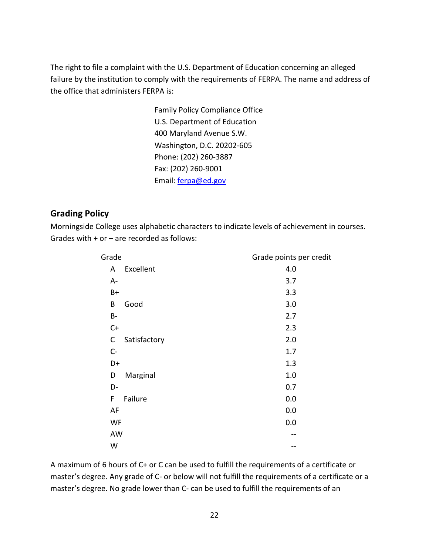The right to file a complaint with the U.S. Department of Education concerning an alleged failure by the institution to comply with the requirements of FERPA. The name and address of the office that administers FERPA is:

> Family Policy Compliance Office U.S. Department of Education 400 Maryland Avenue S.W. Washington, D.C. 20202-605 Phone: (202) 260-3887 Fax: (202) 260-9001 Email: [ferpa@ed.gov](mailto:ferpa@ed.gov)

## **Grading Policy**

Morningside College uses alphabetic characters to indicate levels of achievement in courses. Grades with  $+$  or  $-$  are recorded as follows:

| Grade             | Grade points per credit |
|-------------------|-------------------------|
| Excellent<br>A    | 4.0                     |
| A-                | 3.7                     |
| $B+$              | 3.3                     |
| Good<br>B         | 3.0                     |
| $B-$              | 2.7                     |
| $C+$              | 2.3                     |
| C<br>Satisfactory | 2.0                     |
| $C -$             | 1.7                     |
| D+                | 1.3                     |
| Marginal<br>D     | 1.0                     |
| D-                | 0.7                     |
| F<br>Failure      | 0.0                     |
| AF                | 0.0                     |
| WF                | 0.0                     |
| AW                |                         |
| W                 |                         |

A maximum of 6 hours of C+ or C can be used to fulfill the requirements of a certificate or master's degree. Any grade of C- or below will not fulfill the requirements of a certificate or a master's degree. No grade lower than C- can be used to fulfill the requirements of an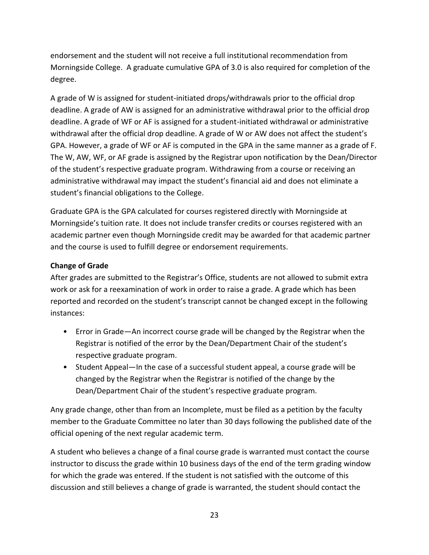endorsement and the student will not receive a full institutional recommendation from Morningside College. A graduate cumulative GPA of 3.0 is also required for completion of the degree.

A grade of W is assigned for student-initiated drops/withdrawals prior to the official drop deadline. A grade of AW is assigned for an administrative withdrawal prior to the official drop deadline. A grade of WF or AF is assigned for a student-initiated withdrawal or administrative withdrawal after the official drop deadline. A grade of W or AW does not affect the student's GPA. However, a grade of WF or AF is computed in the GPA in the same manner as a grade of F. The W, AW, WF, or AF grade is assigned by the Registrar upon notification by the Dean/Director of the student's respective graduate program. Withdrawing from a course or receiving an administrative withdrawal may impact the student's financial aid and does not eliminate a student's financial obligations to the College.

Graduate GPA is the GPA calculated for courses registered directly with Morningside at Morningside's tuition rate. It does not include transfer credits or courses registered with an academic partner even though Morningside credit may be awarded for that academic partner and the course is used to fulfill degree or endorsement requirements.

#### **Change of Grade**

After grades are submitted to the Registrar's Office, students are not allowed to submit extra work or ask for a reexamination of work in order to raise a grade. A grade which has been reported and recorded on the student's transcript cannot be changed except in the following instances:

- Error in Grade—An incorrect course grade will be changed by the Registrar when the Registrar is notified of the error by the Dean/Department Chair of the student's respective graduate program.
- Student Appeal—In the case of a successful student appeal, a course grade will be changed by the Registrar when the Registrar is notified of the change by the Dean/Department Chair of the student's respective graduate program.

Any grade change, other than from an Incomplete, must be filed as a petition by the faculty member to the Graduate Committee no later than 30 days following the published date of the official opening of the next regular academic term.

A student who believes a change of a final course grade is warranted must contact the course instructor to discuss the grade within 10 business days of the end of the term grading window for which the grade was entered. If the student is not satisfied with the outcome of this discussion and still believes a change of grade is warranted, the student should contact the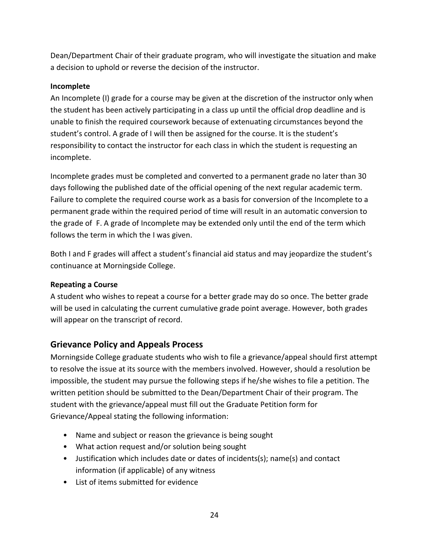Dean/Department Chair of their graduate program, who will investigate the situation and make a decision to uphold or reverse the decision of the instructor.

#### **Incomplete**

An Incomplete (I) grade for a course may be given at the discretion of the instructor only when the student has been actively participating in a class up until the official drop deadline and is unable to finish the required coursework because of extenuating circumstances beyond the student's control. A grade of I will then be assigned for the course. It is the student's responsibility to contact the instructor for each class in which the student is requesting an incomplete.

Incomplete grades must be completed and converted to a permanent grade no later than 30 days following the published date of the official opening of the next regular academic term. Failure to complete the required course work as a basis for conversion of the Incomplete to a permanent grade within the required period of time will result in an automatic conversion to the grade of F. A grade of Incomplete may be extended only until the end of the term which follows the term in which the I was given.

Both I and F grades will affect a student's financial aid status and may jeopardize the student's continuance at Morningside College.

#### **Repeating a Course**

A student who wishes to repeat a course for a better grade may do so once. The better grade will be used in calculating the current cumulative grade point average. However, both grades will appear on the transcript of record.

## **Grievance Policy and Appeals Process**

Morningside College graduate students who wish to file a grievance/appeal should first attempt to resolve the issue at its source with the members involved. However, should a resolution be impossible, the student may pursue the following steps if he/she wishes to file a petition. The written petition should be submitted to the Dean/Department Chair of their program. The student with the grievance/appeal must fill out the Graduate Petition form for Grievance/Appeal stating the following information:

- Name and subject or reason the grievance is being sought
- What action request and/or solution being sought
- Justification which includes date or dates of incidents(s); name(s) and contact information (if applicable) of any witness
- List of items submitted for evidence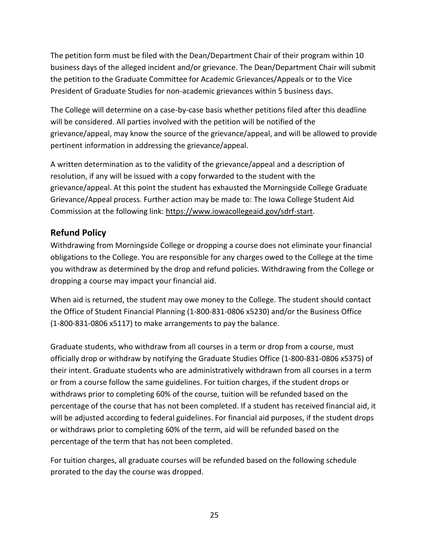The petition form must be filed with the Dean/Department Chair of their program within 10 business days of the alleged incident and/or grievance. The Dean/Department Chair will submit the petition to the Graduate Committee for Academic Grievances/Appeals or to the Vice President of Graduate Studies for non-academic grievances within 5 business days.

The College will determine on a case-by-case basis whether petitions filed after this deadline will be considered. All parties involved with the petition will be notified of the grievance/appeal, may know the source of the grievance/appeal, and will be allowed to provide pertinent information in addressing the grievance/appeal.

A written determination as to the validity of the grievance/appeal and a description of resolution, if any will be issued with a copy forwarded to the student with the grievance/appeal. At this point the student has exhausted the Morningside College Graduate Grievance/Appeal process. Further action may be made to: The Iowa College Student Aid Commission at the following link: https://www.iowacollegeaid.gov/sdrf-start.

## **Refund Policy**

Withdrawing from Morningside College or dropping a course does not eliminate your financial obligations to the College. You are responsible for any charges owed to the College at the time you withdraw as determined by the drop and refund policies. Withdrawing from the College or dropping a course may impact your financial aid.

When aid is returned, the student may owe money to the College. The student should contact the Office of Student Financial Planning (1-800-831-0806 x5230) and/or the Business Office (1-800-831-0806 x5117) to make arrangements to pay the balance.

Graduate students, who withdraw from all courses in a term or drop from a course, must officially drop or withdraw by notifying the Graduate Studies Office (1-800-831-0806 x5375) of their intent. Graduate students who are administratively withdrawn from all courses in a term or from a course follow the same guidelines. For tuition charges, if the student drops or withdraws prior to completing 60% of the course, tuition will be refunded based on the percentage of the course that has not been completed. If a student has received financial aid, it will be adjusted according to federal guidelines. For financial aid purposes, if the student drops or withdraws prior to completing 60% of the term, aid will be refunded based on the percentage of the term that has not been completed.

For tuition charges, all graduate courses will be refunded based on the following schedule prorated to the day the course was dropped.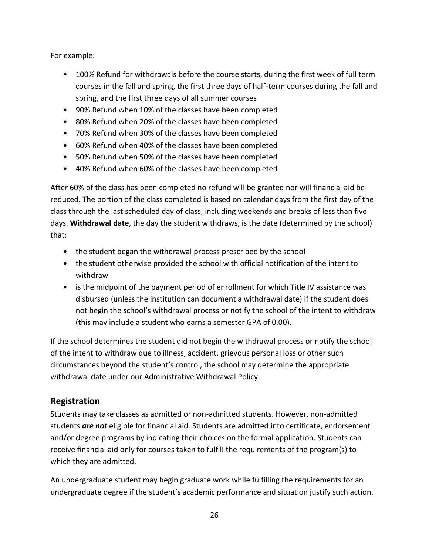For example:

- 100% Refund for withdrawals before the course starts, during the first week of full term courses in the fall and spring, the first three days of half-term courses during the fall and spring, and the first three days of all summer courses
- 90% Refund when 10% of the classes have been completed
- 80% Refund when 20% of the classes have been completed
- 70% Refund when 30% of the classes have been completed
- 60% Refund when 40% of the classes have been completed
- 50% Refund when 50% of the classes have been completed
- 40% Refund when 60% of the classes have been completed

After 60% of the class has been completed no refund will be granted nor will financial aid be reduced. The portion of the class completed is based on calendar days from the first day of the class through the last scheduled day of class, including weekends and breaks of less than five days. **Withdrawal date**, the day the student withdraws, is the date (determined by the school) that:

- the student began the withdrawal process prescribed by the school
- the student otherwise provided the school with official notification of the intent to withdraw
- is the midpoint of the payment period of enrollment for which Title IV assistance was disbursed (unless the institution can document a withdrawal date) if the student does not begin the school's withdrawal process or notify the school of the intent to withdraw (this may include a student who earns a semester GPA of 0.00).

If the school determines the student did not begin the withdrawal process or notify the school of the intent to withdraw due to illness, accident, grievous personal loss or other such circumstances beyond the student's control, the school may determine the appropriate withdrawal date under our Administrative Withdrawal Policy.

## **Registration**

Students may take classes as admitted or non-admitted students. However, non-admitted students *are not* eligible for financial aid. Students are admitted into certificate, endorsement and/or degree programs by indicating their choices on the formal application. Students can receive financial aid only for courses taken to fulfill the requirements of the program(s) to which they are admitted.

An undergraduate student may begin graduate work while fulfilling the requirements for an undergraduate degree if the student's academic performance and situation justify such action.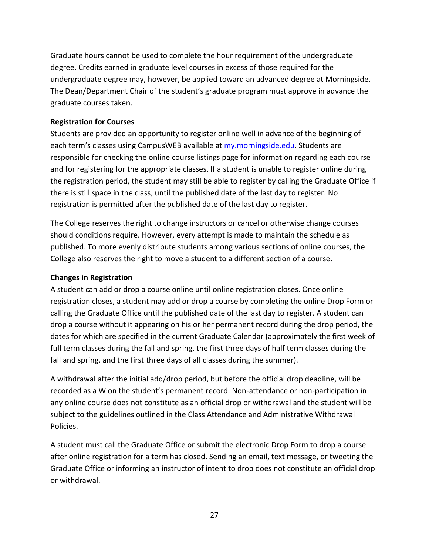Graduate hours cannot be used to complete the hour requirement of the undergraduate degree. Credits earned in graduate level courses in excess of those required for the undergraduate degree may, however, be applied toward an advanced degree at Morningside. The Dean/Department Chair of the student's graduate program must approve in advance the graduate courses taken.

#### **Registration for Courses**

Students are provided an opportunity to register online well in advance of the beginning of each term's classes using CampusWEB available at [my.morningside.edu.](http://my.morningside.edu/) Students are responsible for checking the online course listings page for information regarding each course and for registering for the appropriate classes. If a student is unable to register online during the registration period, the student may still be able to register by calling the Graduate Office if there is still space in the class, until the published date of the last day to register. No registration is permitted after the published date of the last day to register.

The College reserves the right to change instructors or cancel or otherwise change courses should conditions require. However, every attempt is made to maintain the schedule as published. To more evenly distribute students among various sections of online courses, the College also reserves the right to move a student to a different section of a course.

#### **Changes in Registration**

A student can add or drop a course online until online registration closes. Once online registration closes, a student may add or drop a course by completing the online Drop Form or calling the Graduate Office until the published date of the last day to register. A student can drop a course without it appearing on his or her permanent record during the drop period, the dates for which are specified in the current Graduate Calendar (approximately the first week of full term classes during the fall and spring, the first three days of half term classes during the fall and spring, and the first three days of all classes during the summer).

A withdrawal after the initial add/drop period, but before the official drop deadline, will be recorded as a W on the student's permanent record. Non-attendance or non-participation in any online course does not constitute as an official drop or withdrawal and the student will be subject to the guidelines outlined in the Class Attendance and Administrative Withdrawal Policies.

A student must call the Graduate Office or submit the electronic Drop Form to drop a course after online registration for a term has closed. Sending an email, text message, or tweeting the Graduate Office or informing an instructor of intent to drop does not constitute an official drop or withdrawal.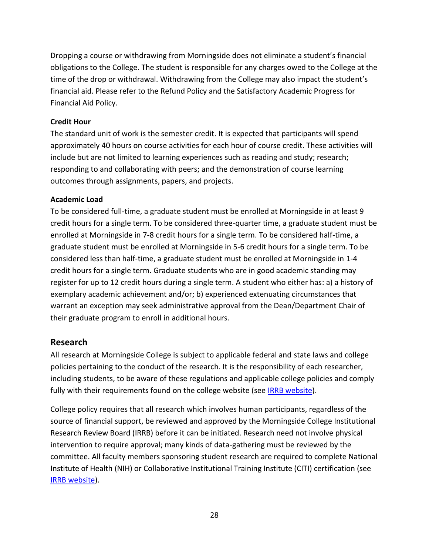Dropping a course or withdrawing from Morningside does not eliminate a student's financial obligations to the College. The student is responsible for any charges owed to the College at the time of the drop or withdrawal. Withdrawing from the College may also impact the student's financial aid. Please refer to the Refund Policy and the Satisfactory Academic Progress for Financial Aid Policy.

#### **Credit Hour**

The standard unit of work is the semester credit. It is expected that participants will spend approximately 40 hours on course activities for each hour of course credit. These activities will include but are not limited to learning experiences such as reading and study; research; responding to and collaborating with peers; and the demonstration of course learning outcomes through assignments, papers, and projects.

#### **Academic Load**

To be considered full-time, a graduate student must be enrolled at Morningside in at least 9 credit hours for a single term. To be considered three-quarter time, a graduate student must be enrolled at Morningside in 7-8 credit hours for a single term. To be considered half-time, a graduate student must be enrolled at Morningside in 5-6 credit hours for a single term. To be considered less than half-time, a graduate student must be enrolled at Morningside in 1-4 credit hours for a single term. Graduate students who are in good academic standing may register for up to 12 credit hours during a single term. A student who either has: a) a history of exemplary academic achievement and/or; b) experienced extenuating circumstances that warrant an exception may seek administrative approval from the Dean/Department Chair of their graduate program to enroll in additional hours.

## **Research**

All research at Morningside College is subject to applicable federal and state laws and college policies pertaining to the conduct of the research. It is the responsibility of each researcher, including students, to be aware of these regulations and applicable college policies and comply fully with their requirements found on the college website (see [IRRB website\)](http://oldwww.morningside.edu/academics/IRRB/index.htm).

College policy requires that all research which involves human participants, regardless of the source of financial support, be reviewed and approved by the Morningside College Institutional Research Review Board (IRRB) before it can be initiated. Research need not involve physical intervention to require approval; many kinds of data-gathering must be reviewed by the committee. All faculty members sponsoring student research are required to complete National Institute of Health (NIH) or Collaborative Institutional Training Institute (CITI) certification (see [IRRB website\)](http://oldwww.morningside.edu/academics/IRRB/index.htm).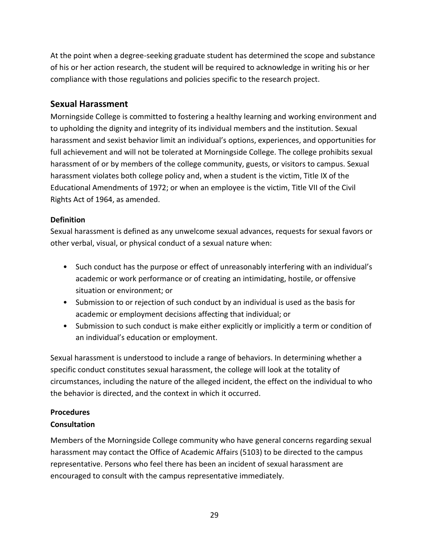At the point when a degree-seeking graduate student has determined the scope and substance of his or her action research, the student will be required to acknowledge in writing his or her compliance with those regulations and policies specific to the research project.

### **Sexual Harassment**

Morningside College is committed to fostering a healthy learning and working environment and to upholding the dignity and integrity of its individual members and the institution. Sexual harassment and sexist behavior limit an individual's options, experiences, and opportunities for full achievement and will not be tolerated at Morningside College. The college prohibits sexual harassment of or by members of the college community, guests, or visitors to campus. Sexual harassment violates both college policy and, when a student is the victim, Title IX of the Educational Amendments of 1972; or when an employee is the victim, Title VII of the Civil Rights Act of 1964, as amended.

#### **Definition**

Sexual harassment is defined as any unwelcome sexual advances, requests for sexual favors or other verbal, visual, or physical conduct of a sexual nature when:

- Such conduct has the purpose or effect of unreasonably interfering with an individual's academic or work performance or of creating an intimidating, hostile, or offensive situation or environment; or
- Submission to or rejection of such conduct by an individual is used as the basis for academic or employment decisions affecting that individual; or
- Submission to such conduct is make either explicitly or implicitly a term or condition of an individual's education or employment.

Sexual harassment is understood to include a range of behaviors. In determining whether a specific conduct constitutes sexual harassment, the college will look at the totality of circumstances, including the nature of the alleged incident, the effect on the individual to who the behavior is directed, and the context in which it occurred.

#### **Procedures**

#### **Consultation**

Members of the Morningside College community who have general concerns regarding sexual harassment may contact the Office of Academic Affairs (5103) to be directed to the campus representative. Persons who feel there has been an incident of sexual harassment are encouraged to consult with the campus representative immediately.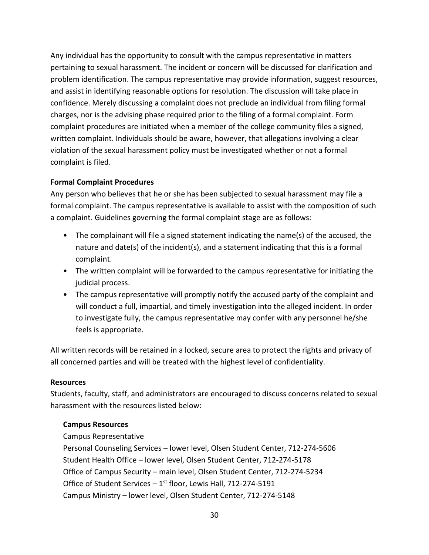Any individual has the opportunity to consult with the campus representative in matters pertaining to sexual harassment. The incident or concern will be discussed for clarification and problem identification. The campus representative may provide information, suggest resources, and assist in identifying reasonable options for resolution. The discussion will take place in confidence. Merely discussing a complaint does not preclude an individual from filing formal charges, nor is the advising phase required prior to the filing of a formal complaint. Form complaint procedures are initiated when a member of the college community files a signed, written complaint. Individuals should be aware, however, that allegations involving a clear violation of the sexual harassment policy must be investigated whether or not a formal complaint is filed.

#### **Formal Complaint Procedures**

Any person who believes that he or she has been subjected to sexual harassment may file a formal complaint. The campus representative is available to assist with the composition of such a complaint. Guidelines governing the formal complaint stage are as follows:

- The complainant will file a signed statement indicating the name(s) of the accused, the nature and date(s) of the incident(s), and a statement indicating that this is a formal complaint.
- The written complaint will be forwarded to the campus representative for initiating the judicial process.
- The campus representative will promptly notify the accused party of the complaint and will conduct a full, impartial, and timely investigation into the alleged incident. In order to investigate fully, the campus representative may confer with any personnel he/she feels is appropriate.

All written records will be retained in a locked, secure area to protect the rights and privacy of all concerned parties and will be treated with the highest level of confidentiality.

#### **Resources**

Students, faculty, staff, and administrators are encouraged to discuss concerns related to sexual harassment with the resources listed below:

#### **Campus Resources**

Campus Representative Personal Counseling Services – lower level, Olsen Student Center, 712-274-5606 Student Health Office – lower level, Olsen Student Center, 712-274-5178 Office of Campus Security – main level, Olsen Student Center, 712-274-5234 Office of Student Services  $-1$ <sup>st</sup> floor, Lewis Hall, 712-274-5191 Campus Ministry – lower level, Olsen Student Center, 712-274-5148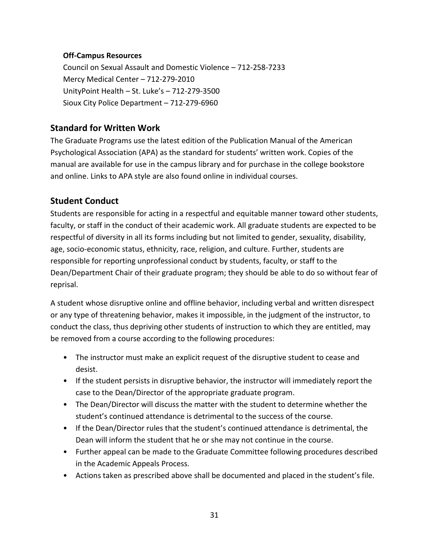#### **Off-Campus Resources**

Council on Sexual Assault and Domestic Violence – 712-258-7233 Mercy Medical Center – 712-279-2010 UnityPoint Health – St. Luke's – 712-279-3500 Sioux City Police Department – 712-279-6960

## **Standard for Written Work**

The Graduate Programs use the latest edition of the Publication Manual of the American Psychological Association (APA) as the standard for students' written work. Copies of the manual are available for use in the campus library and for purchase in the college bookstore and online. Links to APA style are also found online in individual courses.

## **Student Conduct**

Students are responsible for acting in a respectful and equitable manner toward other students, faculty, or staff in the conduct of their academic work. All graduate students are expected to be respectful of diversity in all its forms including but not limited to gender, sexuality, disability, age, socio-economic status, ethnicity, race, religion, and culture. Further, students are responsible for reporting unprofessional conduct by students, faculty, or staff to the Dean/Department Chair of their graduate program; they should be able to do so without fear of reprisal.

A student whose disruptive online and offline behavior, including verbal and written disrespect or any type of threatening behavior, makes it impossible, in the judgment of the instructor, to conduct the class, thus depriving other students of instruction to which they are entitled, may be removed from a course according to the following procedures:

- The instructor must make an explicit request of the disruptive student to cease and desist.
- If the student persists in disruptive behavior, the instructor will immediately report the case to the Dean/Director of the appropriate graduate program.
- The Dean/Director will discuss the matter with the student to determine whether the student's continued attendance is detrimental to the success of the course.
- If the Dean/Director rules that the student's continued attendance is detrimental, the Dean will inform the student that he or she may not continue in the course.
- Further appeal can be made to the Graduate Committee following procedures described in the Academic Appeals Process.
- Actions taken as prescribed above shall be documented and placed in the student's file.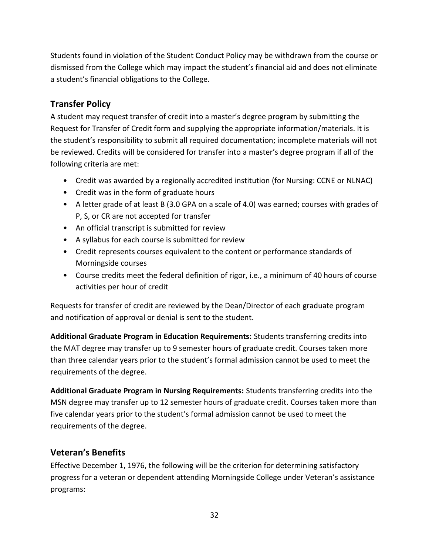Students found in violation of the Student Conduct Policy may be withdrawn from the course or dismissed from the College which may impact the student's financial aid and does not eliminate a student's financial obligations to the College.

## **Transfer Policy**

A student may request transfer of credit into a master's degree program by submitting the Request for Transfer of Credit form and supplying the appropriate information/materials. It is the student's responsibility to submit all required documentation; incomplete materials will not be reviewed. Credits will be considered for transfer into a master's degree program if all of the following criteria are met:

- Credit was awarded by a regionally accredited institution (for Nursing: CCNE or NLNAC)
- Credit was in the form of graduate hours
- A letter grade of at least B (3.0 GPA on a scale of 4.0) was earned; courses with grades of P, S, or CR are not accepted for transfer
- An official transcript is submitted for review
- A syllabus for each course is submitted for review
- Credit represents courses equivalent to the content or performance standards of Morningside courses
- Course credits meet the federal definition of rigor, i.e., a minimum of 40 hours of course activities per hour of credit

Requests for transfer of credit are reviewed by the Dean/Director of each graduate program and notification of approval or denial is sent to the student.

**Additional Graduate Program in Education Requirements:** Students transferring credits into the MAT degree may transfer up to 9 semester hours of graduate credit. Courses taken more than three calendar years prior to the student's formal admission cannot be used to meet the requirements of the degree.

**Additional Graduate Program in Nursing Requirements:** Students transferring credits into the MSN degree may transfer up to 12 semester hours of graduate credit. Courses taken more than five calendar years prior to the student's formal admission cannot be used to meet the requirements of the degree.

## **Veteran's Benefits**

Effective December 1, 1976, the following will be the criterion for determining satisfactory progress for a veteran or dependent attending Morningside College under Veteran's assistance programs: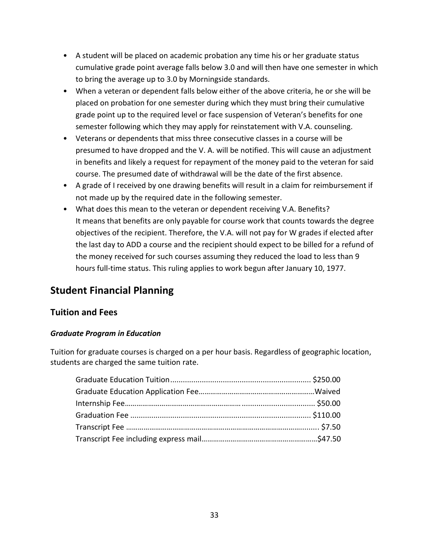- A student will be placed on academic probation any time his or her graduate status cumulative grade point average falls below 3.0 and will then have one semester in which to bring the average up to 3.0 by Morningside standards.
- When a veteran or dependent falls below either of the above criteria, he or she will be placed on probation for one semester during which they must bring their cumulative grade point up to the required level or face suspension of Veteran's benefits for one semester following which they may apply for reinstatement with V.A. counseling.
- Veterans or dependents that miss three consecutive classes in a course will be presumed to have dropped and the V. A. will be notified. This will cause an adjustment in benefits and likely a request for repayment of the money paid to the veteran for said course. The presumed date of withdrawal will be the date of the first absence.
- A grade of I received by one drawing benefits will result in a claim for reimbursement if not made up by the required date in the following semester.
- What does this mean to the veteran or dependent receiving V.A. Benefits? It means that benefits are only payable for course work that counts towards the degree objectives of the recipient. Therefore, the V.A. will not pay for W grades if elected after the last day to ADD a course and the recipient should expect to be billed for a refund of the money received for such courses assuming they reduced the load to less than 9 hours full-time status. This ruling applies to work begun after January 10, 1977.

## **Student Financial Planning**

## **Tuition and Fees**

## *Graduate Program in Education*

Tuition for graduate courses is charged on a per hour basis. Regardless of geographic location, students are charged the same tuition rate.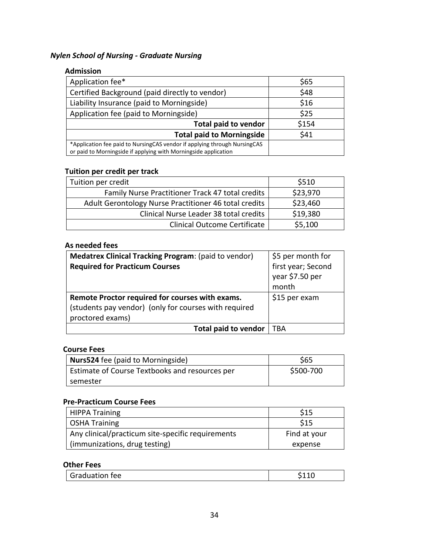## *Nylen School of Nursing - Graduate Nursing*

#### **Admission**

| Application fee*                                                                                                                             | \$65  |
|----------------------------------------------------------------------------------------------------------------------------------------------|-------|
| Certified Background (paid directly to vendor)                                                                                               | \$48  |
| Liability Insurance (paid to Morningside)                                                                                                    | \$16  |
| Application fee (paid to Morningside)                                                                                                        | \$25  |
| <b>Total paid to vendor</b>                                                                                                                  | \$154 |
| <b>Total paid to Morningside</b>                                                                                                             | \$41  |
| *Application fee paid to NursingCAS vendor if applying through NursingCAS<br>or paid to Morningside if applying with Morningside application |       |

## **Tuition per credit per track**

| Tuition per credit                                    | \$510    |
|-------------------------------------------------------|----------|
| Family Nurse Practitioner Track 47 total credits      | \$23,970 |
| Adult Gerontology Nurse Practitioner 46 total credits | \$23,460 |
| Clinical Nurse Leader 38 total credits                | \$19,380 |
| <b>Clinical Outcome Certificate</b>                   | \$5,100  |

#### **As needed fees**

| Medatrex Clinical Tracking Program: (paid to vendor)  | \$5 per month for                              |
|-------------------------------------------------------|------------------------------------------------|
| <b>Required for Practicum Courses</b>                 | first year; Second<br>year \$7.50 per<br>month |
| Remote Proctor required for courses with exams.       | \$15 per exam                                  |
| (students pay vendor) (only for courses with required |                                                |
| proctored exams)                                      |                                                |
| Total paid to vendor                                  | TBA                                            |

#### **Course Fees**

| <b>Nurs524</b> fee (paid to Morningside)       | \$65      |
|------------------------------------------------|-----------|
| Estimate of Course Textbooks and resources per | \$500-700 |
| semester                                       |           |

#### **Pre-Practicum Course Fees**

| <b>HIPPA Training</b>                             | S15          |
|---------------------------------------------------|--------------|
| <b>OSHA Training</b>                              | \$15         |
| Any clinical/practicum site-specific requirements | Find at your |
| (immunizations, drug testing)                     | expense      |

#### **Other Fees**

| <b>Graduation fee</b> |  |
|-----------------------|--|
|                       |  |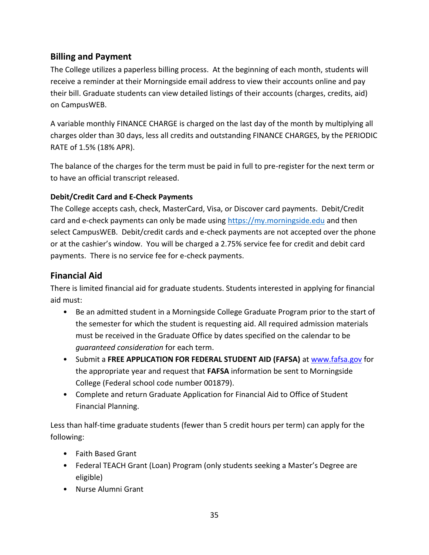## **Billing and Payment**

The College utilizes a paperless billing process. At the beginning of each month, students will receive a reminder at their Morningside email address to view their accounts online and pay their bill. Graduate students can view detailed listings of their accounts (charges, credits, aid) on CampusWEB.

A variable monthly FINANCE CHARGE is charged on the last day of the month by multiplying all charges older than 30 days, less all credits and outstanding FINANCE CHARGES, by the PERIODIC RATE of 1.5% (18% APR).

The balance of the charges for the term must be paid in full to pre-register for the next term or to have an official transcript released.

## **Debit/Credit Card and E-Check Payments**

The College accepts cash, check, MasterCard, Visa, or Discover card payments. Debit/Credit card and e-check payments can only be made using [https://my.morningside.edu](https://my.morningside.edu/) and then select CampusWEB. Debit/credit cards and e-check payments are not accepted over the phone or at the cashier's window. You will be charged a 2.75% service fee for credit and debit card payments. There is no service fee for e-check payments.

## **Financial Aid**

There is limited financial aid for graduate students. Students interested in applying for financial aid must:

- Be an admitted student in a Morningside College Graduate Program prior to the start of the semester for which the student is requesting aid. All required admission materials must be received in the Graduate Office by dates specified on the calendar to be *guaranteed consideration* for each term.
- Submit a **FREE APPLICATION FOR FEDERAL STUDENT AID (FAFSA)** at [www.fafsa.gov](http://www.fafsa.gov/) for the appropriate year and request that **FAFSA** information be sent to Morningside College (Federal school code number 001879).
- Complete and return Graduate Application for Financial Aid to Office of Student Financial Planning.

Less than half-time graduate students (fewer than 5 credit hours per term) can apply for the following:

- Faith Based Grant
- Federal TEACH Grant (Loan) Program (only students seeking a Master's Degree are eligible)
- Nurse Alumni Grant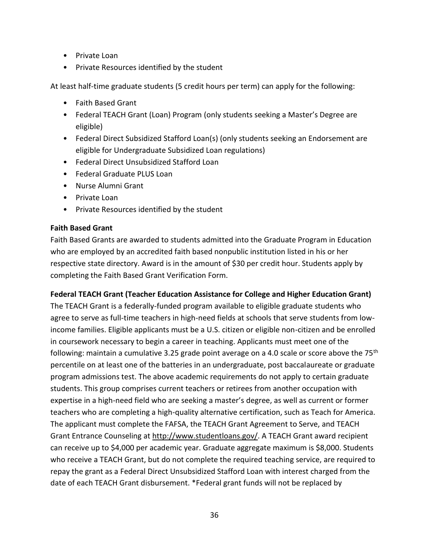- Private Loan
- Private Resources identified by the student

At least half-time graduate students (5 credit hours per term) can apply for the following:

- Faith Based Grant
- Federal TEACH Grant (Loan) Program (only students seeking a Master's Degree are eligible)
- Federal Direct Subsidized Stafford Loan(s) (only students seeking an Endorsement are eligible for Undergraduate Subsidized Loan regulations)
- Federal Direct Unsubsidized Stafford Loan
- Federal Graduate PLUS Loan
- Nurse Alumni Grant
- Private Loan
- Private Resources identified by the student

#### **Faith Based Grant**

Faith Based Grants are awarded to students admitted into the Graduate Program in Education who are employed by an accredited faith based nonpublic institution listed in his or her respective state directory. Award is in the amount of \$30 per credit hour. Students apply by completing the Faith Based Grant Verification Form.

#### **Federal TEACH Grant (Teacher Education Assistance for College and Higher Education Grant)**

The TEACH Grant is a federally-funded program available to eligible graduate students who agree to serve as full-time teachers in high-need fields at schools that serve students from lowincome families. Eligible applicants must be a U.S. citizen or eligible non-citizen and be enrolled in coursework necessary to begin a career in teaching. Applicants must meet one of the following: maintain a cumulative 3.25 grade point average on a 4.0 scale or score above the 75<sup>th</sup> percentile on at least one of the batteries in an undergraduate, post baccalaureate or graduate program admissions test. The above academic requirements do not apply to certain graduate students. This group comprises current teachers or retirees from another occupation with expertise in a high-need field who are seeking a master's degree, as well as current or former teachers who are completing a high-quality alternative certification, such as Teach for America. The applicant must complete the FAFSA, the TEACH Grant Agreement to Serve, and TEACH Grant Entrance Counseling at [http://www.studentloans.gov/.](http://www.studentloans.gov/) A TEACH Grant award recipient can receive up to \$4,000 per academic year. Graduate aggregate maximum is \$8,000. Students who receive a TEACH Grant, but do not complete the required teaching service, are required to repay the grant as a Federal Direct Unsubsidized Stafford Loan with interest charged from the date of each TEACH Grant disbursement. \*Federal grant funds will not be replaced by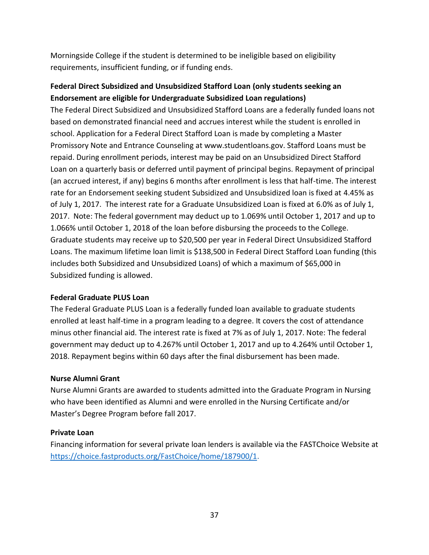Morningside College if the student is determined to be ineligible based on eligibility requirements, insufficient funding, or if funding ends.

# **Federal Direct Subsidized and Unsubsidized Stafford Loan (only students seeking an Endorsement are eligible for Undergraduate Subsidized Loan regulations)**

The Federal Direct Subsidized and Unsubsidized Stafford Loans are a federally funded loans not based on demonstrated financial need and accrues interest while the student is enrolled in school. Application for a Federal Direct Stafford Loan is made by completing a Master Promissory Note and Entrance Counseling at www.studentloans.gov. Stafford Loans must be repaid. During enrollment periods, interest may be paid on an Unsubsidized Direct Stafford Loan on a quarterly basis or deferred until payment of principal begins. Repayment of principal (an accrued interest, if any) begins 6 months after enrollment is less that half-time. The interest rate for an Endorsement seeking student Subsidized and Unsubsidized loan is fixed at 4.45% as of July 1, 2017. The interest rate for a Graduate Unsubsidized Loan is fixed at 6.0% as of July 1, 2017. Note: The federal government may deduct up to 1.069% until October 1, 2017 and up to 1.066% until October 1, 2018 of the loan before disbursing the proceeds to the College. Graduate students may receive up to \$20,500 per year in Federal Direct Unsubsidized Stafford Loans. The maximum lifetime loan limit is \$138,500 in Federal Direct Stafford Loan funding (this includes both Subsidized and Unsubsidized Loans) of which a maximum of \$65,000 in Subsidized funding is allowed.

# **Federal Graduate PLUS Loan**

The Federal Graduate PLUS Loan is a federally funded loan available to graduate students enrolled at least half-time in a program leading to a degree. It covers the cost of attendance minus other financial aid. The interest rate is fixed at 7% as of July 1, 2017. Note: The federal government may deduct up to 4.267% until October 1, 2017 and up to 4.264% until October 1, 2018. Repayment begins within 60 days after the final disbursement has been made.

# **Nurse Alumni Grant**

Nurse Alumni Grants are awarded to students admitted into the Graduate Program in Nursing who have been identified as Alumni and were enrolled in the Nursing Certificate and/or Master's Degree Program before fall 2017.

### **Private Loan**

Financing information for several private loan lenders is available via the [FASTChoice Website](https://choice.fastproducts.org/FastChoice/home/187900/1) at [https://choice.fastproducts.org/FastChoice/home/187900/1.](https://choice.fastproducts.org/FastChoice/home/187900/1)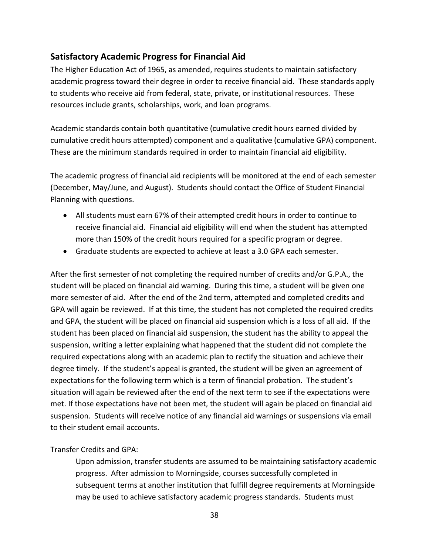# **Satisfactory Academic Progress for Financial Aid**

The Higher Education Act of 1965, as amended, requires students to maintain satisfactory academic progress toward their degree in order to receive financial aid. These standards apply to students who receive aid from federal, state, private, or institutional resources. These resources include grants, scholarships, work, and loan programs.

Academic standards contain both quantitative (cumulative credit hours earned divided by cumulative credit hours attempted) component and a qualitative (cumulative GPA) component. These are the minimum standards required in order to maintain financial aid eligibility.

The academic progress of financial aid recipients will be monitored at the end of each semester (December, May/June, and August). Students should contact the Office of Student Financial Planning with questions.

- All students must earn 67% of their attempted credit hours in order to continue to receive financial aid. Financial aid eligibility will end when the student has attempted more than 150% of the credit hours required for a specific program or degree.
- Graduate students are expected to achieve at least a 3.0 GPA each semester.

After the first semester of not completing the required number of credits and/or G.P.A., the student will be placed on financial aid warning. During this time, a student will be given one more semester of aid. After the end of the 2nd term, attempted and completed credits and GPA will again be reviewed. If at this time, the student has not completed the required credits and GPA, the student will be placed on financial aid suspension which is a loss of all aid. If the student has been placed on financial aid suspension, the student has the ability to appeal the suspension, writing a letter explaining what happened that the student did not complete the required expectations along with an academic plan to rectify the situation and achieve their degree timely. If the student's appeal is granted, the student will be given an agreement of expectations for the following term which is a term of financial probation. The student's situation will again be reviewed after the end of the next term to see if the expectations were met. If those expectations have not been met, the student will again be placed on financial aid suspension. Students will receive notice of any financial aid warnings or suspensions via email to their student email accounts.

# Transfer Credits and GPA:

Upon admission, transfer students are assumed to be maintaining satisfactory academic progress. After admission to Morningside, courses successfully completed in subsequent terms at another institution that fulfill degree requirements at Morningside may be used to achieve satisfactory academic progress standards. Students must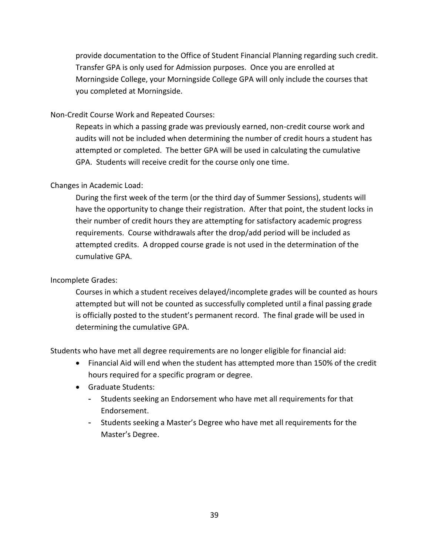provide documentation to the Office of Student Financial Planning regarding such credit. Transfer GPA is only used for Admission purposes. Once you are enrolled at Morningside College, your Morningside College GPA will only include the courses that you completed at Morningside.

Non-Credit Course Work and Repeated Courses:

Repeats in which a passing grade was previously earned, non-credit course work and audits will not be included when determining the number of credit hours a student has attempted or completed. The better GPA will be used in calculating the cumulative GPA. Students will receive credit for the course only one time.

# Changes in Academic Load:

During the first week of the term (or the third day of Summer Sessions), students will have the opportunity to change their registration. After that point, the student locks in their number of credit hours they are attempting for satisfactory academic progress requirements. Course withdrawals after the drop/add period will be included as attempted credits. A dropped course grade is not used in the determination of the cumulative GPA.

### Incomplete Grades:

Courses in which a student receives delayed/incomplete grades will be counted as hours attempted but will not be counted as successfully completed until a final passing grade is officially posted to the student's permanent record. The final grade will be used in determining the cumulative GPA.

Students who have met all degree requirements are no longer eligible for financial aid:

- Financial Aid will end when the student has attempted more than 150% of the credit hours required for a specific program or degree.
- Graduate Students:
	- Students seeking an Endorsement who have met all requirements for that Endorsement.
	- Students seeking a Master's Degree who have met all requirements for the Master's Degree.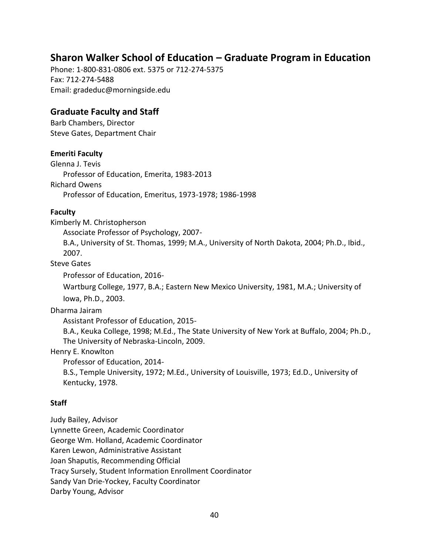# **Sharon Walker School of Education – Graduate Program in Education**

Phone: 1-800-831-0806 ext. 5375 or 712-274-5375 Fax: 712-274-5488 Email: gradeduc@morningside.edu

# **Graduate Faculty and Staff**

Barb Chambers, Director Steve Gates, Department Chair

# **Emeriti Faculty**

Glenna J. Tevis Professor of Education, Emerita, 1983-2013 Richard Owens Professor of Education, Emeritus, 1973-1978; 1986-1998

### **Faculty**

Kimberly M. Christopherson

Associate Professor of Psychology, 2007-

B.A., University of St. Thomas, 1999; M.A., University of North Dakota, 2004; Ph.D., Ibid., 2007.

Steve Gates

Professor of Education, 2016-

Wartburg College, 1977, B.A.; Eastern New Mexico University, 1981, M.A.; University of Iowa, Ph.D., 2003.

Dharma Jairam

Assistant Professor of Education, 2015-

B.A., Keuka College, 1998; M.Ed., The State University of New York at Buffalo, 2004; Ph.D., The University of Nebraska-Lincoln, 2009.

Henry E. Knowlton

Professor of Education, 2014-

B.S., Temple University, 1972; M.Ed., University of Louisville, 1973; Ed.D., University of Kentucky, 1978.

# **Staff**

Judy Bailey, Advisor Lynnette Green, Academic Coordinator George Wm. Holland, Academic Coordinator Karen Lewon, Administrative Assistant Joan Shaputis, Recommending Official Tracy Sursely, Student Information Enrollment Coordinator Sandy Van Drie-Yockey, Faculty Coordinator Darby Young, Advisor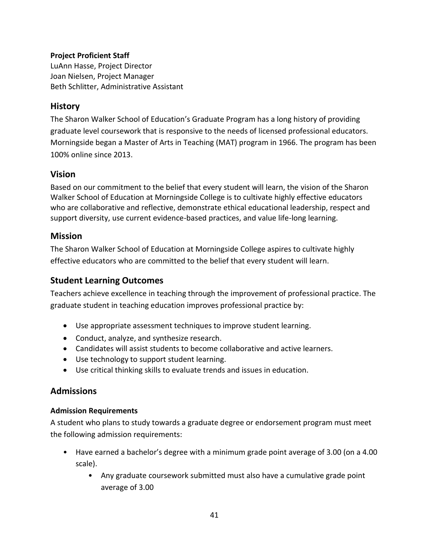# **Project Proficient Staff**

LuAnn Hasse, Project Director Joan Nielsen, Project Manager Beth Schlitter, Administrative Assistant

# **History**

The Sharon Walker School of Education's Graduate Program has a long history of providing graduate level coursework that is responsive to the needs of licensed professional educators. Morningside began a Master of Arts in Teaching (MAT) program in 1966. The program has been 100% online since 2013.

# **Vision**

Based on our commitment to the belief that every student will learn, the vision of the Sharon Walker School of Education at Morningside College is to cultivate highly effective educators who are collaborative and reflective, demonstrate ethical educational leadership, respect and support diversity, use current evidence-based practices, and value life-long learning.

# **Mission**

The Sharon Walker School of Education at Morningside College aspires to cultivate highly effective educators who are committed to the belief that every student will learn.

# **Student Learning Outcomes**

Teachers achieve excellence in teaching through the improvement of professional practice. The graduate student in teaching education improves professional practice by:

- Use appropriate assessment techniques to improve student learning.
- Conduct, analyze, and synthesize research.
- Candidates will assist students to become collaborative and active learners.
- Use technology to support student learning.
- Use critical thinking skills to evaluate trends and issues in education.

# **Admissions**

# **Admission Requirements**

A student who plans to study towards a graduate degree or endorsement program must meet the following admission requirements:

- Have earned a bachelor's degree with a minimum grade point average of 3.00 (on a 4.00 scale).
	- Any graduate coursework submitted must also have a cumulative grade point average of 3.00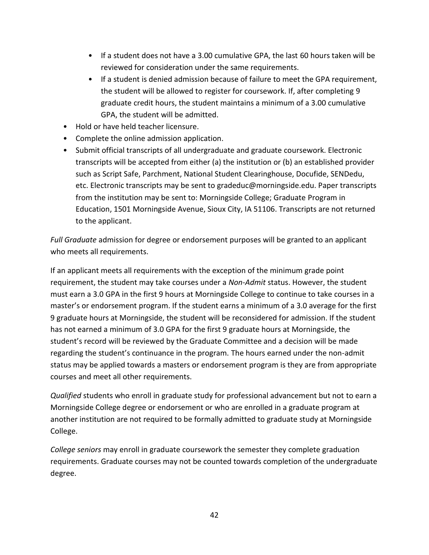- If a student does not have a 3.00 cumulative GPA, the last 60 hours taken will be reviewed for consideration under the same requirements.
- If a student is denied admission because of failure to meet the GPA requirement, the student will be allowed to register for coursework. If, after completing 9 graduate credit hours, the student maintains a minimum of a 3.00 cumulative GPA, the student will be admitted.
- Hold or have held teacher licensure.
- Complete the online admission application.
- Submit official transcripts of all undergraduate and graduate coursework. Electronic transcripts will be accepted from either (a) the institution or (b) an established provider such as Script Safe, Parchment, National Student Clearinghouse, Docufide, SENDedu, etc. Electronic transcripts may be sent to gradeduc@morningside.edu. Paper transcripts from the institution may be sent to: Morningside College; Graduate Program in Education, 1501 Morningside Avenue, Sioux City, IA 51106. Transcripts are not returned to the applicant.

*Full Graduate* admission for degree or endorsement purposes will be granted to an applicant who meets all requirements.

If an applicant meets all requirements with the exception of the minimum grade point requirement, the student may take courses under a *Non-Admit* status. However, the student must earn a 3.0 GPA in the first 9 hours at Morningside College to continue to take courses in a master's or endorsement program. If the student earns a minimum of a 3.0 average for the first 9 graduate hours at Morningside, the student will be reconsidered for admission. If the student has not earned a minimum of 3.0 GPA for the first 9 graduate hours at Morningside, the student's record will be reviewed by the Graduate Committee and a decision will be made regarding the student's continuance in the program. The hours earned under the non-admit status may be applied towards a masters or endorsement program is they are from appropriate courses and meet all other requirements.

*Qualified* students who enroll in graduate study for professional advancement but not to earn a Morningside College degree or endorsement or who are enrolled in a graduate program at another institution are not required to be formally admitted to graduate study at Morningside College.

*College seniors* may enroll in graduate coursework the semester they complete graduation requirements. Graduate courses may not be counted towards completion of the undergraduate degree.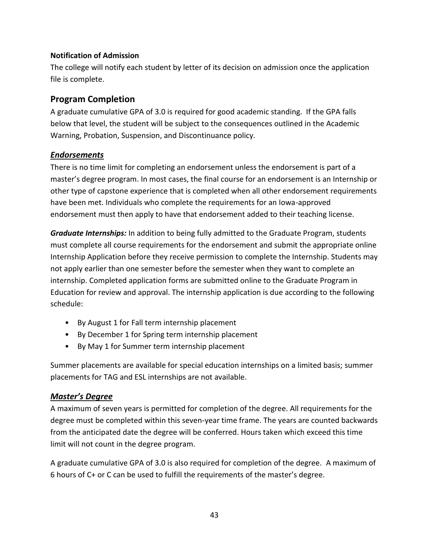### **Notification of Admission**

The college will notify each student by letter of its decision on admission once the application file is complete.

# **Program Completion**

A graduate cumulative GPA of 3.0 is required for good academic standing. If the GPA falls below that level, the student will be subject to the consequences outlined in the Academic Warning, Probation, Suspension, and Discontinuance policy.

# *Endorsements*

There is no time limit for completing an endorsement unless the endorsement is part of a master's degree program. In most cases, the final course for an endorsement is an Internship or other type of capstone experience that is completed when all other endorsement requirements have been met. Individuals who complete the requirements for an Iowa-approved endorsement must then apply to have that endorsement added to their teaching license.

*Graduate Internships:* In addition to being fully admitted to the Graduate Program, students must complete all course requirements for the endorsement and submit the appropriate online Internship Application before they receive permission to complete the Internship. Students may not apply earlier than one semester before the semester when they want to complete an internship. Completed application forms are submitted online to the Graduate Program in Education for review and approval. The internship application is due according to the following schedule:

- By August 1 for Fall term internship placement
- By December 1 for Spring term internship placement
- By May 1 for Summer term internship placement

Summer placements are available for special education internships on a limited basis; summer placements for TAG and ESL internships are not available.

# *Master's Degree*

A maximum of seven years is permitted for completion of the degree. All requirements for the degree must be completed within this seven-year time frame. The years are counted backwards from the anticipated date the degree will be conferred. Hours taken which exceed this time limit will not count in the degree program.

A graduate cumulative GPA of 3.0 is also required for completion of the degree. A maximum of 6 hours of C+ or C can be used to fulfill the requirements of the master's degree.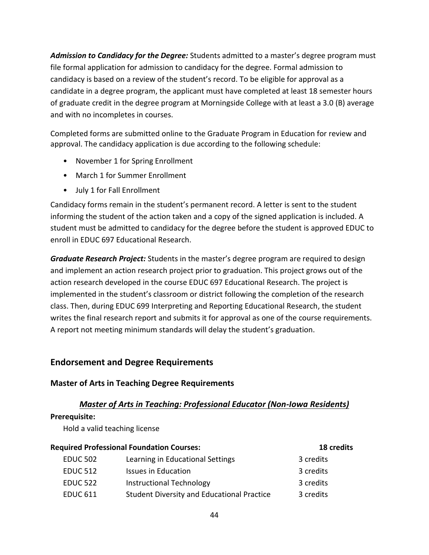*Admission to Candidacy for the Degree:* Students admitted to a master's degree program must file formal application for admission to candidacy for the degree. Formal admission to candidacy is based on a review of the student's record. To be eligible for approval as a candidate in a degree program, the applicant must have completed at least 18 semester hours of graduate credit in the degree program at Morningside College with at least a 3.0 (B) average and with no incompletes in courses.

Completed forms are submitted online to the Graduate Program in Education for review and approval. The candidacy application is due according to the following schedule:

- November 1 for Spring Enrollment
- March 1 for Summer Enrollment
- July 1 for Fall Enrollment

Candidacy forms remain in the student's permanent record. A letter is sent to the student informing the student of the action taken and a copy of the signed application is included. A student must be admitted to candidacy for the degree before the student is approved EDUC to enroll in EDUC 697 Educational Research.

*Graduate Research Project:* Students in the master's degree program are required to design and implement an action research project prior to graduation. This project grows out of the action research developed in the course EDUC 697 Educational Research. The project is implemented in the student's classroom or district following the completion of the research class. Then, during EDUC 699 Interpreting and Reporting Educational Research, the student writes the final research report and submits it for approval as one of the course requirements. A report not meeting minimum standards will delay the student's graduation.

# **Endorsement and Degree Requirements**

# **Master of Arts in Teaching Degree Requirements**

# *Master of Arts in Teaching: Professional Educator (Non-Iowa Residents)*

### **Prerequisite:**

Hold a valid teaching license

| <b>Required Professional Foundation Courses:</b> |                                                   | 18 credits |  |
|--------------------------------------------------|---------------------------------------------------|------------|--|
| <b>EDUC 502</b>                                  | Learning in Educational Settings                  | 3 credits  |  |
| <b>EDUC 512</b>                                  | <b>Issues in Education</b>                        | 3 credits  |  |
| <b>EDUC 522</b>                                  | <b>Instructional Technology</b>                   | 3 credits  |  |
| <b>EDUC 611</b>                                  | <b>Student Diversity and Educational Practice</b> | 3 credits  |  |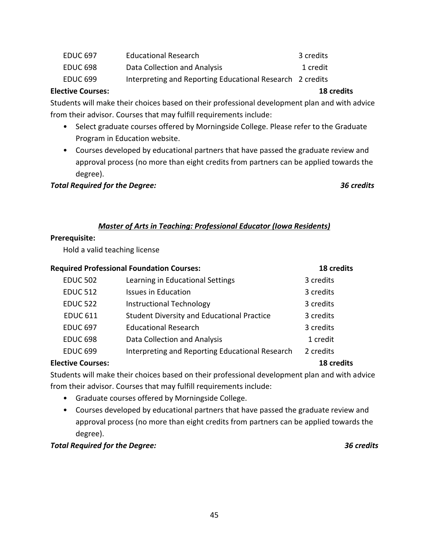| EDUC 697        | <b>Educational Research</b>                               | 3 credits |
|-----------------|-----------------------------------------------------------|-----------|
| <b>EDUC 698</b> | Data Collection and Analysis                              | 1 credit  |
| EDUC 699        | Interpreting and Reporting Educational Research 2 credits |           |

# **Elective Courses: 18 credits**

Students will make their choices based on their professional development plan and with advice from their advisor. Courses that may fulfill requirements include:

- Select graduate courses offered by Morningside College. Please refer to the Graduate Program in Education website.
- Courses developed by educational partners that have passed the graduate review and approval process (no more than eight credits from partners can be applied towards the degree).

### *Total Required for the Degree: 36 credits*

# *Master of Arts in Teaching: Professional Educator (Iowa Residents)*

### **Prerequisite:**

Hold a valid teaching license

| <b>Required Professional Foundation Courses:</b> |                                                   | 18 credits        |
|--------------------------------------------------|---------------------------------------------------|-------------------|
| <b>EDUC 502</b>                                  | Learning in Educational Settings                  | 3 credits         |
| <b>EDUC 512</b>                                  | <b>Issues in Education</b>                        | 3 credits         |
| <b>EDUC 522</b>                                  | <b>Instructional Technology</b>                   | 3 credits         |
| <b>EDUC 611</b>                                  | <b>Student Diversity and Educational Practice</b> | 3 credits         |
| <b>EDUC 697</b>                                  | <b>Educational Research</b>                       | 3 credits         |
| <b>EDUC 698</b>                                  | Data Collection and Analysis                      | 1 credit          |
| <b>EDUC 699</b>                                  | Interpreting and Reporting Educational Research   | 2 credits         |
| <b>Elective Courses:</b>                         |                                                   | <b>18 credits</b> |

Students will make their choices based on their professional development plan and with advice from their advisor. Courses that may fulfill requirements include:

- Graduate courses offered by Morningside College.
- Courses developed by educational partners that have passed the graduate review and approval process (no more than eight credits from partners can be applied towards the degree).

### *Total Required for the Degree: 36 credits*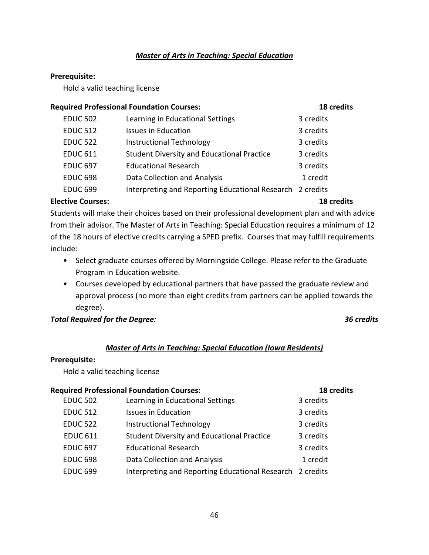### *Master of Arts in Teaching: Special Education*

### **Prerequisite:**

Hold a valid teaching license

| <b>Required Professional Foundation Courses:</b> |                                                           | 18 credits |  |
|--------------------------------------------------|-----------------------------------------------------------|------------|--|
| <b>EDUC 502</b>                                  | Learning in Educational Settings                          | 3 credits  |  |
| <b>EDUC 512</b>                                  | <b>Issues in Education</b>                                | 3 credits  |  |
| <b>EDUC 522</b>                                  | <b>Instructional Technology</b>                           | 3 credits  |  |
| <b>EDUC 611</b>                                  | <b>Student Diversity and Educational Practice</b>         | 3 credits  |  |
| <b>EDUC 697</b>                                  | <b>Educational Research</b>                               | 3 credits  |  |
| <b>EDUC 698</b>                                  | Data Collection and Analysis                              | 1 credit   |  |
| <b>EDUC 699</b>                                  | Interpreting and Reporting Educational Research 2 credits |            |  |
| <b>Elective Courses:</b>                         |                                                           | 18 credits |  |

Students will make their choices based on their professional development plan and with advice from their advisor. The Master of Arts in Teaching: Special Education requires a minimum of 12 of the 18 hours of elective credits carrying a SPED prefix. Courses that may fulfill requirements include:

- Select graduate courses offered by Morningside College. Please refer to the Graduate Program in Education website.
- Courses developed by educational partners that have passed the graduate review and approval process (no more than eight credits from partners can be applied towards the degree).

### *Total Required for the Degree: 36 credits*

### *Master of Arts in Teaching: Special Education (Iowa Residents)*

### **Prerequisite:**

Hold a valid teaching license

| <b>Required Professional Foundation Courses:</b> |                                                           | 18 credits |  |
|--------------------------------------------------|-----------------------------------------------------------|------------|--|
| <b>EDUC 502</b>                                  | Learning in Educational Settings                          | 3 credits  |  |
| <b>EDUC 512</b>                                  | <b>Issues in Education</b>                                | 3 credits  |  |
| <b>EDUC 522</b>                                  | <b>Instructional Technology</b>                           | 3 credits  |  |
| <b>EDUC 611</b>                                  | <b>Student Diversity and Educational Practice</b>         | 3 credits  |  |
| <b>EDUC 697</b>                                  | <b>Educational Research</b>                               | 3 credits  |  |
| <b>EDUC 698</b>                                  | Data Collection and Analysis                              | 1 credit   |  |
| <b>EDUC 699</b>                                  | Interpreting and Reporting Educational Research 2 credits |            |  |
|                                                  |                                                           |            |  |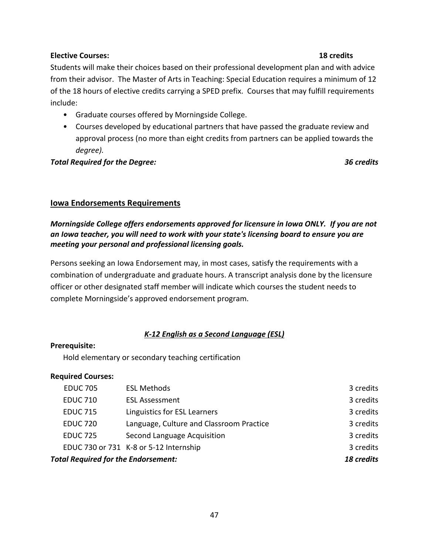### **Elective Courses: 18 credits**

Students will make their choices based on their professional development plan and with advice from their advisor. The Master of Arts in Teaching: Special Education requires a minimum of 12 of the 18 hours of elective credits carrying a SPED prefix. Courses that may fulfill requirements include:

- Graduate courses offered by Morningside College.
- Courses developed by educational partners that have passed the graduate review and approval process (no more than eight credits from partners can be applied towards the *degree).*

*Total Required for the Degree: 36 credits*

### **Iowa Endorsements Requirements**

# *Morningside College offers endorsements approved for licensure in Iowa ONLY. If you are not an Iowa teacher, you will need to work with your state's licensing board to ensure you are meeting your personal and professional licensing goals.*

Persons seeking an Iowa Endorsement may, in most cases, satisfy the requirements with a combination of undergraduate and graduate hours. A transcript analysis done by the licensure officer or other designated staff member will indicate which courses the student needs to complete Morningside's approved endorsement program.

# *K-12 English as a Second Language (ESL)*

### **Prerequisite:**

Hold elementary or secondary teaching certification

### **Required Courses:**

| <b>Total Required for the Endorsement:</b> |                                          | 18 credits |
|--------------------------------------------|------------------------------------------|------------|
|                                            | EDUC 730 or 731 K-8 or 5-12 Internship   | 3 credits  |
| <b>EDUC 725</b>                            | Second Language Acquisition              | 3 credits  |
| <b>EDUC 720</b>                            | Language, Culture and Classroom Practice | 3 credits  |
| <b>EDUC 715</b>                            | Linguistics for ESL Learners             | 3 credits  |
| <b>EDUC 710</b>                            | <b>ESL Assessment</b>                    | 3 credits  |
| <b>EDUC 705</b>                            | <b>ESL Methods</b>                       | 3 credits  |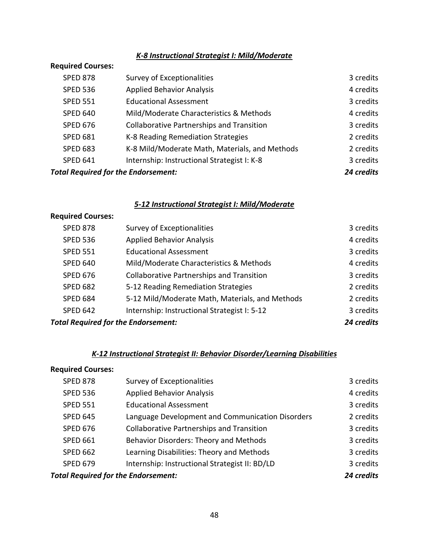# *K-8 Instructional Strategist I: Mild/Moderate*

### **Required Courses:**

| <b>Total Required for the Endorsement:</b> |                                                  | 24 credits |
|--------------------------------------------|--------------------------------------------------|------------|
| <b>SPED 641</b>                            | Internship: Instructional Strategist I: K-8      | 3 credits  |
| <b>SPED 683</b>                            | K-8 Mild/Moderate Math, Materials, and Methods   | 2 credits  |
| <b>SPED 681</b>                            | K-8 Reading Remediation Strategies               | 2 credits  |
| <b>SPED 676</b>                            | <b>Collaborative Partnerships and Transition</b> | 3 credits  |
| <b>SPED 640</b>                            | Mild/Moderate Characteristics & Methods          | 4 credits  |
| <b>SPED 551</b>                            | <b>Educational Assessment</b>                    | 3 credits  |
| <b>SPED 536</b>                            | <b>Applied Behavior Analysis</b>                 | 4 credits  |
| <b>SPED 878</b>                            | Survey of Exceptionalities                       | 3 credits  |

# *5-12 Instructional Strategist I: Mild/Moderate*

### **Required Courses:**

| <b>Total Required for the Endorsement:</b> |                                                  | 24 credits |
|--------------------------------------------|--------------------------------------------------|------------|
| <b>SPED 642</b>                            | Internship: Instructional Strategist I: 5-12     | 3 credits  |
| <b>SPED 684</b>                            | 5-12 Mild/Moderate Math, Materials, and Methods  | 2 credits  |
| <b>SPED 682</b>                            | 5-12 Reading Remediation Strategies              | 2 credits  |
| <b>SPED 676</b>                            | <b>Collaborative Partnerships and Transition</b> | 3 credits  |
| <b>SPED 640</b>                            | Mild/Moderate Characteristics & Methods          | 4 credits  |
| <b>SPED 551</b>                            | <b>Educational Assessment</b>                    | 3 credits  |
| <b>SPED 536</b>                            | <b>Applied Behavior Analysis</b>                 | 4 credits  |
| <b>SPED 878</b>                            | Survey of Exceptionalities                       | 3 credits  |

# *K-12 Instructional Strategist II: Behavior Disorder/Learning Disabilities*

# **Required Courses:**

| <b>SPED 878</b>                            | Survey of Exceptionalities                       | 3 credits |
|--------------------------------------------|--------------------------------------------------|-----------|
| <b>SPED 536</b>                            | <b>Applied Behavior Analysis</b>                 | 4 credits |
| <b>SPED 551</b>                            | <b>Educational Assessment</b>                    | 3 credits |
| <b>SPED 645</b>                            | Language Development and Communication Disorders | 2 credits |
| <b>SPED 676</b>                            | <b>Collaborative Partnerships and Transition</b> | 3 credits |
| <b>SPED 661</b>                            | Behavior Disorders: Theory and Methods           | 3 credits |
| <b>SPED 662</b>                            | Learning Disabilities: Theory and Methods        | 3 credits |
| <b>SPED 679</b>                            | Internship: Instructional Strategist II: BD/LD   | 3 credits |
| <b>Total Required for the Endorsement:</b> |                                                  |           |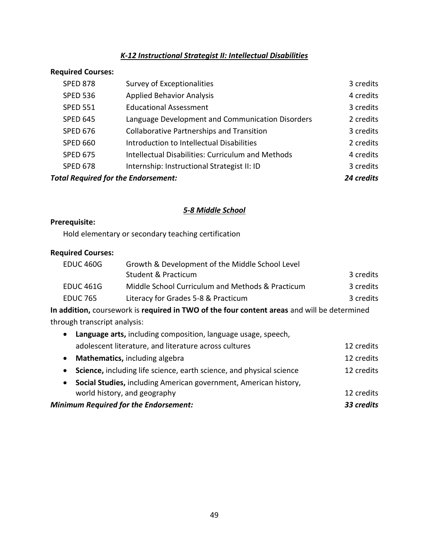# *K-12 Instructional Strategist II: Intellectual Disabilities*

### **Required Courses:**

| <b>SPED 878</b>                            | Survey of Exceptionalities                               | 3 credits  |
|--------------------------------------------|----------------------------------------------------------|------------|
| <b>SPED 536</b>                            | <b>Applied Behavior Analysis</b>                         | 4 credits  |
| <b>SPED 551</b>                            | <b>Educational Assessment</b>                            | 3 credits  |
| <b>SPED 645</b>                            | Language Development and Communication Disorders         | 2 credits  |
| <b>SPED 676</b>                            | <b>Collaborative Partnerships and Transition</b>         | 3 credits  |
| <b>SPED 660</b>                            | Introduction to Intellectual Disabilities                | 2 credits  |
| <b>SPED 675</b>                            | <b>Intellectual Disabilities: Curriculum and Methods</b> | 4 credits  |
| <b>SPED 678</b>                            | Internship: Instructional Strategist II: ID              | 3 credits  |
| <b>Total Required for the Endorsement:</b> |                                                          | 24 credits |

# *5-8 Middle School*

# **Prerequisite:**

Hold elementary or secondary teaching certification

# **Required Courses:**

| EDUC 460G       | Growth & Development of the Middle School Level  |           |
|-----------------|--------------------------------------------------|-----------|
|                 | Student & Practicum                              | 3 credits |
| EDUC 461G       | Middle School Curriculum and Methods & Practicum | 3 credits |
| <b>EDUC 765</b> | Literacy for Grades 5-8 & Practicum              | 3 credits |
|                 |                                                  |           |

**In addition,** coursework is **required in TWO of the four content areas** and will be determined through transcript analysis:

| <b>Minimum Required for the Endorsement:</b>                                  | 33 credits |
|-------------------------------------------------------------------------------|------------|
| world history, and geography                                                  | 12 credits |
| Social Studies, including American government, American history,<br>$\bullet$ |            |
| Science, including life science, earth science, and physical science          | 12 credits |
| Mathematics, including algebra<br>$\bullet$                                   | 12 credits |
| adolescent literature, and literature across cultures                         | 12 credits |
| Language arts, including composition, language usage, speech,                 |            |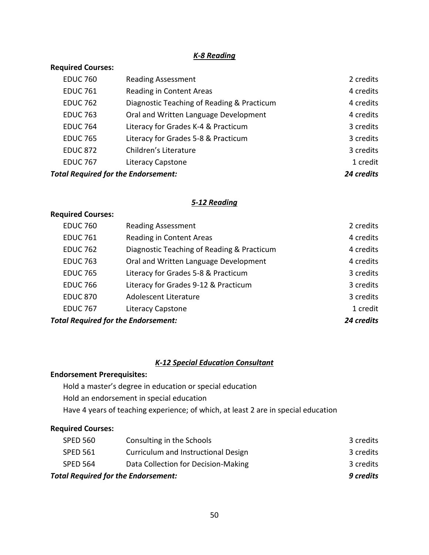### *K-8 Reading*

# **Required Courses:**

| <b>EDUC 760</b>                            | <b>Reading Assessment</b>                  | 2 credits  |
|--------------------------------------------|--------------------------------------------|------------|
| <b>EDUC 761</b>                            | Reading in Content Areas                   | 4 credits  |
| <b>EDUC 762</b>                            | Diagnostic Teaching of Reading & Practicum | 4 credits  |
| <b>EDUC 763</b>                            | Oral and Written Language Development      | 4 credits  |
| <b>EDUC 764</b>                            | Literacy for Grades K-4 & Practicum        | 3 credits  |
| <b>EDUC 765</b>                            | Literacy for Grades 5-8 & Practicum        | 3 credits  |
| <b>EDUC 872</b>                            | Children's Literature                      | 3 credits  |
| <b>EDUC 767</b>                            | Literacy Capstone                          | 1 credit   |
| <b>Total Required for the Endorsement:</b> |                                            | 24 credits |

### *5-12 Reading*

# **Required Courses:**

| <b>Total Required for the Endorsement:</b> |                                            | 24 credits |
|--------------------------------------------|--------------------------------------------|------------|
| <b>EDUC 767</b>                            | <b>Literacy Capstone</b>                   | 1 credit   |
| <b>EDUC 870</b>                            | Adolescent Literature                      | 3 credits  |
| <b>EDUC 766</b>                            | Literacy for Grades 9-12 & Practicum       | 3 credits  |
| <b>EDUC 765</b>                            | Literacy for Grades 5-8 & Practicum        | 3 credits  |
| <b>EDUC 763</b>                            | Oral and Written Language Development      | 4 credits  |
| <b>EDUC 762</b>                            | Diagnostic Teaching of Reading & Practicum | 4 credits  |
| <b>EDUC 761</b>                            | Reading in Content Areas                   | 4 credits  |
| <b>EDUC 760</b>                            | <b>Reading Assessment</b>                  | 2 credits  |

# *K-12 Special Education Consultant*

### **Endorsement Prerequisites:**

Hold a master's degree in education or special education Hold an endorsement in special education Have 4 years of teaching experience; of which, at least 2 are in special education

# **Required Courses:**

| <b>Total Required for the Endorsement:</b> |                                     | 9 credits |
|--------------------------------------------|-------------------------------------|-----------|
| SPED 564                                   | Data Collection for Decision-Making | 3 credits |
| <b>SPED 561</b>                            | Curriculum and Instructional Design | 3 credits |
| SPED 560                                   | Consulting in the Schools           | 3 credits |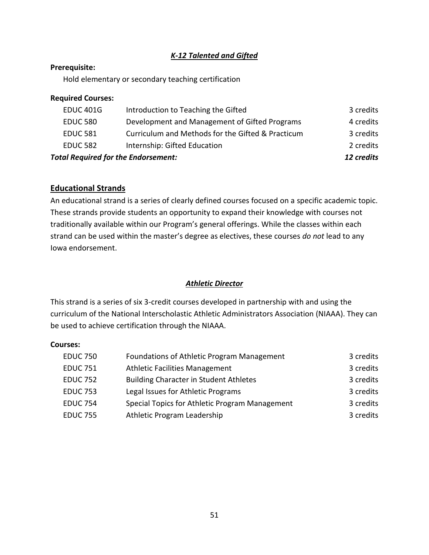# *K-12 Talented and Gifted*

### **Prerequisite:**

Hold elementary or secondary teaching certification

### **Required Courses:**

| <b>Total Required for the Endorsement:</b> |                                                   | 12 credits |
|--------------------------------------------|---------------------------------------------------|------------|
| <b>EDUC 582</b>                            | Internship: Gifted Education                      | 2 credits  |
| <b>EDUC 581</b>                            | Curriculum and Methods for the Gifted & Practicum | 3 credits  |
| <b>EDUC 580</b>                            | Development and Management of Gifted Programs     | 4 credits  |
| <b>EDUC 401G</b>                           | Introduction to Teaching the Gifted               | 3 credits  |
|                                            |                                                   |            |

# **Educational Strands**

An educational strand is a series of clearly defined courses focused on a specific academic topic. These strands provide students an opportunity to expand their knowledge with courses not traditionally available within our Program's general offerings. While the classes within each strand can be used within the master's degree as electives, these courses *do not* lead to any Iowa endorsement.

# *Athletic Director*

This strand is a series of six 3-credit courses developed in partnership with and using the curriculum of the National Interscholastic Athletic Administrators Association (NIAAA). They can be used to achieve certification through the NIAAA.

### **Courses:**

| <b>EDUC 750</b> | Foundations of Athletic Program Management     | 3 credits |
|-----------------|------------------------------------------------|-----------|
| <b>EDUC 751</b> | <b>Athletic Facilities Management</b>          | 3 credits |
| <b>EDUC 752</b> | <b>Building Character in Student Athletes</b>  | 3 credits |
| <b>EDUC 753</b> | Legal Issues for Athletic Programs             | 3 credits |
| <b>EDUC 754</b> | Special Topics for Athletic Program Management | 3 credits |
| <b>EDUC 755</b> | Athletic Program Leadership                    | 3 credits |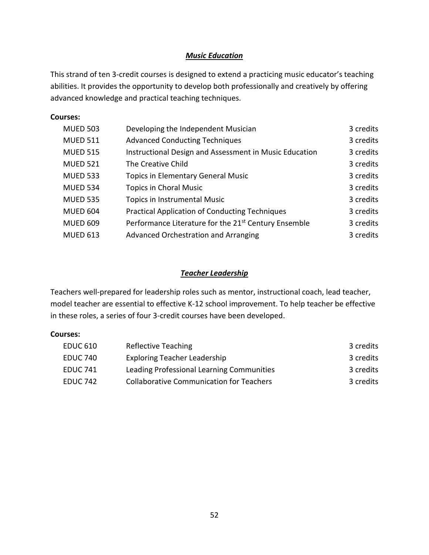# *Music Education*

This strand of ten 3-credit courses is designed to extend a practicing music educator's teaching abilities. It provides the opportunity to develop both professionally and creatively by offering advanced knowledge and practical teaching techniques.

### **Courses:**

| <b>MUED 503</b> | Developing the Independent Musician                              | 3 credits |
|-----------------|------------------------------------------------------------------|-----------|
| <b>MUED 511</b> | <b>Advanced Conducting Techniques</b>                            | 3 credits |
| <b>MUED 515</b> | Instructional Design and Assessment in Music Education           | 3 credits |
| <b>MUED 521</b> | The Creative Child                                               | 3 credits |
| <b>MUED 533</b> | <b>Topics in Elementary General Music</b>                        | 3 credits |
| <b>MUED 534</b> | <b>Topics in Choral Music</b>                                    | 3 credits |
| <b>MUED 535</b> | Topics in Instrumental Music                                     | 3 credits |
| <b>MUED 604</b> | <b>Practical Application of Conducting Techniques</b>            | 3 credits |
| <b>MUED 609</b> | Performance Literature for the 21 <sup>st</sup> Century Ensemble | 3 credits |
| <b>MUED 613</b> | Advanced Orchestration and Arranging                             | 3 credits |

### *Teacher Leadership*

Teachers well-prepared for leadership roles such as mentor, instructional coach, lead teacher, model teacher are essential to effective K-12 school improvement. To help teacher be effective in these roles, a series of four 3-credit courses have been developed.

### **Courses:**

| <b>EDUC 610</b> | Reflective Teaching                             | 3 credits |
|-----------------|-------------------------------------------------|-----------|
| <b>EDUC 740</b> | <b>Exploring Teacher Leadership</b>             | 3 credits |
| <b>EDUC 741</b> | Leading Professional Learning Communities       | 3 credits |
| <b>EDUC 742</b> | <b>Collaborative Communication for Teachers</b> | 3 credits |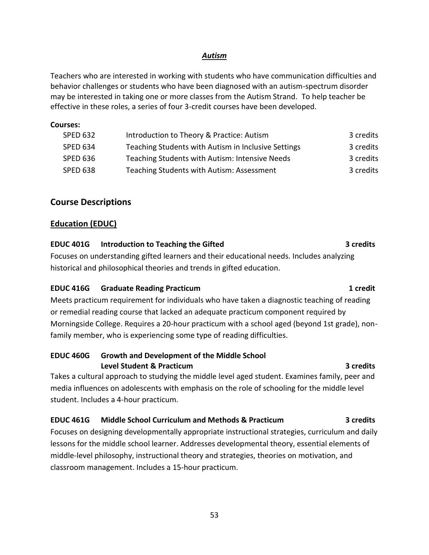### *Autism*

Teachers who are interested in working with students who have communication difficulties and behavior challenges or students who have been diagnosed with an autism-spectrum disorder may be interested in taking one or more classes from the Autism Strand. To help teacher be effective in these roles, a series of four 3-credit courses have been developed.

### **Courses:**

| <b>SPED 632</b> | Introduction to Theory & Practice: Autism           | 3 credits |
|-----------------|-----------------------------------------------------|-----------|
| SPED 634        | Teaching Students with Autism in Inclusive Settings | 3 credits |
| <b>SPED 636</b> | Teaching Students with Autism: Intensive Needs      | 3 credits |
| SPED 638        | Teaching Students with Autism: Assessment           | 3 credits |

# **Course Descriptions**

# **Education (EDUC)**

### **EDUC 401G Introduction to Teaching the Gifted 3 credits**

Focuses on understanding gifted learners and their educational needs. Includes analyzing historical and philosophical theories and trends in gifted education.

# **EDUC 416G Graduate Reading Practicum 1 credit**

Meets practicum requirement for individuals who have taken a diagnostic teaching of reading or remedial reading course that lacked an adequate practicum component required by Morningside College. Requires a 20-hour practicum with a school aged (beyond 1st grade), nonfamily member, who is experiencing some type of reading difficulties.

### **EDUC 460G Growth and Development of the Middle School Level Student & Practicum 3 credits**

Takes a cultural approach to studying the middle level aged student. Examines family, peer and media influences on adolescents with emphasis on the role of schooling for the middle level student. Includes a 4-hour practicum.

# **EDUC 461G Middle School Curriculum and Methods & Practicum 3 credits**

Focuses on designing developmentally appropriate instructional strategies, curriculum and daily lessons for the middle school learner. Addresses developmental theory, essential elements of middle-level philosophy, instructional theory and strategies, theories on motivation, and classroom management. Includes a 15-hour practicum.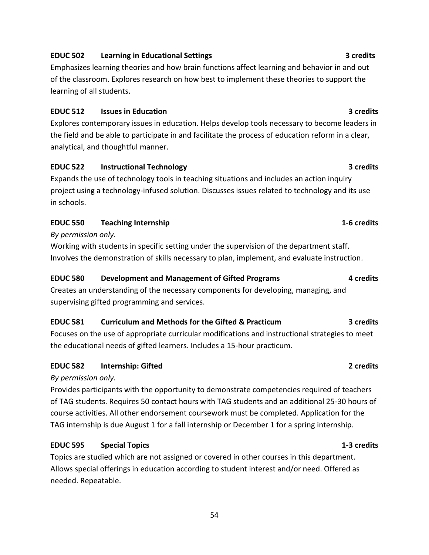# **EDUC 522 Instructional Technology 3 credits**

Expands the use of technology tools in teaching situations and includes an action inquiry project using a technology-infused solution. Discusses issues related to technology and its use in schools.

Emphasizes learning theories and how brain functions affect learning and behavior in and out of the classroom. Explores research on how best to implement these theories to support the

**EDUC 512 Issues in Education 3 credits**

the field and be able to participate in and facilitate the process of education reform in a clear,

### **EDUC 550 Teaching Internship 1-6 credits**

analytical, and thoughtful manner.

### *By permission only.*

learning of all students.

Working with students in specific setting under the supervision of the department staff. Involves the demonstration of skills necessary to plan, implement, and evaluate instruction.

### **EDUC 580 Development and Management of Gifted Programs 4 credits**

Creates an understanding of the necessary components for developing, managing, and supervising gifted programming and services.

### **EDUC 581 Curriculum and Methods for the Gifted & Practicum 3 credits**

Focuses on the use of appropriate curricular modifications and instructional strategies to meet the educational needs of gifted learners. Includes a 15-hour practicum.

### **EDUC 582 Internship: Gifted 2 credits**

### *By permission only.*

Provides participants with the opportunity to demonstrate competencies required of teachers of TAG students. Requires 50 contact hours with TAG students and an additional 25-30 hours of course activities. All other endorsement coursework must be completed. Application for the TAG internship is due August 1 for a fall internship or December 1 for a spring internship.

### **EDUC 595 Special Topics 1-3 credits**

Topics are studied which are not assigned or covered in other courses in this department. Allows special offerings in education according to student interest and/or need. Offered as needed. Repeatable.

# Explores contemporary issues in education. Helps develop tools necessary to become leaders in

### 54

### **EDUC 502 Learning in Educational Settings 3 credits**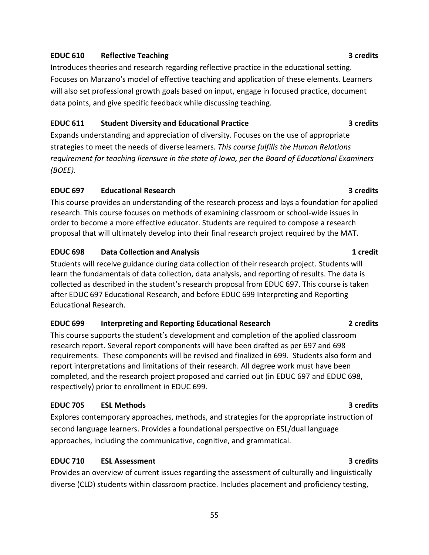### **EDUC 610 Reflective Teaching 3 credits**

Introduces theories and research regarding reflective practice in the educational setting. Focuses on Marzano's model of effective teaching and application of these elements. Learners will also set professional growth goals based on input, engage in focused practice, document data points, and give specific feedback while discussing teaching.

### **EDUC 611 Student Diversity and Educational Practice 3 credits**

Expands understanding and appreciation of diversity. Focuses on the use of appropriate strategies to meet the needs of diverse learners*. This course fulfills the Human Relations requirement for teaching licensure in the state of Iowa, per the Board of Educational Examiners (BOEE).* 

### **EDUC 697 Educational Research 3 credits**

This course provides an understanding of the research process and lays a foundation for applied research. This course focuses on methods of examining classroom or school-wide issues in order to become a more effective educator. Students are required to compose a research proposal that will ultimately develop into their final research project required by the MAT.

### **EDUC 698 Data Collection and Analysis 1 credit**

Students will receive guidance during data collection of their research project. Students will learn the fundamentals of data collection, data analysis, and reporting of results. The data is collected as described in the student's research proposal from EDUC 697. This course is taken after EDUC 697 Educational Research, and before EDUC 699 Interpreting and Reporting Educational Research.

### **EDUC 699 Interpreting and Reporting Educational Research 2 credits**

This course supports the student's development and completion of the applied classroom research report. Several report components will have been drafted as per 697 and 698 requirements. These components will be revised and finalized in 699. Students also form and report interpretations and limitations of their research. All degree work must have been completed, and the research project proposed and carried out (in EDUC 697 and EDUC 698, respectively) prior to enrollment in EDUC 699.

### **EDUC 705 ESL Methods 3 credits**

Explores contemporary approaches, methods, and strategies for the appropriate instruction of second language learners. Provides a foundational perspective on ESL/dual language approaches, including the communicative, cognitive, and grammatical.

# **EDUC 710 ESL Assessment 3 credits**

Provides an overview of current issues regarding the assessment of culturally and linguistically diverse (CLD) students within classroom practice. Includes placement and proficiency testing,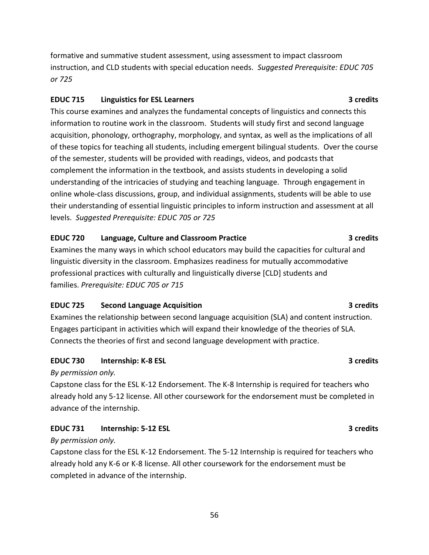formative and summative student assessment, using assessment to impact classroom instruction, and CLD students with special education needs. *Suggested Prerequisite: EDUC 705 or 725*

# **EDUC 715 Linguistics for ESL Learners 3 credits**

This course examines and analyzes the fundamental concepts of linguistics and connects this information to routine work in the classroom. Students will study first and second language acquisition, phonology, orthography, morphology, and syntax, as well as the implications of all of these topics for teaching all students, including emergent bilingual students. Over the course of the semester, students will be provided with readings, videos, and podcasts that complement the information in the textbook, and assists students in developing a solid understanding of the intricacies of studying and teaching language. Through engagement in online whole-class discussions, group, and individual assignments, students will be able to use their understanding of essential linguistic principles to inform instruction and assessment at all levels. *Suggested Prerequisite: EDUC 705 or 725*

# **EDUC 720 Language, Culture and Classroom Practice 3 credits**

Examines the many ways in which school educators may build the capacities for cultural and linguistic diversity in the classroom. Emphasizes readiness for mutually accommodative professional practices with culturally and linguistically diverse [CLD] students and families. *Prerequisite: EDUC 705 or 715*

# **EDUC 725 Second Language Acquisition 3 credits**

Examines the relationship between second language acquisition (SLA) and content instruction. Engages participant in activities which will expand their knowledge of the theories of SLA. Connects the theories of first and second language development with practice.

# **EDUC 730 Internship: K-8 ESL 3 credits**

*By permission only.*

Capstone class for the ESL K-12 Endorsement. The K-8 Internship is required for teachers who already hold any 5-12 license. All other coursework for the endorsement must be completed in advance of the internship.

# **EDUC 731 Internship: 5-12 ESL 3 credits**

### *By permission only.*

Capstone class for the ESL K-12 Endorsement. The 5-12 Internship is required for teachers who already hold any K-6 or K-8 license. All other coursework for the endorsement must be completed in advance of the internship.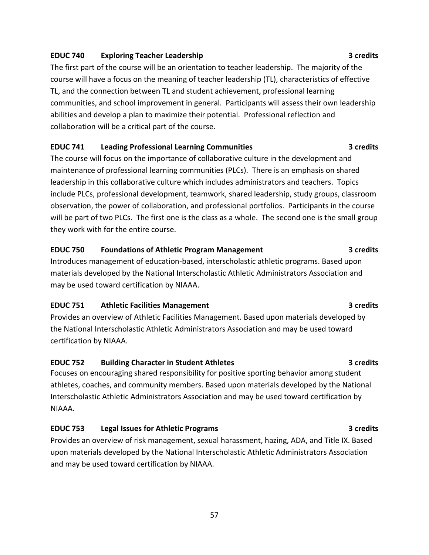### **EDUC 740 Exploring Teacher Leadership 3 credits**

The first part of the course will be an orientation to teacher leadership. The majority of the course will have a focus on the meaning of teacher leadership (TL), characteristics of effective TL, and the connection between TL and student achievement, professional learning communities, and school improvement in general. Participants will assess their own leadership abilities and develop a plan to maximize their potential. Professional reflection and collaboration will be a critical part of the course.

# **EDUC 741 Leading Professional Learning Communities 3 credits**

The course will focus on the importance of collaborative culture in the development and maintenance of professional learning communities (PLCs). There is an emphasis on shared leadership in this collaborative culture which includes administrators and teachers. Topics include PLCs, professional development, teamwork, shared leadership, study groups, classroom observation, the power of collaboration, and professional portfolios. Participants in the course will be part of two PLCs. The first one is the class as a whole. The second one is the small group they work with for the entire course.

### **EDUC 750 Foundations of Athletic Program Management 3 credits**

Introduces management of education-based, interscholastic athletic programs. Based upon materials developed by the National Interscholastic Athletic Administrators Association and may be used toward certification by NIAAA.

# **EDUC 751 Athletic Facilities Management 3 credits**

Provides an overview of Athletic Facilities Management. Based upon materials developed by the National Interscholastic Athletic Administrators Association and may be used toward certification by NIAAA.

# **EDUC 752 Building Character in Student Athletes 3 credits**

Focuses on encouraging shared responsibility for positive sporting behavior among student athletes, coaches, and community members. Based upon materials developed by the National Interscholastic Athletic Administrators Association and may be used toward certification by NIAAA.

# **EDUC 753 Legal Issues for Athletic Programs 3 credits**

Provides an overview of risk management, sexual harassment, hazing, ADA, and Title IX. Based upon materials developed by the National Interscholastic Athletic Administrators Association and may be used toward certification by NIAAA.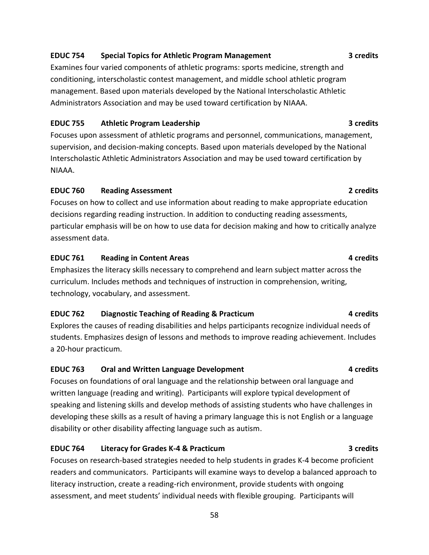# **EDUC 754 Special Topics for Athletic Program Management 3 credits**

Examines four varied components of athletic programs: sports medicine, strength and conditioning, interscholastic contest management, and middle school athletic program management. Based upon materials developed by the National Interscholastic Athletic Administrators Association and may be used toward certification by NIAAA.

### **EDUC 755 Athletic Program Leadership 3 credits**

Focuses upon assessment of athletic programs and personnel, communications, management, supervision, and decision-making concepts. Based upon materials developed by the National Interscholastic Athletic Administrators Association and may be used toward certification by NIAAA.

### **EDUC 760 Reading Assessment 2 credits**

Focuses on how to collect and use information about reading to make appropriate education decisions regarding reading instruction. In addition to conducting reading assessments, particular emphasis will be on how to use data for decision making and how to critically analyze assessment data.

### **EDUC 761 Reading in Content Areas 4 credits**

Emphasizes the literacy skills necessary to comprehend and learn subject matter across the curriculum. Includes methods and techniques of instruction in comprehension, writing, technology, vocabulary, and assessment.

# **EDUC 762 Diagnostic Teaching of Reading & Practicum 4 credits**

Explores the causes of reading disabilities and helps participants recognize individual needs of students. Emphasizes design of lessons and methods to improve reading achievement. Includes a 20-hour practicum.

### **EDUC 763 Oral and Written Language Development 4 credits**

Focuses on foundations of oral language and the relationship between oral language and written language (reading and writing). Participants will explore typical development of speaking and listening skills and develop methods of assisting students who have challenges in developing these skills as a result of having a primary language this is not English or a language disability or other disability affecting language such as autism.

# **EDUC 764 Literacy for Grades K-4 & Practicum 3 credits**

Focuses on research-based strategies needed to help students in grades K-4 become proficient readers and communicators. Participants will examine ways to develop a balanced approach to literacy instruction, create a reading-rich environment, provide students with ongoing assessment, and meet students' individual needs with flexible grouping. Participants will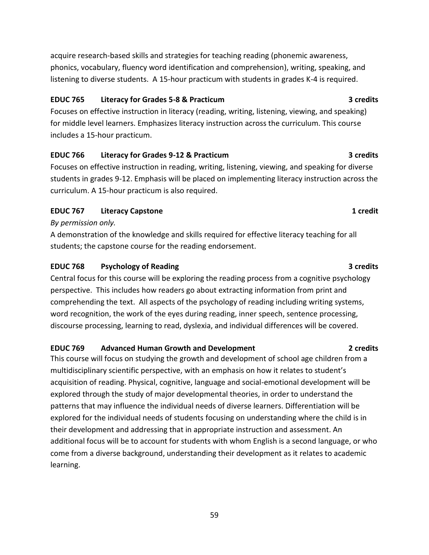acquire research-based skills and strategies for teaching reading (phonemic awareness, phonics, vocabulary, fluency word identification and comprehension), writing, speaking, and listening to diverse students. A 15-hour practicum with students in grades K-4 is required.

### **EDUC 765 Literacy for Grades 5-8 & Practicum 3 credits**

Focuses on effective instruction in literacy (reading, writing, listening, viewing, and speaking) for middle level learners. Emphasizes literacy instruction across the curriculum. This course includes a 15-hour practicum.

# **EDUC 766 Literacy for Grades 9-12 & Practicum 3 credits**

Focuses on effective instruction in reading, writing, listening, viewing, and speaking for diverse students in grades 9-12. Emphasis will be placed on implementing literacy instruction across the curriculum. A 15-hour practicum is also required.

# **EDUC 767 Literacy Capstone 1 credit**

### *By permission only.*

A demonstration of the knowledge and skills required for effective literacy teaching for all students; the capstone course for the reading endorsement.

### **EDUC 768 Psychology of Reading 3 credits**

Central focus for this course will be exploring the reading process from a cognitive psychology perspective. This includes how readers go about extracting information from print and comprehending the text. All aspects of the psychology of reading including writing systems, word recognition, the work of the eyes during reading, inner speech, sentence processing, discourse processing, learning to read, dyslexia, and individual differences will be covered.

# **EDUC 769 Advanced Human Growth and Development 2 credits**

This course will focus on studying the growth and development of school age children from a multidisciplinary scientific perspective, with an emphasis on how it relates to student's acquisition of reading. Physical, cognitive, language and social-emotional development will be explored through the study of major developmental theories, in order to understand the patterns that may influence the individual needs of diverse learners. Differentiation will be explored for the individual needs of students focusing on understanding where the child is in their development and addressing that in appropriate instruction and assessment. An additional focus will be to account for students with whom English is a second language, or who come from a diverse background, understanding their development as it relates to academic learning.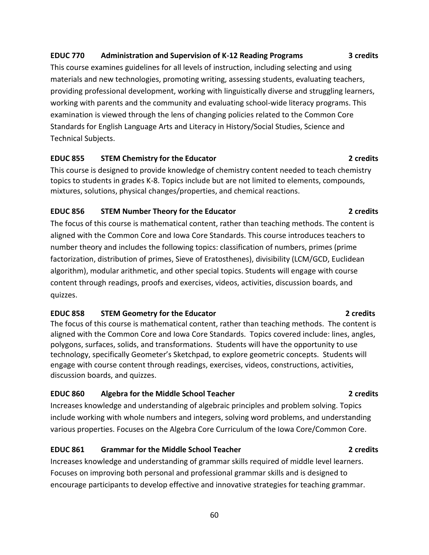# **EDUC 770 Administration and Supervision of K-12 Reading Programs 3 credits**

This course examines guidelines for all levels of instruction, including selecting and using materials and new technologies, promoting writing, assessing students, evaluating teachers, providing professional development, working with linguistically diverse and struggling learners, working with parents and the community and evaluating school-wide literacy programs. This examination is viewed through the lens of changing policies related to the Common Core Standards for English Language Arts and Literacy in History/Social Studies, Science and Technical Subjects.

### **EDUC 855 STEM Chemistry for the Educator 2 credits**

This course is designed to provide knowledge of chemistry content needed to teach chemistry topics to students in grades K-8. Topics include but are not limited to elements, compounds, mixtures, solutions, physical changes/properties, and chemical reactions.

### **EDUC 856 STEM Number Theory for the Educator 2 credits**

The focus of this course is mathematical content, rather than teaching methods. The content is aligned with the Common Core and Iowa Core Standards. This course introduces teachers to number theory and includes the following topics: classification of numbers, primes (prime factorization, distribution of primes, Sieve of Eratosthenes), divisibility (LCM/GCD, Euclidean algorithm), modular arithmetic, and other special topics. Students will engage with course content through readings, proofs and exercises, videos, activities, discussion boards, and quizzes.

### **EDUC 858 STEM Geometry for the Educator 2 credits**

The focus of this course is mathematical content, rather than teaching methods. The content is aligned with the Common Core and Iowa Core Standards. Topics covered include: lines, angles, polygons, surfaces, solids, and transformations. Students will have the opportunity to use technology, specifically Geometer's Sketchpad, to explore geometric concepts. Students will engage with course content through readings, exercises, videos, constructions, activities, discussion boards, and quizzes.

# **EDUC 860 Algebra for the Middle School Teacher 2 credits**

Increases knowledge and understanding of algebraic principles and problem solving. Topics include working with whole numbers and integers, solving word problems, and understanding various properties. Focuses on the Algebra Core Curriculum of the Iowa Core/Common Core.

# **EDUC 861 Grammar for the Middle School Teacher 2 credits**

Increases knowledge and understanding of grammar skills required of middle level learners. Focuses on improving both personal and professional grammar skills and is designed to encourage participants to develop effective and innovative strategies for teaching grammar.

60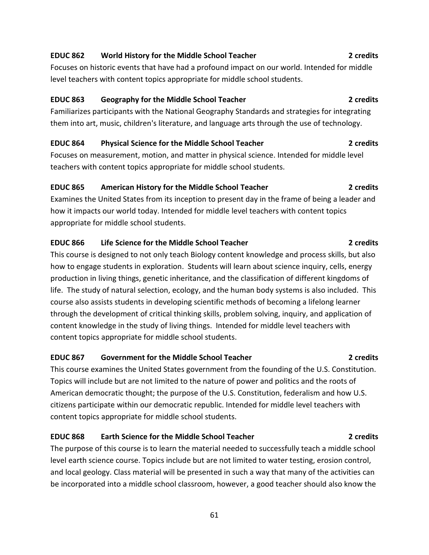# This course examines the United States government from the founding of the U.S. Constitution.

Topics will include but are not limited to the nature of power and politics and the roots of American democratic thought; the purpose of the U.S. Constitution, federalism and how U.S. citizens participate within our democratic republic. Intended for middle level teachers with content topics appropriate for middle school students.

**EDUC 867 Government for the Middle School Teacher 2 credits**

### **EDUC 868 Earth Science for the Middle School Teacher 2 credits**

The purpose of this course is to learn the material needed to successfully teach a middle school level earth science course. Topics include but are not limited to water testing, erosion control, and local geology. Class material will be presented in such a way that many of the activities can be incorporated into a middle school classroom, however, a good teacher should also know the

61

Focuses on historic events that have had a profound impact on our world. Intended for middle level teachers with content topics appropriate for middle school students.

**EDUC 862 World History for the Middle School Teacher 2 credits**

### **EDUC 863 Geography for the Middle School Teacher 2 credits**

Familiarizes participants with the National Geography Standards and strategies for integrating them into art, music, children's literature, and language arts through the use of technology.

### **EDUC 864 Physical Science for the Middle School Teacher 2 credits**

Focuses on measurement, motion, and matter in physical science. Intended for middle level teachers with content topics appropriate for middle school students.

### **EDUC 865 American History for the Middle School Teacher 2 credits**

Examines the United States from its inception to present day in the frame of being a leader and how it impacts our world today. Intended for middle level teachers with content topics appropriate for middle school students.

### **EDUC 866 Life Science for the Middle School Teacher 2 credits**

This course is designed to not only teach Biology content knowledge and process skills, but also how to engage students in exploration. Students will learn about science inquiry, cells, energy production in living things, genetic inheritance, and the classification of different kingdoms of life. The study of natural selection, ecology, and the human body systems is also included. This course also assists students in developing scientific methods of becoming a lifelong learner through the development of critical thinking skills, problem solving, inquiry, and application of content knowledge in the study of living things. Intended for middle level teachers with content topics appropriate for middle school students.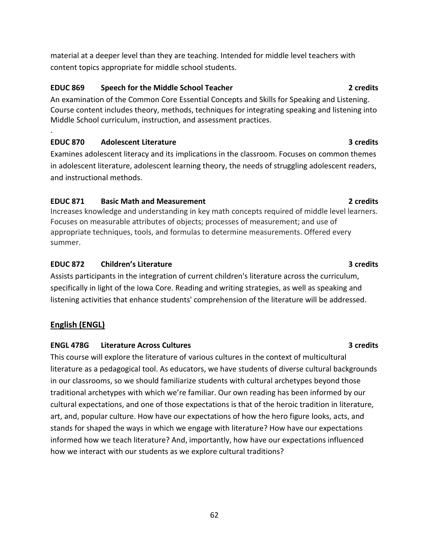material at a deeper level than they are teaching. Intended for middle level teachers with content topics appropriate for middle school students.

# **EDUC 869 Speech for the Middle School Teacher 2 credits**

An examination of the Common Core Essential Concepts and Skills for Speaking and Listening. Course content includes theory, methods, techniques for integrating speaking and listening into Middle School curriculum, instruction, and assessment practices.

# **EDUC 870 Adolescent Literature 3 credits**

.

Examines adolescent literacy and its implications in the classroom. Focuses on common themes in adolescent literature, adolescent learning theory, the needs of struggling adolescent readers, and instructional methods.

# **EDUC 871 Basic Math and Measurement 2 credits**

Increases knowledge and understanding in key math concepts required of middle level learners. Focuses on measurable attributes of objects; processes of measurement; and use of appropriate techniques, tools, and formulas to determine measurements. Offered every summer.

# **EDUC 872 Children's Literature 3 credits**

Assists participants in the integration of current children's literature across the curriculum, specifically in light of the Iowa Core. Reading and writing strategies, as well as speaking and listening activities that enhance students' comprehension of the literature will be addressed.

# **English (ENGL)**

# **ENGL 478G Literature Across Cultures 3 credits**

This course will explore the literature of various cultures in the context of multicultural literature as a pedagogical tool. As educators, we have students of diverse cultural backgrounds in our classrooms, so we should familiarize students with cultural archetypes beyond those traditional archetypes with which we're familiar. Our own reading has been informed by our cultural expectations, and one of those expectations is that of the heroic tradition in literature, art, and, popular culture. How have our expectations of how the hero figure looks, acts, and stands for shaped the ways in which we engage with literature? How have our expectations informed how we teach literature? And, importantly, how have our expectations influenced how we interact with our students as we explore cultural traditions?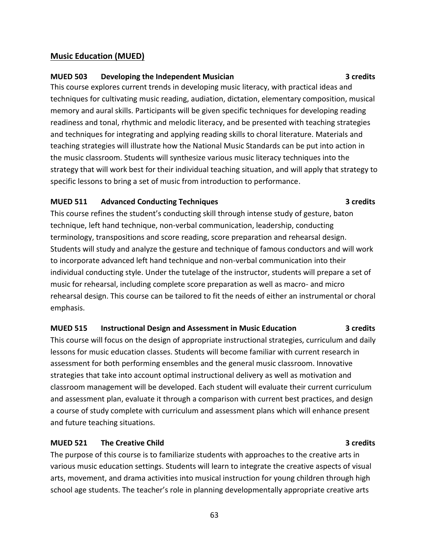### **Music Education (MUED)**

### **MUED 503 Developing the Independent Musician 3 credits**

This course explores current trends in developing music literacy, with practical ideas and techniques for cultivating music reading, audiation, dictation, elementary composition, musical memory and aural skills. Participants will be given specific techniques for developing reading readiness and tonal, rhythmic and melodic literacy, and be presented with teaching strategies and techniques for integrating and applying reading skills to choral literature. Materials and teaching strategies will illustrate how the National Music Standards can be put into action in the music classroom. Students will synthesize various music literacy techniques into the strategy that will work best for their individual teaching situation, and will apply that strategy to specific lessons to bring a set of music from introduction to performance.

### **MUED 511 Advanced Conducting Techniques 3 credits**

This course refines the student's conducting skill through intense study of gesture, baton technique, left hand technique, non-verbal communication, leadership, conducting terminology, transpositions and score reading, score preparation and rehearsal design. Students will study and analyze the gesture and technique of famous conductors and will work to incorporate advanced left hand technique and non-verbal communication into their individual conducting style. Under the tutelage of the instructor, students will prepare a set of music for rehearsal, including complete score preparation as well as macro- and micro rehearsal design. This course can be tailored to fit the needs of either an instrumental or choral emphasis.

### **MUED 515 Instructional Design and Assessment in Music Education 3 credits**

This course will focus on the design of appropriate instructional strategies, curriculum and daily lessons for music education classes. Students will become familiar with current research in assessment for both performing ensembles and the general music classroom. Innovative strategies that take into account optimal instructional delivery as well as motivation and classroom management will be developed. Each student will evaluate their current curriculum and assessment plan, evaluate it through a comparison with current best practices, and design a course of study complete with curriculum and assessment plans which will enhance present and future teaching situations.

### **MUED 521 The Creative Child 3 credits**

The purpose of this course is to familiarize students with approaches to the creative arts in various music education settings. Students will learn to integrate the creative aspects of visual arts, movement, and drama activities into musical instruction for young children through high school age students. The teacher's role in planning developmentally appropriate creative arts

63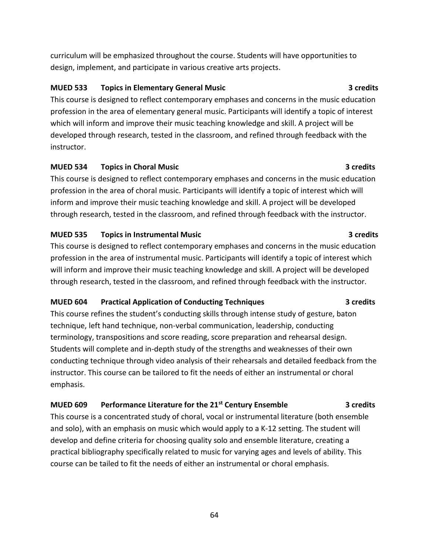curriculum will be emphasized throughout the course. Students will have opportunities to design, implement, and participate in various creative arts projects.

### **MUED 533 Topics in Elementary General Music 3 credits**

This course is designed to reflect contemporary emphases and concerns in the music education profession in the area of elementary general music. Participants will identify a topic of interest which will inform and improve their music teaching knowledge and skill. A project will be developed through research, tested in the classroom, and refined through feedback with the instructor.

### **MUED 534 Topics in Choral Music 3 credits**

This course is designed to reflect contemporary emphases and concerns in the music education profession in the area of choral music. Participants will identify a topic of interest which will inform and improve their music teaching knowledge and skill. A project will be developed through research, tested in the classroom, and refined through feedback with the instructor.

# **MUED 535 Topics in Instrumental Music 3 credits**

This course is designed to reflect contemporary emphases and concerns in the music education profession in the area of instrumental music. Participants will identify a topic of interest which will inform and improve their music teaching knowledge and skill. A project will be developed through research, tested in the classroom, and refined through feedback with the instructor.

# **MUED 604 Practical Application of Conducting Techniques 3 credits**

This course refines the student's conducting skills through intense study of gesture, baton technique, left hand technique, non-verbal communication, leadership, conducting terminology, transpositions and score reading, score preparation and rehearsal design. Students will complete and in-depth study of the strengths and weaknesses of their own conducting technique through video analysis of their rehearsals and detailed feedback from the instructor. This course can be tailored to fit the needs of either an instrumental or choral emphasis.

# **MUED 609 Performance Literature for the 21st Century Ensemble 3 credits**

This course is a concentrated study of choral, vocal or instrumental literature (both ensemble and solo), with an emphasis on music which would apply to a K-12 setting. The student will develop and define criteria for choosing quality solo and ensemble literature, creating a practical bibliography specifically related to music for varying ages and levels of ability. This course can be tailed to fit the needs of either an instrumental or choral emphasis.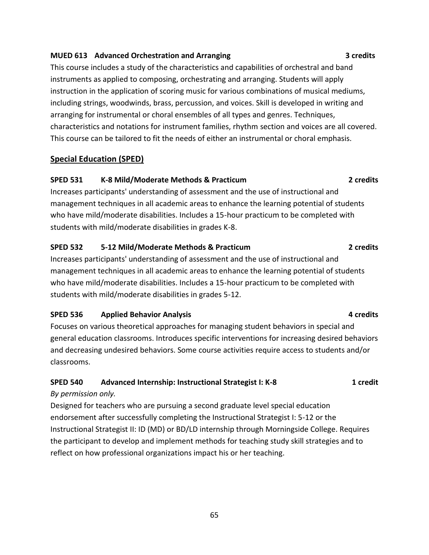### **MUED 613 Advanced Orchestration and Arranging 3 credits**

This course includes a study of the characteristics and capabilities of orchestral and band instruments as applied to composing, orchestrating and arranging. Students will apply instruction in the application of scoring music for various combinations of musical mediums, including strings, woodwinds, brass, percussion, and voices. Skill is developed in writing and arranging for instrumental or choral ensembles of all types and genres. Techniques, characteristics and notations for instrument families, rhythm section and voices are all covered. This course can be tailored to fit the needs of either an instrumental or choral emphasis.

### **Special Education (SPED)**

### **SPED 531 K-8 Mild/Moderate Methods & Practicum 2 credits**

Increases participants' understanding of assessment and the use of instructional and management techniques in all academic areas to enhance the learning potential of students who have mild/moderate disabilities. Includes a 15-hour practicum to be completed with students with mild/moderate disabilities in grades K-8.

### **SPED 532 5-12 Mild/Moderate Methods & Practicum 2 credits**

Increases participants' understanding of assessment and the use of instructional and management techniques in all academic areas to enhance the learning potential of students who have mild/moderate disabilities. Includes a 15-hour practicum to be completed with students with mild/moderate disabilities in grades 5-12.

### **SPED 536 Applied Behavior Analysis All 2008 <b>Applied Behavior Analysis 4 credits**

Focuses on various theoretical approaches for managing student behaviors in special and general education classrooms. Introduces specific interventions for increasing desired behaviors and decreasing undesired behaviors. Some course activities require access to students and/or classrooms.

# **SPED 540 Advanced Internship: Instructional Strategist I: K-8 1 credit**

### *By permission only.*

Designed for teachers who are pursuing a second graduate level special education endorsement after successfully completing the Instructional Strategist I: 5-12 or the Instructional Strategist II: ID (MD) or BD/LD internship through Morningside College. Requires the participant to develop and implement methods for teaching study skill strategies and to reflect on how professional organizations impact his or her teaching.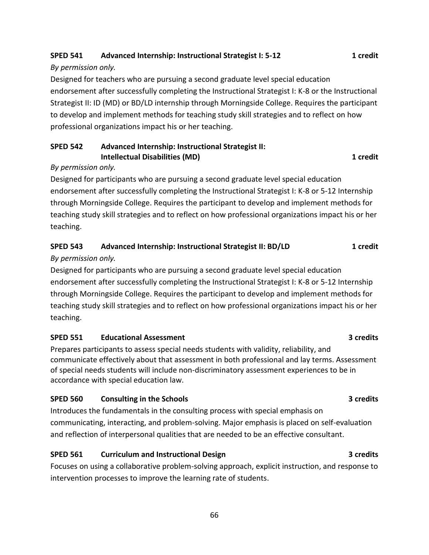# **SPED 541 Advanced Internship: Instructional Strategist I: 5-12 1 credit**

# *By permission only.*

Designed for teachers who are pursuing a second graduate level special education endorsement after successfully completing the Instructional Strategist I: K-8 or the Instructional Strategist II: ID (MD) or BD/LD internship through Morningside College. Requires the participant to develop and implement methods for teaching study skill strategies and to reflect on how professional organizations impact his or her teaching.

# **SPED 542 Advanced Internship: Instructional Strategist II: Intellectual Disabilities (MD) 1 credit**

# *By permission only.*

Designed for participants who are pursuing a second graduate level special education endorsement after successfully completing the Instructional Strategist I: K-8 or 5-12 Internship through Morningside College. Requires the participant to develop and implement methods for teaching study skill strategies and to reflect on how professional organizations impact his or her teaching.

# **SPED 543 Advanced Internship: Instructional Strategist II: BD/LD 1 credit**

# *By permission only.*

Designed for participants who are pursuing a second graduate level special education endorsement after successfully completing the Instructional Strategist I: K-8 or 5-12 Internship through Morningside College. Requires the participant to develop and implement methods for teaching study skill strategies and to reflect on how professional organizations impact his or her teaching.

# **SPED 551 Educational Assessment 3 credits**

Prepares participants to assess special needs students with validity, reliability, and communicate effectively about that assessment in both professional and lay terms. Assessment of special needs students will include non-discriminatory assessment experiences to be in accordance with special education law.

# **SPED 560 Consulting in the Schools 3 credits**

Introduces the fundamentals in the consulting process with special emphasis on communicating, interacting, and problem-solving. Major emphasis is placed on self-evaluation and reflection of interpersonal qualities that are needed to be an effective consultant.

# **SPED 561 Curriculum and Instructional Design 3 credits**

Focuses on using a collaborative problem-solving approach, explicit instruction, and response to intervention processes to improve the learning rate of students.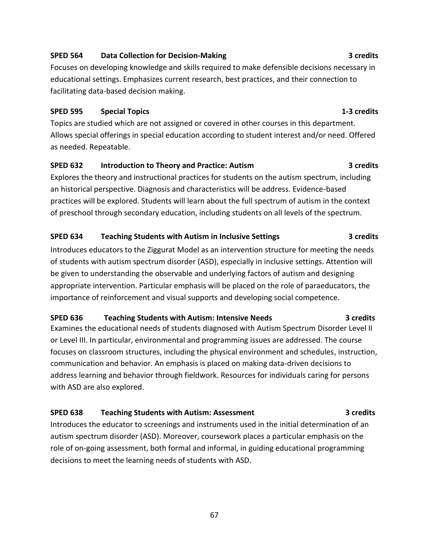### **SPED 564 Data Collection for Decision-Making 3 credits**

Focuses on developing knowledge and skills required to make defensible decisions necessary in educational settings. Emphasizes current research, best practices, and their connection to facilitating data-based decision making.

### **SPED 595 Special Topics 1-3 credits**

Topics are studied which are not assigned or covered in other courses in this department. Allows special offerings in special education according to student interest and/or need. Offered as needed. Repeatable.

### **SPED 632 Introduction to Theory and Practice: Autism 3 credits**

Explores the theory and instructional practices for students on the autism spectrum, including an historical perspective. Diagnosis and characteristics will be address. Evidence-based practices will be explored. Students will learn about the full spectrum of autism in the context of preschool through secondary education, including students on all levels of the spectrum.

# **SPED 634 Teaching Students with Autism in Inclusive Settings 3 credits**

Introduces educators to the Ziggurat Model as an intervention structure for meeting the needs of students with autism spectrum disorder (ASD), especially in inclusive settings. Attention will be given to understanding the observable and underlying factors of autism and designing appropriate intervention. Particular emphasis will be placed on the role of paraeducators, the importance of reinforcement and visual supports and developing social competence.

# **SPED 636 Teaching Students with Autism: Intensive Needs 3 credits**

Examines the educational needs of students diagnosed with Autism Spectrum Disorder Level II or Level III. In particular, environmental and programming issues are addressed. The course focuses on classroom structures, including the physical environment and schedules, instruction, communication and behavior. An emphasis is placed on making data-driven decisions to address learning and behavior through fieldwork. Resources for individuals caring for persons with ASD are also explored.

# **SPED 638 Teaching Students with Autism: Assessment 3 credits**

Introduces the educator to screenings and instruments used in the initial determination of an autism spectrum disorder (ASD). Moreover, coursework places a particular emphasis on the role of on-going assessment, both formal and informal, in guiding educational programming decisions to meet the learning needs of students with ASD.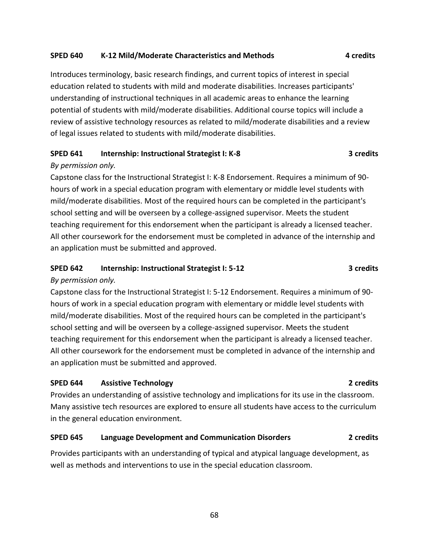### **SPED 640 K-12 Mild/Moderate Characteristics and Methods 4 credits**

Introduces terminology, basic research findings, and current topics of interest in special education related to students with mild and moderate disabilities. Increases participants' understanding of instructional techniques in all academic areas to enhance the learning potential of students with mild/moderate disabilities. Additional course topics will include a review of assistive technology resources as related to mild/moderate disabilities and a review of legal issues related to students with mild/moderate disabilities.

### **SPED 641 Internship: Instructional Strategist I: K-8 3 credits**

### *By permission only.*

Capstone class for the Instructional Strategist I: K-8 Endorsement. Requires a minimum of 90 hours of work in a special education program with elementary or middle level students with mild/moderate disabilities. Most of the required hours can be completed in the participant's school setting and will be overseen by a college-assigned supervisor. Meets the student teaching requirement for this endorsement when the participant is already a licensed teacher. All other coursework for the endorsement must be completed in advance of the internship and an application must be submitted and approved.

# **SPED 642 Internship: Instructional Strategist I: 5-12 3 credits**

### *By permission only.*

Capstone class for the Instructional Strategist I: 5-12 Endorsement. Requires a minimum of 90 hours of work in a special education program with elementary or middle level students with mild/moderate disabilities. Most of the required hours can be completed in the participant's school setting and will be overseen by a college-assigned supervisor. Meets the student teaching requirement for this endorsement when the participant is already a licensed teacher. All other coursework for the endorsement must be completed in advance of the internship and an application must be submitted and approved.

### **SPED 644 Assistive Technology 2 credits**

Provides an understanding of assistive technology and implications for its use in the classroom. Many assistive tech resources are explored to ensure all students have access to the curriculum in the general education environment.

### **SPED 645 Language Development and Communication Disorders 2 credits**

Provides participants with an understanding of typical and atypical language development, as well as methods and interventions to use in the special education classroom.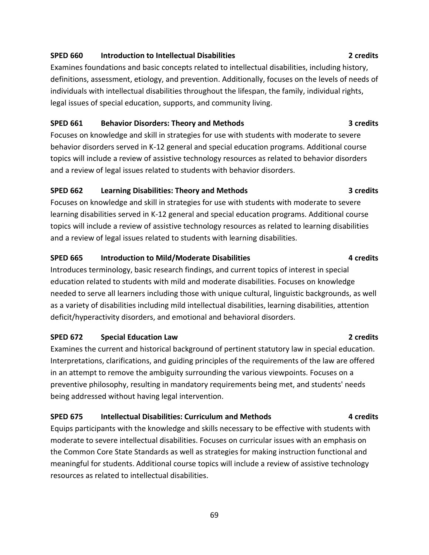### **SPED 660 Introduction to Intellectual Disabilities 2 credits**

Examines foundations and basic concepts related to intellectual disabilities, including history, definitions, assessment, etiology, and prevention. Additionally, focuses on the levels of needs of individuals with intellectual disabilities throughout the lifespan, the family, individual rights, legal issues of special education, supports, and community living.

### **SPED 661 Behavior Disorders: Theory and Methods 3 credits**

Focuses on knowledge and skill in strategies for use with students with moderate to severe behavior disorders served in K-12 general and special education programs. Additional course topics will include a review of assistive technology resources as related to behavior disorders and a review of legal issues related to students with behavior disorders.

### **SPED 662 Learning Disabilities: Theory and Methods 3 credits**

Focuses on knowledge and skill in strategies for use with students with moderate to severe learning disabilities served in K-12 general and special education programs. Additional course topics will include a review of assistive technology resources as related to learning disabilities and a review of legal issues related to students with learning disabilities.

# **SPED 665 Introduction to Mild/Moderate Disabilities 4 credits**

Introduces terminology, basic research findings, and current topics of interest in special education related to students with mild and moderate disabilities. Focuses on knowledge needed to serve all learners including those with unique cultural, linguistic backgrounds, as well as a variety of disabilities including mild intellectual disabilities, learning disabilities, attention deficit/hyperactivity disorders, and emotional and behavioral disorders.

# **SPED 672 Special Education Law 2 credits**

Examines the current and historical background of pertinent statutory law in special education. Interpretations, clarifications, and guiding principles of the requirements of the law are offered in an attempt to remove the ambiguity surrounding the various viewpoints. Focuses on a preventive philosophy, resulting in mandatory requirements being met, and students' needs being addressed without having legal intervention.

# **SPED 675 Intellectual Disabilities: Curriculum and Methods 4 credits**

Equips participants with the knowledge and skills necessary to be effective with students with moderate to severe intellectual disabilities. Focuses on curricular issues with an emphasis on the Common Core State Standards as well as strategies for making instruction functional and meaningful for students. Additional course topics will include a review of assistive technology resources as related to intellectual disabilities.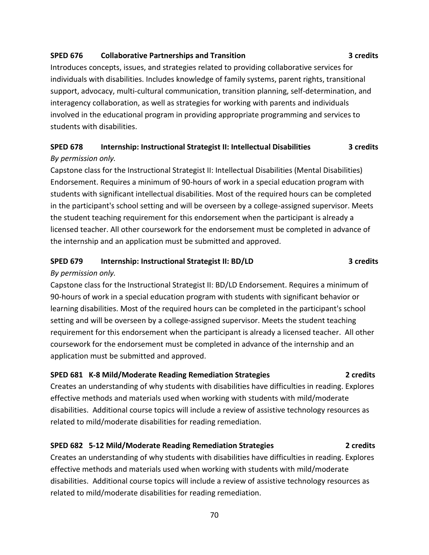### **SPED 676 Collaborative Partnerships and Transition 3 credits**

Introduces concepts, issues, and strategies related to providing collaborative services for individuals with disabilities. Includes knowledge of family systems, parent rights, transitional support, advocacy, multi-cultural communication, transition planning, self-determination, and interagency collaboration, as well as strategies for working with parents and individuals involved in the educational program in providing appropriate programming and services to students with disabilities.

# **SPED 678 Internship: Instructional Strategist II: Intellectual Disabilities 3 credits** *By permission only.*

Capstone class for the Instructional Strategist II: Intellectual Disabilities (Mental Disabilities) Endorsement. Requires a minimum of 90-hours of work in a special education program with students with significant intellectual disabilities. Most of the required hours can be completed in the participant's school setting and will be overseen by a college-assigned supervisor. Meets the student teaching requirement for this endorsement when the participant is already a licensed teacher. All other coursework for the endorsement must be completed in advance of the internship and an application must be submitted and approved.

### **SPED 679 Internship: Instructional Strategist II: BD/LD 3 credits**

### *By permission only.*

Capstone class for the Instructional Strategist II: BD/LD Endorsement. Requires a minimum of 90-hours of work in a special education program with students with significant behavior or learning disabilities. Most of the required hours can be completed in the participant's school setting and will be overseen by a college-assigned supervisor. Meets the student teaching requirement for this endorsement when the participant is already a licensed teacher. All other coursework for the endorsement must be completed in advance of the internship and an application must be submitted and approved.

### **SPED 681 K-8 Mild/Moderate Reading Remediation Strategies 2 credits**

Creates an understanding of why students with disabilities have difficulties in reading. Explores effective methods and materials used when working with students with mild/moderate disabilities. Additional course topics will include a review of assistive technology resources as related to mild/moderate disabilities for reading remediation.

### **SPED 682 5-12 Mild/Moderate Reading Remediation Strategies 2 credits**

Creates an understanding of why students with disabilities have difficulties in reading. Explores effective methods and materials used when working with students with mild/moderate disabilities. Additional course topics will include a review of assistive technology resources as related to mild/moderate disabilities for reading remediation.

70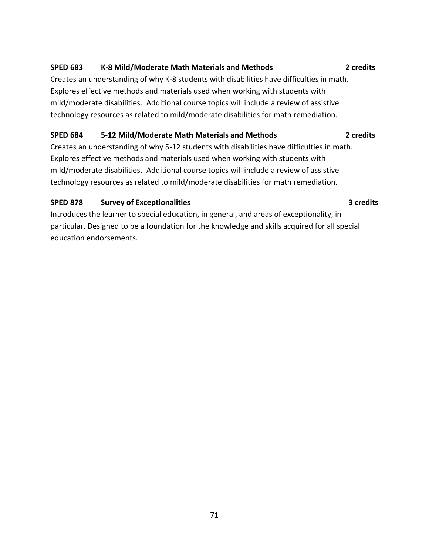# **SPED 683 K-8 Mild/Moderate Math Materials and Methods 2 credits**

Creates an understanding of why K-8 students with disabilities have difficulties in math. Explores effective methods and materials used when working with students with mild/moderate disabilities. Additional course topics will include a review of assistive technology resources as related to mild/moderate disabilities for math remediation.

### **SPED 684 5-12 Mild/Moderate Math Materials and Methods 2 credits**

Creates an understanding of why 5-12 students with disabilities have difficulties in math. Explores effective methods and materials used when working with students with mild/moderate disabilities. Additional course topics will include a review of assistive technology resources as related to mild/moderate disabilities for math remediation.

# **SPED 878 Survey of Exceptionalities 3 credits**

Introduces the learner to special education, in general, and areas of exceptionality, in particular. Designed to be a foundation for the knowledge and skills acquired for all special education endorsements.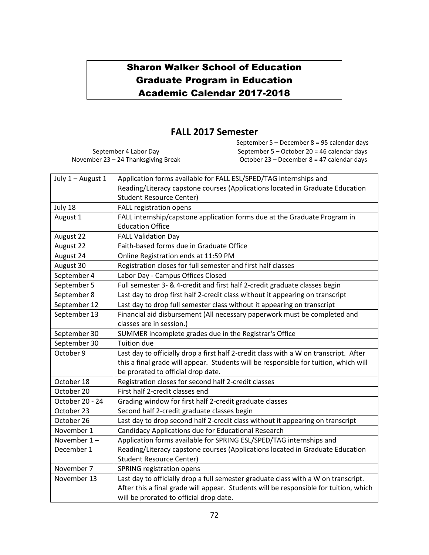# Sharon Walker School of Education Graduate Program in Education Academic Calendar 2017-2018

# **FALL 2017 Semester**

September 4 Labor Day November 23 – 24 Thanksgiving Break September 5 – December 8 = 95 calendar days September 5 – October 20 = 46 calendar days October 23 – December 8 = 47 calendar days

| July 1 - August 1 | Application forms available for FALL ESL/SPED/TAG internships and                     |
|-------------------|---------------------------------------------------------------------------------------|
|                   | Reading/Literacy capstone courses (Applications located in Graduate Education         |
|                   | <b>Student Resource Center)</b>                                                       |
| July 18           | <b>FALL registration opens</b>                                                        |
| August 1          | FALL internship/capstone application forms due at the Graduate Program in             |
|                   | <b>Education Office</b>                                                               |
| August 22         | <b>FALL Validation Day</b>                                                            |
| August 22         | Faith-based forms due in Graduate Office                                              |
| August 24         | Online Registration ends at 11:59 PM                                                  |
| August 30         | Registration closes for full semester and first half classes                          |
| September 4       | Labor Day - Campus Offices Closed                                                     |
| September 5       | Full semester 3- & 4-credit and first half 2-credit graduate classes begin            |
| September 8       | Last day to drop first half 2-credit class without it appearing on transcript         |
| September 12      | Last day to drop full semester class without it appearing on transcript               |
| September 13      | Financial aid disbursement (All necessary paperwork must be completed and             |
|                   | classes are in session.)                                                              |
| September 30      | SUMMER incomplete grades due in the Registrar's Office                                |
| September 30      | <b>Tuition due</b>                                                                    |
| October 9         | Last day to officially drop a first half 2-credit class with a W on transcript. After |
|                   | this a final grade will appear. Students will be responsible for tuition, which will  |
|                   | be prorated to official drop date.                                                    |
| October 18        | Registration closes for second half 2-credit classes                                  |
| October 20        | First half 2-credit classes end                                                       |
| October 20 - 24   | Grading window for first half 2-credit graduate classes                               |
| October 23        | Second half 2-credit graduate classes begin                                           |
|                   |                                                                                       |
| October 26        | Last day to drop second half 2-credit class without it appearing on transcript        |
| November 1        | Candidacy Applications due for Educational Research                                   |
| November $1 -$    | Application forms available for SPRING ESL/SPED/TAG internships and                   |
| December 1        | Reading/Literacy capstone courses (Applications located in Graduate Education         |
|                   | <b>Student Resource Center)</b>                                                       |
| November 7        | SPRING registration opens                                                             |
| November 13       | Last day to officially drop a full semester graduate class with a W on transcript.    |
|                   | After this a final grade will appear. Students will be responsible for tuition, which |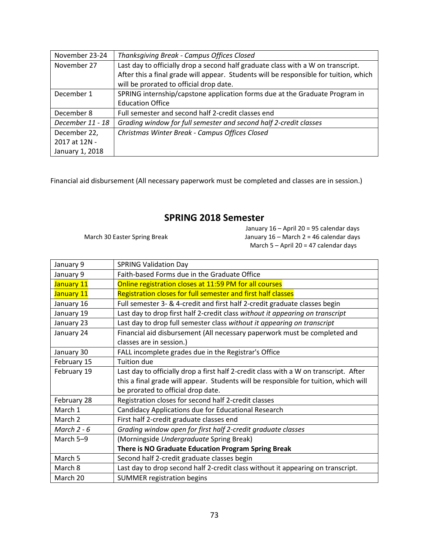| November 23-24   | Thanksgiving Break - Campus Offices Closed                                            |  |
|------------------|---------------------------------------------------------------------------------------|--|
| November 27      | Last day to officially drop a second half graduate class with a W on transcript.      |  |
|                  | After this a final grade will appear. Students will be responsible for tuition, which |  |
|                  | will be prorated to official drop date.                                               |  |
| December 1       | SPRING internship/capstone application forms due at the Graduate Program in           |  |
|                  | <b>Education Office</b>                                                               |  |
| December 8       | Full semester and second half 2-credit classes end                                    |  |
| December 11 - 18 | Grading window for full semester and second half 2-credit classes                     |  |
| December 22,     | Christmas Winter Break - Campus Offices Closed                                        |  |
| 2017 at 12N -    |                                                                                       |  |
| January 1, 2018  |                                                                                       |  |

Financial aid disbursement (All necessary paperwork must be completed and classes are in session.)

## **SPRING 2018 Semester**

March 30 Easter Spring Break

January 16 – April 20 = 95 calendar days January 16 – March 2 = 46 calendar days March 5 – April 20 = 47 calendar days

| January 9     | <b>SPRING Validation Day</b>                                                                          |
|---------------|-------------------------------------------------------------------------------------------------------|
| January 9     | Faith-based Forms due in the Graduate Office                                                          |
| January 11    | Online registration closes at 11:59 PM for all courses                                                |
| January 11    | Registration closes for full semester and first half classes                                          |
| January 16    | Full semester 3- & 4-credit and first half 2-credit graduate classes begin                            |
| January 19    | Last day to drop first half 2-credit class without it appearing on transcript                         |
| January 23    | Last day to drop full semester class without it appearing on transcript                               |
| January 24    | Financial aid disbursement (All necessary paperwork must be completed and<br>classes are in session.) |
| January 30    | FALL incomplete grades due in the Registrar's Office                                                  |
| February 15   | <b>Tuition due</b>                                                                                    |
| February 19   | Last day to officially drop a first half 2-credit class with a W on transcript. After                 |
|               | this a final grade will appear. Students will be responsible for tuition, which will                  |
|               | be prorated to official drop date.                                                                    |
| February 28   | Registration closes for second half 2-credit classes                                                  |
| March 1       | Candidacy Applications due for Educational Research                                                   |
| March 2       | First half 2-credit graduate classes end                                                              |
| March $2 - 6$ | Grading window open for first half 2-credit graduate classes                                          |
| March 5-9     | (Morningside Undergraduate Spring Break)                                                              |
|               | There is NO Graduate Education Program Spring Break                                                   |
| March 5       | Second half 2-credit graduate classes begin                                                           |
| March 8       | Last day to drop second half 2-credit class without it appearing on transcript.                       |
| March 20      | <b>SUMMER registration begins</b>                                                                     |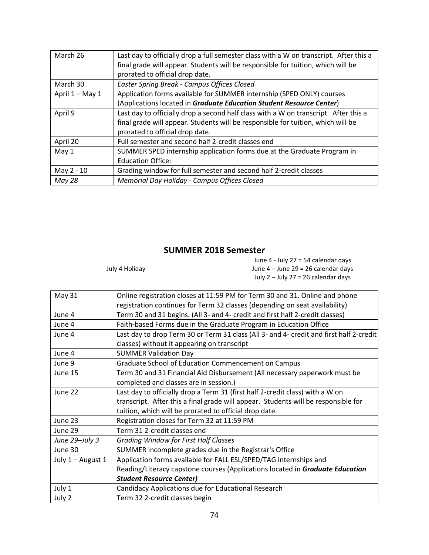| March 26        | Last day to officially drop a full semester class with a W on transcript. After this a<br>final grade will appear. Students will be responsible for tuition, which will be |
|-----------------|----------------------------------------------------------------------------------------------------------------------------------------------------------------------------|
|                 | prorated to official drop date.                                                                                                                                            |
| March 30        | Easter Spring Break - Campus Offices Closed                                                                                                                                |
| April 1 - May 1 | Application forms available for SUMMER internship (SPED ONLY) courses                                                                                                      |
|                 | (Applications located in Graduate Education Student Resource Center)                                                                                                       |
| April 9         | Last day to officially drop a second half class with a W on transcript. After this a                                                                                       |
|                 | final grade will appear. Students will be responsible for tuition, which will be                                                                                           |
|                 | prorated to official drop date.                                                                                                                                            |
| April 20        | Full semester and second half 2-credit classes end                                                                                                                         |
| May $1$         | SUMMER SPED internship application forms due at the Graduate Program in                                                                                                    |
|                 | <b>Education Office:</b>                                                                                                                                                   |
| May 2 - 10      | Grading window for full semester and second half 2-credit classes                                                                                                          |
| <b>May 28</b>   | Memorial Day Holiday - Campus Offices Closed                                                                                                                               |

## **SUMMER 2018 Semeste***r*

July 4 Holiday

June 4 - July 27 = 54 calendar days June 4 – June 29 = 26 calendar days July 2 – July 27 = 26 calendar days

| <b>May 31</b>     | Online registration closes at 11:59 PM for Term 30 and 31. Online and phone             |  |
|-------------------|-----------------------------------------------------------------------------------------|--|
|                   | registration continues for Term 32 classes (depending on seat availability)             |  |
| June 4            | Term 30 and 31 begins. (All 3- and 4- credit and first half 2-credit classes)           |  |
| June 4            | Faith-based Forms due in the Graduate Program in Education Office                       |  |
| June 4            | Last day to drop Term 30 or Term 31 class (All 3- and 4- credit and first half 2-credit |  |
|                   | classes) without it appearing on transcript                                             |  |
| June 4            | <b>SUMMER Validation Day</b>                                                            |  |
| June 9            | Graduate School of Education Commencement on Campus                                     |  |
| June 15           | Term 30 and 31 Financial Aid Disbursement (All necessary paperwork must be              |  |
|                   | completed and classes are in session.)                                                  |  |
| June 22           | Last day to officially drop a Term 31 (first half 2-credit class) with a W on           |  |
|                   | transcript. After this a final grade will appear. Students will be responsible for      |  |
|                   | tuition, which will be prorated to official drop date.                                  |  |
| June 23           | Registration closes for Term 32 at 11:59 PM                                             |  |
| June 29           | Term 31 2-credit classes end                                                            |  |
| June 29-July 3    | <b>Grading Window for First Half Classes</b>                                            |  |
| June 30           | SUMMER incomplete grades due in the Registrar's Office                                  |  |
| July 1 - August 1 | Application forms available for FALL ESL/SPED/TAG internships and                       |  |
|                   | Reading/Literacy capstone courses (Applications located in Graduate Education           |  |
|                   | <b>Student Resource Center)</b>                                                         |  |
| July 1            | Candidacy Applications due for Educational Research                                     |  |
| July 2            | Term 32 2-credit classes begin                                                          |  |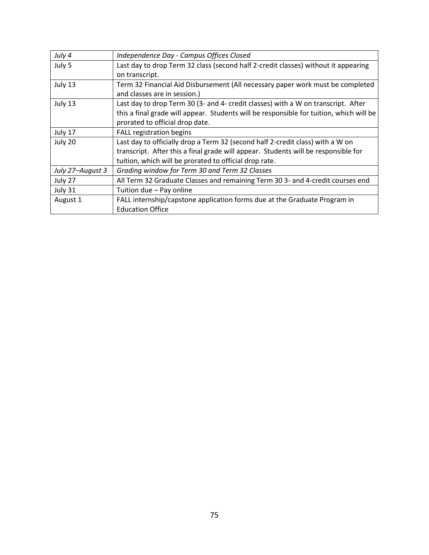| July 4           | Independence Day - Campus Offices Closed                                                |  |
|------------------|-----------------------------------------------------------------------------------------|--|
| July 5           | Last day to drop Term 32 class (second half 2-credit classes) without it appearing      |  |
|                  | on transcript.                                                                          |  |
| July 13          | Term 32 Financial Aid Disbursement (All necessary paper work must be completed          |  |
|                  | and classes are in session.)                                                            |  |
| July 13          | Last day to drop Term 30 (3- and 4- credit classes) with a W on transcript. After       |  |
|                  | this a final grade will appear. Students will be responsible for tuition, which will be |  |
|                  | prorated to official drop date.                                                         |  |
| July 17          | FALL registration begins                                                                |  |
| July 20          | Last day to officially drop a Term 32 (second half 2-credit class) with a W on          |  |
|                  | transcript. After this a final grade will appear. Students will be responsible for      |  |
|                  | tuition, which will be prorated to official drop rate.                                  |  |
| July 27-August 3 | Grading window for Term 30 and Term 32 Classes                                          |  |
| July 27          | All Term 32 Graduate Classes and remaining Term 30 3- and 4-credit courses end          |  |
| July 31          | Tuition due - Pay online                                                                |  |
| August 1         | FALL internship/capstone application forms due at the Graduate Program in               |  |
|                  | <b>Education Office</b>                                                                 |  |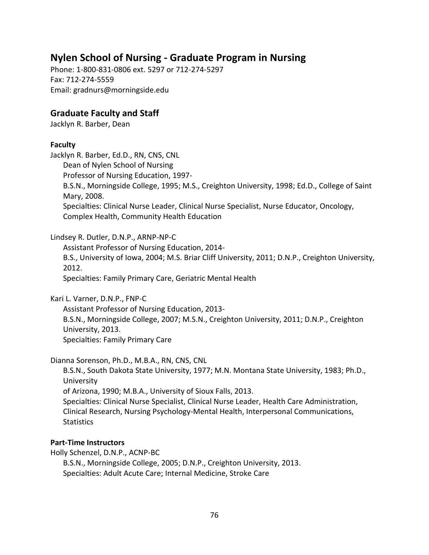# **Nylen School of Nursing - Graduate Program in Nursing**

Phone: 1-800-831-0806 ext. 5297 or 712-274-5297 Fax: 712-274-5559 Email: gradnurs@morningside.edu

## **Graduate Faculty and Staff**

Jacklyn R. Barber, Dean

#### **Faculty**

Jacklyn R. Barber, Ed.D., RN, CNS, CNL Dean of Nylen School of Nursing Professor of Nursing Education, 1997- B.S.N., Morningside College, 1995; M.S., Creighton University, 1998; Ed.D., College of Saint Mary, 2008. Specialties: Clinical Nurse Leader, Clinical Nurse Specialist, Nurse Educator, Oncology, Complex Health, Community Health Education

Lindsey R. Dutler, D.N.P., ARNP-NP-C

Assistant Professor of Nursing Education, 2014- B.S., University of Iowa, 2004; M.S. Briar Cliff University, 2011; D.N.P., Creighton University, 2012. Specialties: Family Primary Care, Geriatric Mental Health

Kari L. Varner, D.N.P., FNP-C

Assistant Professor of Nursing Education, 2013- B.S.N., Morningside College, 2007; M.S.N., Creighton University, 2011; D.N.P., Creighton University, 2013. Specialties: Family Primary Care

Dianna Sorenson, Ph.D., M.B.A., RN, CNS, CNL

B.S.N., South Dakota State University, 1977; M.N. Montana State University, 1983; Ph.D., University of Arizona, 1990; M.B.A., University of Sioux Falls, 2013. Specialties: Clinical Nurse Specialist, Clinical Nurse Leader, Health Care Administration, Clinical Research, Nursing Psychology-Mental Health, Interpersonal Communications, **Statistics** 

### **Part-Time Instructors**

Holly Schenzel, D.N.P., ACNP-BC B.S.N., Morningside College, 2005; D.N.P., Creighton University, 2013. Specialties: Adult Acute Care; Internal Medicine, Stroke Care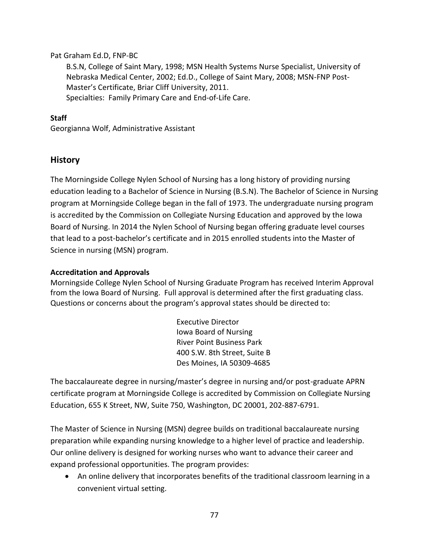#### Pat Graham Ed.D, FNP-BC

B.S.N, College of Saint Mary, 1998; MSN Health Systems Nurse Specialist, University of Nebraska Medical Center, 2002; Ed.D., College of Saint Mary, 2008; MSN-FNP Post-Master's Certificate, Briar Cliff University, 2011. Specialties: Family Primary Care and End-of-Life Care.

#### **Staff**

Georgianna Wolf, Administrative Assistant

### **History**

The Morningside College Nylen School of Nursing has a long history of providing nursing education leading to a Bachelor of Science in Nursing (B.S.N). The Bachelor of Science in Nursing program at Morningside College began in the fall of 1973. The undergraduate nursing program is accredited by the Commission on Collegiate Nursing Education and approved by the Iowa Board of Nursing. In 2014 the Nylen School of Nursing began offering graduate level courses that lead to a post-bachelor's certificate and in 2015 enrolled students into the Master of Science in nursing (MSN) program.

#### **Accreditation and Approvals**

Morningside College Nylen School of Nursing Graduate Program has received Interim Approval from the Iowa Board of Nursing. Full approval is determined after the first graduating class. Questions or concerns about the program's approval states should be directed to:

> Executive Director Iowa Board of Nursing River Point Business Park 400 S.W. 8th Street, Suite B Des Moines, IA 50309-4685

The baccalaureate degree in nursing/master's degree in nursing and/or post-graduate APRN certificate program at Morningside College is accredited by Commission on Collegiate Nursing Education, 655 K Street, NW, Suite 750, Washington, DC 20001, 202-887-6791.

The Master of Science in Nursing (MSN) degree builds on traditional baccalaureate nursing preparation while expanding nursing knowledge to a higher level of practice and leadership. Our online delivery is designed for working nurses who want to advance their career and expand professional opportunities. The program provides:

• An online delivery that incorporates benefits of the traditional classroom learning in a convenient virtual setting.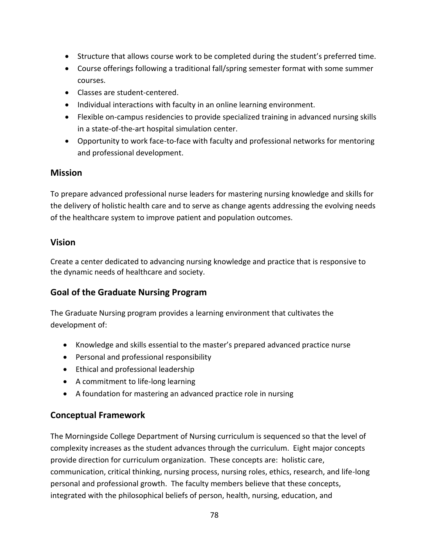- Structure that allows course work to be completed during the student's preferred time.
- Course offerings following a traditional fall/spring semester format with some summer courses.
- Classes are student-centered.
- Individual interactions with faculty in an online learning environment.
- Flexible on-campus residencies to provide specialized training in advanced nursing skills in a state-of-the-art hospital simulation center.
- Opportunity to work face-to-face with faculty and professional networks for mentoring and professional development.

## **Mission**

To prepare advanced professional nurse leaders for mastering nursing knowledge and skills for the delivery of holistic health care and to serve as change agents addressing the evolving needs of the healthcare system to improve patient and population outcomes.

## **Vision**

Create a center dedicated to advancing nursing knowledge and practice that is responsive to the dynamic needs of healthcare and society.

## **Goal of the Graduate Nursing Program**

The Graduate Nursing program provides a learning environment that cultivates the development of:

- Knowledge and skills essential to the master's prepared advanced practice nurse
- Personal and professional responsibility
- Ethical and professional leadership
- A commitment to life-long learning
- A foundation for mastering an advanced practice role in nursing

## **Conceptual Framework**

The Morningside College Department of Nursing curriculum is sequenced so that the level of complexity increases as the student advances through the curriculum. Eight major concepts provide direction for curriculum organization. These concepts are: holistic care, communication, critical thinking, nursing process, nursing roles, ethics, research, and life-long personal and professional growth. The faculty members believe that these concepts, integrated with the philosophical beliefs of person, health, nursing, education, and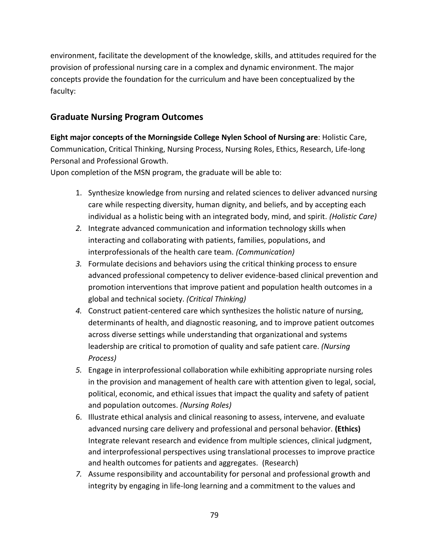environment, facilitate the development of the knowledge, skills, and attitudes required for the provision of professional nursing care in a complex and dynamic environment. The major concepts provide the foundation for the curriculum and have been conceptualized by the faculty:

## **Graduate Nursing Program Outcomes**

**Eight major concepts of the Morningside College Nylen School of Nursing are**: Holistic Care, Communication, Critical Thinking, Nursing Process, Nursing Roles, Ethics, Research, Life-long Personal and Professional Growth.

Upon completion of the MSN program, the graduate will be able to:

- 1. Synthesize knowledge from nursing and related sciences to deliver advanced nursing care while respecting diversity, human dignity, and beliefs, and by accepting each individual as a holistic being with an integrated body, mind, and spirit. *(Holistic Care)*
- *2.* Integrate advanced communication and information technology skills when interacting and collaborating with patients, families, populations, and interprofessionals of the health care team. *(Communication)*
- *3.* Formulate decisions and behaviors using the critical thinking process to ensure advanced professional competency to deliver evidence-based clinical prevention and promotion interventions that improve patient and population health outcomes in a global and technical society. *(Critical Thinking)*
- *4.* Construct patient-centered care which synthesizes the holistic nature of nursing, determinants of health, and diagnostic reasoning, and to improve patient outcomes across diverse settings while understanding that organizational and systems leadership are critical to promotion of quality and safe patient care. *(Nursing Process)*
- *5.* Engage in interprofessional collaboration while exhibiting appropriate nursing roles in the provision and management of health care with attention given to legal, social, political, economic, and ethical issues that impact the quality and safety of patient and population outcomes. *(Nursing Roles)*
- 6. Illustrate ethical analysis and clinical reasoning to assess, intervene, and evaluate advanced nursing care delivery and professional and personal behavior. **(Ethics)** Integrate relevant research and evidence from multiple sciences, clinical judgment, and interprofessional perspectives using translational processes to improve practice and health outcomes for patients and aggregates. (Research)
- *7.* Assume responsibility and accountability for personal and professional growth and integrity by engaging in life-long learning and a commitment to the values and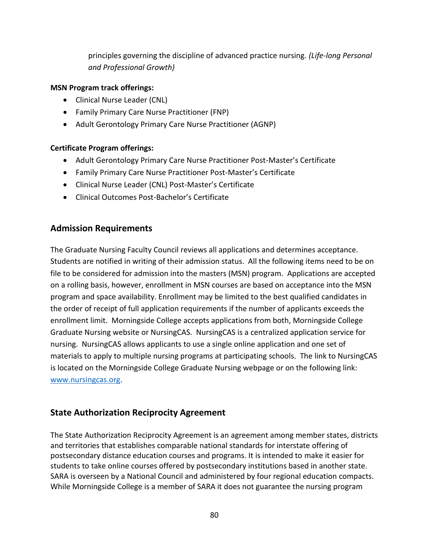principles governing the discipline of advanced practice nursing*. (Life-long Personal and Professional Growth)*

#### **MSN Program track offerings:**

- Clinical Nurse Leader (CNL)
- Family Primary Care Nurse Practitioner (FNP)
- Adult Gerontology Primary Care Nurse Practitioner (AGNP)

#### **Certificate Program offerings:**

- Adult Gerontology Primary Care Nurse Practitioner Post-Master's Certificate
- Family Primary Care Nurse Practitioner Post-Master's Certificate
- Clinical Nurse Leader (CNL) Post-Master's Certificate
- Clinical Outcomes Post-Bachelor's Certificate

## **Admission Requirements**

The Graduate Nursing Faculty Council reviews all applications and determines acceptance. Students are notified in writing of their admission status. All the following items need to be on file to be considered for admission into the masters (MSN) program. Applications are accepted on a rolling basis, however, enrollment in MSN courses are based on acceptance into the MSN program and space availability. Enrollment may be limited to the best qualified candidates in the order of receipt of full application requirements if the number of applicants exceeds the enrollment limit. Morningside College accepts applications from both, Morningside College Graduate Nursing website or NursingCAS. NursingCAS is a centralized application service for nursing. NursingCAS allows applicants to use a single online application and one set of materials to apply to multiple nursing programs at participating schools. The link to NursingCAS is located on the Morningside College Graduate Nursing webpage or on the following link: [www.nursingcas.org.](http://www.nursingcas.org/)

## **State Authorization Reciprocity Agreement**

The State Authorization Reciprocity Agreement is an agreement among member states, districts and territories that establishes comparable national standards for interstate offering of postsecondary distance education courses and programs. It is intended to make it easier for students to take online courses offered by postsecondary institutions based in another state. SARA is overseen by a National Council and administered by four regional education compacts. While Morningside College is a member of SARA it does not guarantee the nursing program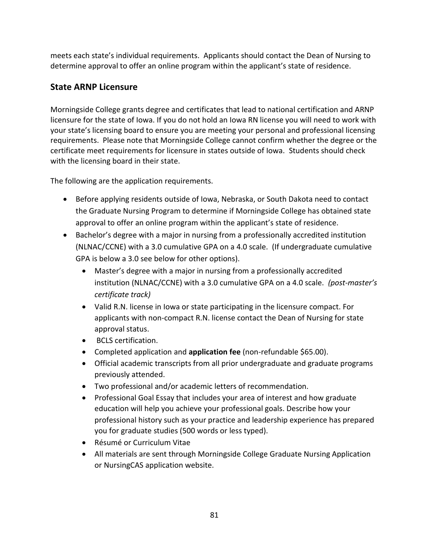meets each state's individual requirements. Applicants should contact the Dean of Nursing to determine approval to offer an online program within the applicant's state of residence.

## **State ARNP Licensure**

Morningside College grants degree and certificates that lead to national certification and ARNP licensure for the state of Iowa. If you do not hold an Iowa RN license you will need to work with your state's licensing board to ensure you are meeting your personal and professional licensing requirements. Please note that Morningside College cannot confirm whether the degree or the certificate meet requirements for licensure in states outside of Iowa. Students should check with the licensing board in their state.

The following are the application requirements.

- Before applying residents outside of Iowa, Nebraska, or South Dakota need to contact the Graduate Nursing Program to determine if Morningside College has obtained state approval to offer an online program within the applicant's state of residence.
- Bachelor's degree with a major in nursing from a professionally accredited institution (NLNAC/CCNE) with a 3.0 cumulative GPA on a 4.0 scale. (If undergraduate cumulative GPA is below a 3.0 see below for other options).
	- Master's degree with a major in nursing from a professionally accredited institution (NLNAC/CCNE) with a 3.0 cumulative GPA on a 4.0 scale. *(post-master's certificate track)*
	- Valid R.N. license in Iowa or state participating in the licensure compact. For applicants with non-compact R.N. license contact the Dean of Nursing for state approval status.
	- BCLS certification.
	- **•** Completed application and **application fee** (non-refundable \$65.00).
	- Official academic transcripts from all prior undergraduate and graduate programs previously attended.
	- Two professional and/or academic letters of recommendation.
	- Professional Goal Essay that includes your area of interest and how graduate education will help you achieve your professional goals. Describe how your professional history such as your practice and leadership experience has prepared you for graduate studies (500 words or less typed).
	- Résumé or Curriculum Vitae
	- All materials are sent through Morningside College Graduate Nursing Application or NursingCAS application website.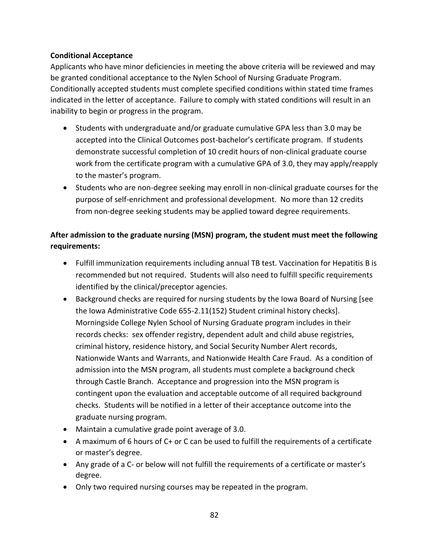#### **Conditional Acceptance**

Applicants who have minor deficiencies in meeting the above criteria will be reviewed and may be granted conditional acceptance to the Nylen School of Nursing Graduate Program. Conditionally accepted students must complete specified conditions within stated time frames indicated in the letter of acceptance. Failure to comply with stated conditions will result in an inability to begin or progress in the program.

- Students with undergraduate and/or graduate cumulative GPA less than 3.0 may be accepted into the Clinical Outcomes post-bachelor's certificate program. If students demonstrate successful completion of 10 credit hours of non-clinical graduate course work from the certificate program with a cumulative GPA of 3.0, they may apply/reapply to the master's program.
- Students who are non-degree seeking may enroll in non-clinical graduate courses for the purpose of self-enrichment and professional development. No more than 12 credits from non-degree seeking students may be applied toward degree requirements.

## **After admission to the graduate nursing (MSN) program, the student must meet the following requirements:**

- Fulfill immunization requirements including annual TB test. Vaccination for Hepatitis B is recommended but not required. Students will also need to fulfill specific requirements identified by the clinical/preceptor agencies.
- Background checks are required for nursing students by the Iowa Board of Nursing [see the Iowa Administrative Code 655-2.11(152) Student criminal history checks]. Morningside College Nylen School of Nursing Graduate program includes in their records checks: sex offender registry, dependent adult and child abuse registries, criminal history, residence history, and Social Security Number Alert records, Nationwide Wants and Warrants, and Nationwide Health Care Fraud. As a condition of admission into the MSN program, all students must complete a background check through Castle Branch. Acceptance and progression into the MSN program is contingent upon the evaluation and acceptable outcome of all required background checks. Students will be notified in a letter of their acceptance outcome into the graduate nursing program.
- Maintain a cumulative grade point average of 3.0.
- $\bullet$  A maximum of 6 hours of C+ or C can be used to fulfill the requirements of a certificate or master's degree.
- Any grade of a C- or below will not fulfill the requirements of a certificate or master's degree.
- Only two required nursing courses may be repeated in the program.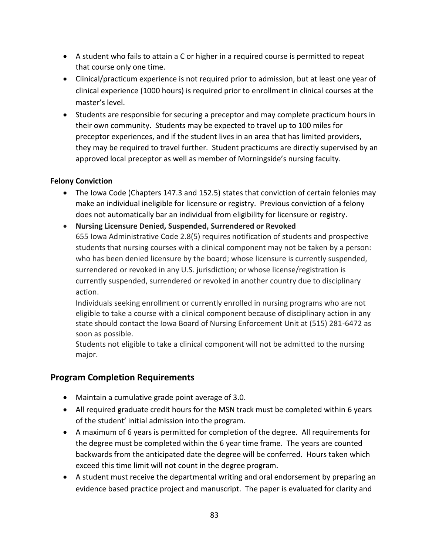- A student who fails to attain a C or higher in a required course is permitted to repeat that course only one time.
- Clinical/practicum experience is not required prior to admission, but at least one year of clinical experience (1000 hours) is required prior to enrollment in clinical courses at the master's level.
- Students are responsible for securing a preceptor and may complete practicum hours in their own community. Students may be expected to travel up to 100 miles for preceptor experiences, and if the student lives in an area that has limited providers, they may be required to travel further. Student practicums are directly supervised by an approved local preceptor as well as member of Morningside's nursing faculty.

### **Felony Conviction**

- The Iowa Code (Chapters 147.3 and 152.5) states that conviction of certain felonies may make an individual ineligible for licensure or registry. Previous conviction of a felony does not automatically bar an individual from eligibility for licensure or registry.
- **Nursing Licensure Denied, Suspended, Surrendered or Revoked** 655 Iowa Administrative Code 2.8(5) requires notification of students and prospective students that nursing courses with a clinical component may not be taken by a person: who has been denied licensure by the board; whose licensure is currently suspended, surrendered or revoked in any U.S. jurisdiction; or whose license/registration is currently suspended, surrendered or revoked in another country due to disciplinary action.

Individuals seeking enrollment or currently enrolled in nursing programs who are not eligible to take a course with a clinical component because of disciplinary action in any state should contact the Iowa Board of Nursing Enforcement Unit at (515) 281-6472 as soon as possible.

Students not eligible to take a clinical component will not be admitted to the nursing major.

## **Program Completion Requirements**

- $\bullet$  Maintain a cumulative grade point average of 3.0.
- All required graduate credit hours for the MSN track must be completed within 6 years of the student' initial admission into the program.
- A maximum of 6 years is permitted for completion of the degree. All requirements for the degree must be completed within the 6 year time frame. The years are counted backwards from the anticipated date the degree will be conferred. Hours taken which exceed this time limit will not count in the degree program.
- A student must receive the departmental writing and oral endorsement by preparing an evidence based practice project and manuscript. The paper is evaluated for clarity and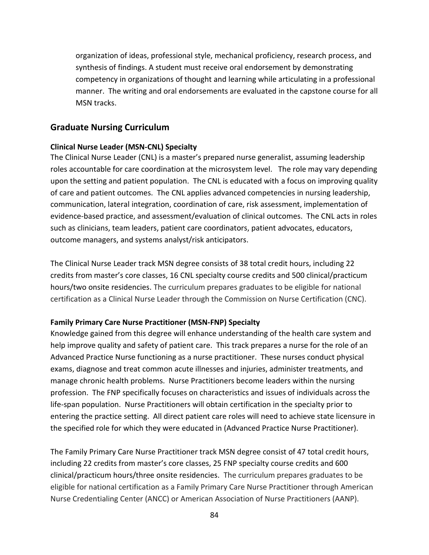organization of ideas, professional style, mechanical proficiency, research process, and synthesis of findings. A student must receive oral endorsement by demonstrating competency in organizations of thought and learning while articulating in a professional manner. The writing and oral endorsements are evaluated in the capstone course for all MSN tracks.

### **Graduate Nursing Curriculum**

#### **Clinical Nurse Leader (MSN-CNL) Specialty**

The Clinical Nurse Leader (CNL) is a master's prepared nurse generalist, assuming leadership roles accountable for care coordination at the microsystem level. The role may vary depending upon the setting and patient population. The CNL is educated with a focus on improving quality of care and patient outcomes. The CNL applies advanced competencies in nursing leadership, communication, lateral integration, coordination of care, risk assessment, implementation of evidence-based practice, and assessment/evaluation of clinical outcomes. The CNL acts in roles such as clinicians, team leaders, patient care coordinators, patient advocates, educators, outcome managers, and systems analyst/risk anticipators.

The Clinical Nurse Leader track MSN degree consists of 38 total credit hours, including 22 credits from master's core classes, 16 CNL specialty course credits and 500 clinical/practicum hours/two onsite residencies. The curriculum prepares graduates to be eligible for national certification as a Clinical Nurse Leader through the Commission on Nurse Certification (CNC).

#### **Family Primary Care Nurse Practitioner (MSN-FNP) Specialty**

Knowledge gained from this degree will enhance understanding of the health care system and help improve quality and safety of patient care. This track prepares a nurse for the role of an Advanced Practice Nurse functioning as a nurse practitioner. These nurses conduct physical exams, diagnose and treat common acute illnesses and injuries, administer treatments, and manage chronic health problems. Nurse Practitioners become leaders within the nursing profession. The FNP specifically focuses on characteristics and issues of individuals across the life-span population. Nurse Practitioners will obtain certification in the specialty prior to entering the practice setting. All direct patient care roles will need to achieve state licensure in the specified role for which they were educated in (Advanced Practice Nurse Practitioner).

The Family Primary Care Nurse Practitioner track MSN degree consist of 47 total credit hours, including 22 credits from master's core classes, 25 FNP specialty course credits and 600 clinical/practicum hours/three onsite residencies. The curriculum prepares graduates to be eligible for national certification as a Family Primary Care Nurse Practitioner through American Nurse Credentialing Center (ANCC) or American Association of Nurse Practitioners (AANP).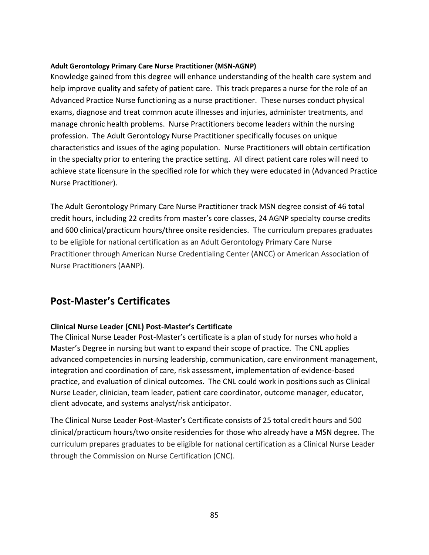#### **Adult Gerontology Primary Care Nurse Practitioner (MSN-AGNP)**

Knowledge gained from this degree will enhance understanding of the health care system and help improve quality and safety of patient care. This track prepares a nurse for the role of an Advanced Practice Nurse functioning as a nurse practitioner. These nurses conduct physical exams, diagnose and treat common acute illnesses and injuries, administer treatments, and manage chronic health problems. Nurse Practitioners become leaders within the nursing profession. The Adult Gerontology Nurse Practitioner specifically focuses on unique characteristics and issues of the aging population. Nurse Practitioners will obtain certification in the specialty prior to entering the practice setting. All direct patient care roles will need to achieve state licensure in the specified role for which they were educated in (Advanced Practice Nurse Practitioner).

The Adult Gerontology Primary Care Nurse Practitioner track MSN degree consist of 46 total credit hours, including 22 credits from master's core classes, 24 AGNP specialty course credits and 600 clinical/practicum hours/three onsite residencies. The curriculum prepares graduates to be eligible for national certification as an Adult Gerontology Primary Care Nurse Practitioner through American Nurse Credentialing Center (ANCC) or American Association of Nurse Practitioners (AANP).

# **Post-Master's Certificates**

### **Clinical Nurse Leader (CNL) Post-Master's Certificate**

The Clinical Nurse Leader Post-Master's certificate is a plan of study for nurses who hold a Master's Degree in nursing but want to expand their scope of practice. The CNL applies advanced competencies in nursing leadership, communication, care environment management, integration and coordination of care, risk assessment, implementation of evidence-based practice, and evaluation of clinical outcomes. The CNL could work in positions such as Clinical Nurse Leader, clinician, team leader, patient care coordinator, outcome manager, educator, client advocate, and systems analyst/risk anticipator.

The Clinical Nurse Leader Post-Master's Certificate consists of 25 total credit hours and 500 clinical/practicum hours/two onsite residencies for those who already have a MSN degree. The curriculum prepares graduates to be eligible for national certification as a Clinical Nurse Leader through the Commission on Nurse Certification (CNC).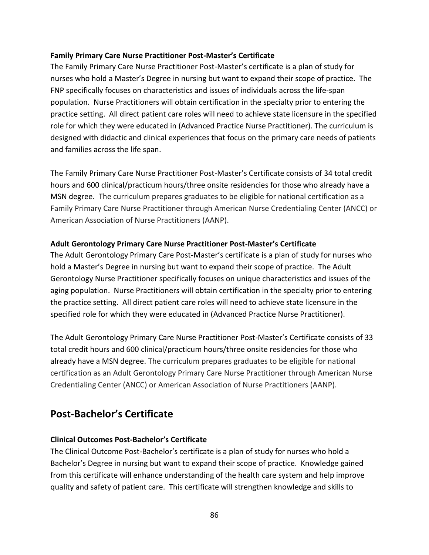#### **Family Primary Care Nurse Practitioner Post-Master's Certificate**

The Family Primary Care Nurse Practitioner Post-Master's certificate is a plan of study for nurses who hold a Master's Degree in nursing but want to expand their scope of practice. The FNP specifically focuses on characteristics and issues of individuals across the life-span population. Nurse Practitioners will obtain certification in the specialty prior to entering the practice setting. All direct patient care roles will need to achieve state licensure in the specified role for which they were educated in (Advanced Practice Nurse Practitioner). The curriculum is designed with didactic and clinical experiences that focus on the primary care needs of patients and families across the life span.

The Family Primary Care Nurse Practitioner Post-Master's Certificate consists of 34 total credit hours and 600 clinical/practicum hours/three onsite residencies for those who already have a MSN degree. The curriculum prepares graduates to be eligible for national certification as a Family Primary Care Nurse Practitioner through American Nurse Credentialing Center (ANCC) or American Association of Nurse Practitioners (AANP).

#### **Adult Gerontology Primary Care Nurse Practitioner Post-Master's Certificate**

The Adult Gerontology Primary Care Post-Master's certificate is a plan of study for nurses who hold a Master's Degree in nursing but want to expand their scope of practice. The Adult Gerontology Nurse Practitioner specifically focuses on unique characteristics and issues of the aging population. Nurse Practitioners will obtain certification in the specialty prior to entering the practice setting. All direct patient care roles will need to achieve state licensure in the specified role for which they were educated in (Advanced Practice Nurse Practitioner).

The Adult Gerontology Primary Care Nurse Practitioner Post-Master's Certificate consists of 33 total credit hours and 600 clinical/practicum hours/three onsite residencies for those who already have a MSN degree. The curriculum prepares graduates to be eligible for national certification as an Adult Gerontology Primary Care Nurse Practitioner through American Nurse Credentialing Center (ANCC) or American Association of Nurse Practitioners (AANP).

# **Post-Bachelor's Certificate**

### **Clinical Outcomes Post-Bachelor's Certificate**

The Clinical Outcome Post-Bachelor's certificate is a plan of study for nurses who hold a Bachelor's Degree in nursing but want to expand their scope of practice. Knowledge gained from this certificate will enhance understanding of the health care system and help improve quality and safety of patient care. This certificate will strengthen knowledge and skills to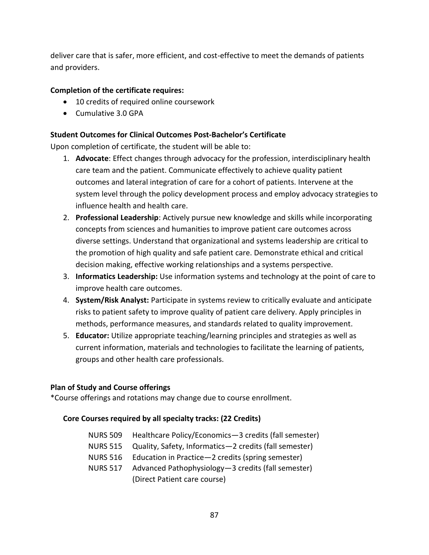deliver care that is safer, more efficient, and cost-effective to meet the demands of patients and providers.

#### **Completion of the certificate requires:**

- 10 credits of required online coursework
- $\bullet$  Cumulative 3.0 GPA

#### **Student Outcomes for Clinical Outcomes Post-Bachelor's Certificate**

Upon completion of certificate, the student will be able to:

- 1. **Advocate**: Effect changes through advocacy for the profession, interdisciplinary health care team and the patient. Communicate effectively to achieve quality patient outcomes and lateral integration of care for a cohort of patients. Intervene at the system level through the policy development process and employ advocacy strategies to influence health and health care.
- 2. **Professional Leadership**: Actively pursue new knowledge and skills while incorporating concepts from sciences and humanities to improve patient care outcomes across diverse settings. Understand that organizational and systems leadership are critical to the promotion of high quality and safe patient care. Demonstrate ethical and critical decision making, effective working relationships and a systems perspective.
- 3. **Informatics Leadership:** Use information systems and technology at the point of care to improve health care outcomes.
- 4. **System/Risk Analyst:** Participate in systems review to critically evaluate and anticipate risks to patient safety to improve quality of patient care delivery. Apply principles in methods, performance measures, and standards related to quality improvement.
- 5. **Educator:** Utilize appropriate teaching/learning principles and strategies as well as current information, materials and technologies to facilitate the learning of patients, groups and other health care professionals.

#### **Plan of Study and Course offerings**

\*Course offerings and rotations may change due to course enrollment.

### **Core Courses required by all specialty tracks: (22 Credits)**

- NURS 509 Healthcare Policy/Economics—3 credits (fall semester)
- NURS 515 Quality, Safety, Informatics—2 credits (fall semester)
- NURS 516 Education in Practice—2 credits (spring semester)
- NURS 517 Advanced Pathophysiology—3 credits (fall semester) (Direct Patient care course)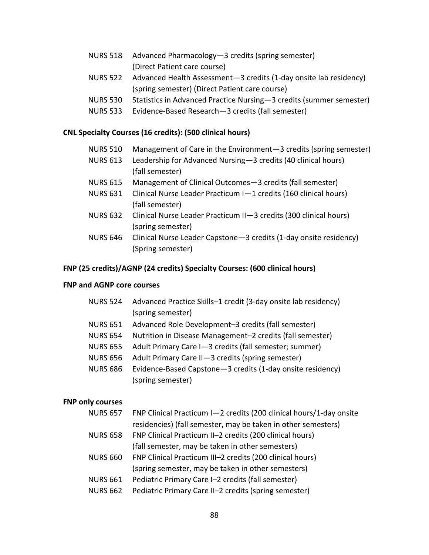| NURS 518 Advanced Pharmacology-3 credits (spring semester) |
|------------------------------------------------------------|
| (Direct Patient care course)                               |

- NURS 522 Advanced Health Assessment—3 credits (1-day onsite lab residency) (spring semester) (Direct Patient care course)
- NURS 530 Statistics in Advanced Practice Nursing—3 credits (summer semester)
- NURS 533 Evidence-Based Research—3 credits (fall semester)

#### **CNL Specialty Courses (16 credits): (500 clinical hours)**

- NURS 510 Management of Care in the Environment—3 credits (spring semester)
- NURS 613 Leadership for Advanced Nursing—3 credits (40 clinical hours) (fall semester)
- NURS 615 Management of Clinical Outcomes—3 credits (fall semester)
- NURS 631 Clinical Nurse Leader Practicum I—1 credits (160 clinical hours) (fall semester)
- NURS 632 Clinical Nurse Leader Practicum II—3 credits (300 clinical hours) (spring semester)
- NURS 646 Clinical Nurse Leader Capstone—3 credits (1-day onsite residency) (Spring semester)

#### **FNP (25 credits)/AGNP (24 credits) Specialty Courses: (600 clinical hours)**

#### **FNP and AGNP core courses**

- NURS 524 Advanced Practice Skills–1 credit (3-day onsite lab residency) (spring semester)
- NURS 651 Advanced Role Development–3 credits (fall semester)
- NURS 654 Nutrition in Disease Management–2 credits (fall semester)
- NURS 655 Adult Primary Care I—3 credits (fall semester; summer)
- NURS 656 Adult Primary Care II—3 credits (spring semester)
- NURS 686 Evidence-Based Capstone—3 credits (1-day onsite residency) (spring semester)

#### **FNP only courses**

| <b>NURS 657</b> | FNP Clinical Practicum I-2 credits (200 clinical hours/1-day onsite |
|-----------------|---------------------------------------------------------------------|
|                 | residencies) (fall semester, may be taken in other semesters)       |
| <b>NURS 658</b> | FNP Clinical Practicum II-2 credits (200 clinical hours)            |
|                 | (fall semester, may be taken in other semesters)                    |
| <b>NURS 660</b> | FNP Clinical Practicum III-2 credits (200 clinical hours)           |
|                 | (spring semester, may be taken in other semesters)                  |
| <b>NURS 661</b> | Pediatric Primary Care I-2 credits (fall semester)                  |
| <b>NURS 662</b> | Pediatric Primary Care II-2 credits (spring semester)               |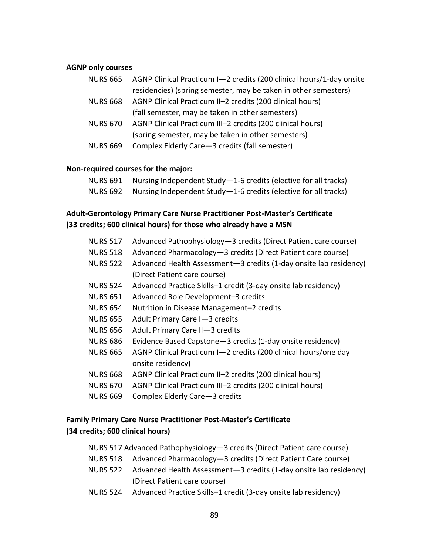#### **AGNP only courses**

|                 | NURS 665 AGNP Clinical Practicum I-2 credits (200 clinical hours/1-day onsite |
|-----------------|-------------------------------------------------------------------------------|
|                 | residencies) (spring semester, may be taken in other semesters)               |
| <b>NURS 668</b> | AGNP Clinical Practicum II-2 credits (200 clinical hours)                     |
|                 | (fall semester, may be taken in other semesters)                              |
| <b>NURS 670</b> | AGNP Clinical Practicum III-2 credits (200 clinical hours)                    |
|                 | (spring semester, may be taken in other semesters)                            |
| <b>NURS 669</b> | Complex Elderly Care - 3 credits (fall semester)                              |

#### **Non-required courses for the major:**

| NURS 691 Nursing Independent Study-1-6 credits (elective for all tracks) |
|--------------------------------------------------------------------------|
| NURS 692 Nursing Independent Study-1-6 credits (elective for all tracks) |

### **Adult-Gerontology Primary Care Nurse Practitioner Post-Master's Certificate (33 credits; 600 clinical hours) for those who already have a MSN**

| <b>NURS 517</b> | Advanced Pathophysiology-3 credits (Direct Patient care course)   |
|-----------------|-------------------------------------------------------------------|
| <b>NURS 518</b> | Advanced Pharmacology-3 credits (Direct Patient care course)      |
| <b>NURS 522</b> | Advanced Health Assessment-3 credits (1-day onsite lab residency) |
|                 | (Direct Patient care course)                                      |
| <b>NURS 524</b> | Advanced Practice Skills-1 credit (3-day onsite lab residency)    |
| <b>NURS 651</b> | Advanced Role Development-3 credits                               |
| <b>NURS 654</b> | Nutrition in Disease Management-2 credits                         |
| <b>NURS 655</b> | Adult Primary Care I-3 credits                                    |
| <b>NURS 656</b> | Adult Primary Care II-3 credits                                   |
| <b>NURS 686</b> | Evidence Based Capstone - 3 credits (1-day onsite residency)      |
| <b>NURS 665</b> | AGNP Clinical Practicum I-2 credits (200 clinical hours/one day   |
|                 | onsite residency)                                                 |
| <b>NURS 668</b> | AGNP Clinical Practicum II-2 credits (200 clinical hours)         |
| <b>NURS 670</b> | AGNP Clinical Practicum III-2 credits (200 clinical hours)        |
| <b>NURS 669</b> | Complex Elderly Care - 3 credits                                  |
|                 |                                                                   |

## **Family Primary Care Nurse Practitioner Post-Master's Certificate (34 credits; 600 clinical hours)**

| NURS 517 Advanced Pathophysiology-3 credits (Direct Patient care course) |  |  |
|--------------------------------------------------------------------------|--|--|
|--------------------------------------------------------------------------|--|--|

- NURS 518 Advanced Pharmacology—3 credits (Direct Patient Care course)
- NURS 522 Advanced Health Assessment—3 credits (1-day onsite lab residency) (Direct Patient care course)
- NURS 524 Advanced Practice Skills–1 credit (3-day onsite lab residency)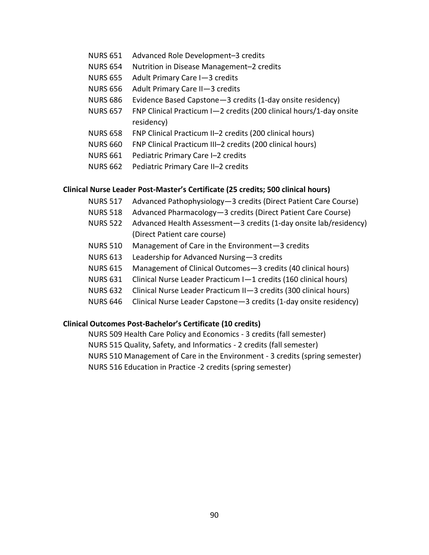- NURS 651 Advanced Role Development–3 credits
- NURS 654 Nutrition in Disease Management–2 credits
- NURS 655 Adult Primary Care I—3 credits
- NURS 656 Adult Primary Care II—3 credits
- NURS 686 Evidence Based Capstone—3 credits (1-day onsite residency)
- NURS 657 FNP Clinical Practicum I—2 credits (200 clinical hours/1-day onsite residency)
- NURS 658 FNP Clinical Practicum II–2 credits (200 clinical hours)
- NURS 660 FNP Clinical Practicum III–2 credits (200 clinical hours)
- NURS 661 Pediatric Primary Care I–2 credits
- NURS 662 Pediatric Primary Care II–2 credits

#### **Clinical Nurse Leader Post-Master's Certificate (25 credits; 500 clinical hours)**

- NURS 517 Advanced Pathophysiology—3 credits (Direct Patient Care Course)
- NURS 518 Advanced Pharmacology—3 credits (Direct Patient Care Course)
- NURS 522 Advanced Health Assessment—3 credits (1-day onsite lab/residency) (Direct Patient care course)
- NURS 510 Management of Care in the Environment—3 credits
- NURS 613 Leadership for Advanced Nursing—3 credits
- NURS 615 Management of Clinical Outcomes—3 credits (40 clinical hours)
- NURS 631 Clinical Nurse Leader Practicum I—1 credits (160 clinical hours)
- NURS 632 Clinical Nurse Leader Practicum II—3 credits (300 clinical hours)
- NURS 646 Clinical Nurse Leader Capstone—3 credits (1-day onsite residency)

#### **Clinical Outcomes Post-Bachelor's Certificate (10 credits)**

NURS 509 Health Care Policy and Economics - 3 credits (fall semester)

- NURS 515 Quality, Safety, and Informatics 2 credits (fall semester)
- NURS 510 Management of Care in the Environment 3 credits (spring semester)

NURS 516 Education in Practice -2 credits (spring semester)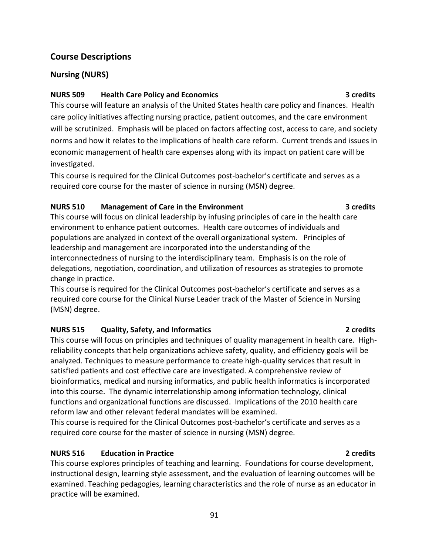#### 91

## **Course Descriptions**

## **Nursing (NURS)**

### **NURS 509 Health Care Policy and Economics 3 credits**

This course will feature an analysis of the United States health care policy and finances. Health care policy initiatives affecting nursing practice, patient outcomes, and the care environment will be scrutinized. Emphasis will be placed on factors affecting cost, access to care, and society norms and how it relates to the implications of health care reform. Current trends and issues in economic management of health care expenses along with its impact on patient care will be investigated.

This course is required for the Clinical Outcomes post-bachelor's certificate and serves as a required core course for the master of science in nursing (MSN) degree.

## **NURS 510 Management of Care in the Environment 3 credits**

This course will focus on clinical leadership by infusing principles of care in the health care environment to enhance patient outcomes. Health care outcomes of individuals and populations are analyzed in context of the overall organizational system. Principles of leadership and management are incorporated into the understanding of the interconnectedness of nursing to the interdisciplinary team. Emphasis is on the role of delegations, negotiation, coordination, and utilization of resources as strategies to promote change in practice.

This course is required for the Clinical Outcomes post-bachelor's certificate and serves as a required core course for the Clinical Nurse Leader track of the Master of Science in Nursing (MSN) degree.

## **NURS 515 Quality, Safety, and Informatics 2 credits**

This course will focus on principles and techniques of quality management in health care. Highreliability concepts that help organizations achieve safety, quality, and efficiency goals will be analyzed. Techniques to measure performance to create high-quality services that result in satisfied patients and cost effective care are investigated. A comprehensive review of bioinformatics, medical and nursing informatics, and public health informatics is incorporated into this course. The dynamic interrelationship among information technology, clinical functions and organizational functions are discussed. Implications of the 2010 health care reform law and other relevant federal mandates will be examined.

This course is required for the Clinical Outcomes post-bachelor's certificate and serves as a required core course for the master of science in nursing (MSN) degree.

## **NURS 516 Education in Practice 2 credits**

This course explores principles of teaching and learning. Foundations for course development, instructional design, learning style assessment, and the evaluation of learning outcomes will be examined. Teaching pedagogies, learning characteristics and the role of nurse as an educator in practice will be examined.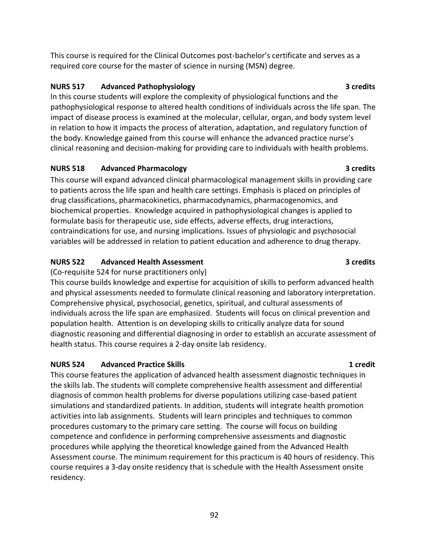This course is required for the Clinical Outcomes post-bachelor's certificate and serves as a required core course for the master of science in nursing (MSN) degree.

## **NURS 517 Advanced Pathophysiology 3 credits**

In this course students will explore the complexity of physiological functions and the pathophysiological response to altered health conditions of individuals across the life span. The impact of disease process is examined at the molecular, cellular, organ, and body system level in relation to how it impacts the process of alteration, adaptation, and regulatory function of the body. Knowledge gained from this course will enhance the advanced practice nurse's clinical reasoning and decision-making for providing care to individuals with health problems.

## **NURS 518 Advanced Pharmacology 3 credits**

This course will expand advanced clinical pharmacological management skills in providing care to patients across the life span and health care settings. Emphasis is placed on principles of drug classifications, pharmacokinetics, pharmacodynamics, pharmacogenomics, and biochemical properties. Knowledge acquired in pathophysiological changes is applied to formulate basis for therapeutic use, side effects, adverse effects, drug interactions, contraindications for use, and nursing implications. Issues of physiologic and psychosocial variables will be addressed in relation to patient education and adherence to drug therapy.

## **NURS 522 Advanced Health Assessment 3 credits**

(Co-requisite 524 for nurse practitioners only)

This course builds knowledge and expertise for acquisition of skills to perform advanced health and physical assessments needed to formulate clinical reasoning and laboratory interpretation. Comprehensive physical, psychosocial, genetics, spiritual, and cultural assessments of individuals across the life span are emphasized. Students will focus on clinical prevention and population health. Attention is on developing skills to critically analyze data for sound diagnostic reasoning and differential diagnosing in order to establish an accurate assessment of health status. This course requires a 2-day onsite lab residency.

## **NURS 524 Advanced Practice Skills 1 credit**

This course features the application of advanced health assessment diagnostic techniques in the skills lab. The students will complete comprehensive health assessment and differential diagnosis of common health problems for diverse populations utilizing case-based patient simulations and standardized patients. In addition, students will integrate health promotion activities into lab assignments. Students will learn principles and techniques to common procedures customary to the primary care setting. The course will focus on building competence and confidence in performing comprehensive assessments and diagnostic procedures while applying the theoretical knowledge gained from the Advanced Health Assessment course. The minimum requirement for this practicum is 40 hours of residency. This course requires a 3-day onsite residency that is schedule with the Health Assessment onsite residency.

92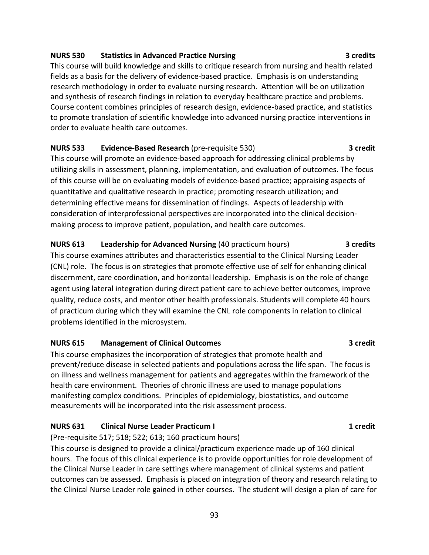#### **NURS 530 Statistics in Advanced Practice Nursing 3 credits 3 credits**

This course will build knowledge and skills to critique research from nursing and health related fields as a basis for the delivery of evidence-based practice. Emphasis is on understanding research methodology in order to evaluate nursing research. Attention will be on utilization and synthesis of research findings in relation to everyday healthcare practice and problems. Course content combines principles of research design, evidence-based practice, and statistics to promote translation of scientific knowledge into advanced nursing practice interventions in order to evaluate health care outcomes.

**NURS 533 Evidence-Based Research** (pre-requisite 530) **3 credit** This course will promote an evidence-based approach for addressing clinical problems by utilizing skills in assessment, planning, implementation, and evaluation of outcomes. The focus of this course will be on evaluating models of evidence-based practice; appraising aspects of quantitative and qualitative research in practice; promoting research utilization; and determining effective means for dissemination of findings. Aspects of leadership with consideration of interprofessional perspectives are incorporated into the clinical decisionmaking process to improve patient, population, and health care outcomes.

**NURS 613 Leadership for Advanced Nursing** (40 practicum hours) **3 credits** This course examines attributes and characteristics essential to the Clinical Nursing Leader (CNL) role. The focus is on strategies that promote effective use of self for enhancing clinical discernment, care coordination, and horizontal leadership. Emphasis is on the role of change agent using lateral integration during direct patient care to achieve better outcomes, improve quality, reduce costs, and mentor other health professionals. Students will complete 40 hours of practicum during which they will examine the CNL role components in relation to clinical problems identified in the microsystem.

#### **NURS 615 Management of Clinical Outcomes 3 credit**

This course emphasizes the incorporation of strategies that promote health and prevent/reduce disease in selected patients and populations across the life span. The focus is on illness and wellness management for patients and aggregates within the framework of the health care environment. Theories of chronic illness are used to manage populations manifesting complex conditions. Principles of epidemiology, biostatistics, and outcome measurements will be incorporated into the risk assessment process.

#### **NURS 631 Clinical Nurse Leader Practicum I 1 2 contract 1 credit 1 credit**

(Pre-requisite 517; 518; 522; 613; 160 practicum hours)

This course is designed to provide a clinical/practicum experience made up of 160 clinical hours. The focus of this clinical experience is to provide opportunities for role development of the Clinical Nurse Leader in care settings where management of clinical systems and patient outcomes can be assessed. Emphasis is placed on integration of theory and research relating to the Clinical Nurse Leader role gained in other courses. The student will design a plan of care for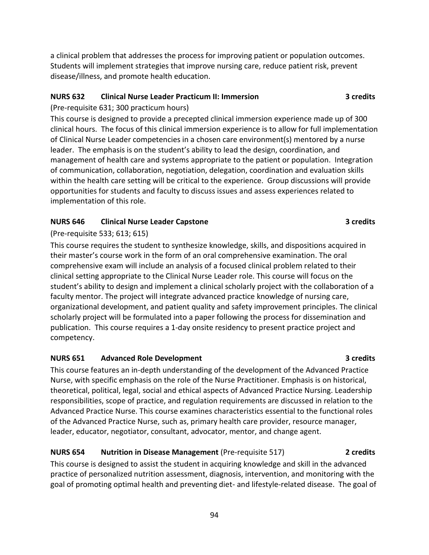a clinical problem that addresses the process for improving patient or population outcomes. Students will implement strategies that improve nursing care, reduce patient risk, prevent disease/illness, and promote health education.

### **NURS 632 Clinical Nurse Leader Practicum II: Immersion 3 credits**

(Pre-requisite 631; 300 practicum hours)

This course is designed to provide a precepted clinical immersion experience made up of 300 clinical hours. The focus of this clinical immersion experience is to allow for full implementation of Clinical Nurse Leader competencies in a chosen care environment(s) mentored by a nurse leader. The emphasis is on the student's ability to lead the design, coordination, and management of health care and systems appropriate to the patient or population. Integration of communication, collaboration, negotiation, delegation, coordination and evaluation skills within the health care setting will be critical to the experience. Group discussions will provide opportunities for students and faculty to discuss issues and assess experiences related to implementation of this role.

## **NURS 646 Clinical Nurse Leader Capstone 3 credits**

(Pre-requisite 533; 613; 615)

This course requires the student to synthesize knowledge, skills, and dispositions acquired in their master's course work in the form of an oral comprehensive examination. The oral comprehensive exam will include an analysis of a focused clinical problem related to their clinical setting appropriate to the Clinical Nurse Leader role. This course will focus on the student's ability to design and implement a clinical scholarly project with the collaboration of a faculty mentor. The project will integrate advanced practice knowledge of nursing care, organizational development, and patient quality and safety improvement principles. The clinical scholarly project will be formulated into a paper following the process for dissemination and publication. This course requires a 1-day onsite residency to present practice project and competency.

## **NURS 651** Advanced Role Development 3 credits

This course features an in-depth understanding of the development of the Advanced Practice Nurse, with specific emphasis on the role of the Nurse Practitioner. Emphasis is on historical, theoretical, political, legal, social and ethical aspects of Advanced Practice Nursing. Leadership responsibilities, scope of practice, and regulation requirements are discussed in relation to the Advanced Practice Nurse. This course examines characteristics essential to the functional roles of the Advanced Practice Nurse, such as, primary health care provider, resource manager, leader, educator, negotiator, consultant, advocator, mentor, and change agent.

## **NURS 654 Nutrition in Disease Management** (Pre-requisite 517) **2 credits**

This course is designed to assist the student in acquiring knowledge and skill in the advanced practice of personalized nutrition assessment, diagnosis, intervention, and monitoring with the goal of promoting optimal health and preventing diet- and lifestyle-related disease. The goal of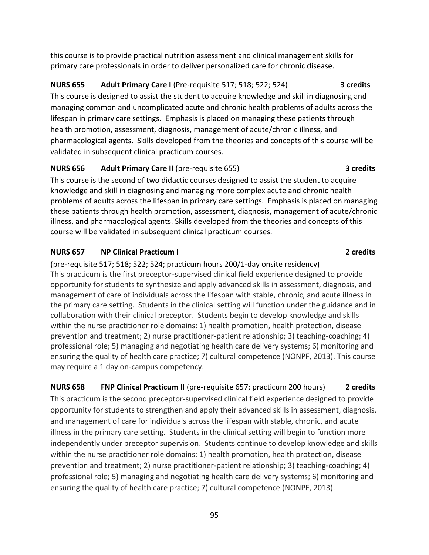this course is to provide practical nutrition assessment and clinical management skills for primary care professionals in order to deliver personalized care for chronic disease.

## **NURS 655 Adult Primary Care I** (Pre-requisite 517; 518; 522; 524) **3 credits** This course is designed to assist the student to acquire knowledge and skill in diagnosing and managing common and uncomplicated acute and chronic health problems of adults across the lifespan in primary care settings. Emphasis is placed on managing these patients through health promotion, assessment, diagnosis, management of acute/chronic illness, and pharmacological agents. Skills developed from the theories and concepts of this course will be validated in subsequent clinical practicum courses.

# **NURS 656 Adult Primary Care II** (pre-requisite 655) **3 credits**

This course is the second of two didactic courses designed to assist the student to acquire knowledge and skill in diagnosing and managing more complex acute and chronic health problems of adults across the lifespan in primary care settings. Emphasis is placed on managing these patients through health promotion, assessment, diagnosis, management of acute/chronic illness, and pharmacological agents. Skills developed from the theories and concepts of this course will be validated in subsequent clinical practicum courses.

## **NURS 657 NP Clinical Practicum I 2 credits**

(pre-requisite 517; 518; 522; 524; practicum hours 200/1-day onsite residency) This practicum is the first preceptor-supervised clinical field experience designed to provide opportunity for students to synthesize and apply advanced skills in assessment, diagnosis, and management of care of individuals across the lifespan with stable, chronic, and acute illness in the primary care setting. Students in the clinical setting will function under the guidance and in collaboration with their clinical preceptor. Students begin to develop knowledge and skills within the nurse practitioner role domains: 1) health promotion, health protection, disease prevention and treatment; 2) nurse practitioner-patient relationship; 3) teaching-coaching; 4) professional role; 5) managing and negotiating health care delivery systems; 6) monitoring and ensuring the quality of health care practice; 7) cultural competence (NONPF, 2013). This course may require a 1 day on-campus competency.

**NURS 658 FNP Clinical Practicum II** (pre-requisite 657; practicum 200 hours) **2 credits** This practicum is the second preceptor-supervised clinical field experience designed to provide opportunity for students to strengthen and apply their advanced skills in assessment, diagnosis, and management of care for individuals across the lifespan with stable, chronic, and acute illness in the primary care setting. Students in the clinical setting will begin to function more independently under preceptor supervision. Students continue to develop knowledge and skills within the nurse practitioner role domains: 1) health promotion, health protection, disease prevention and treatment; 2) nurse practitioner-patient relationship; 3) teaching-coaching; 4) professional role; 5) managing and negotiating health care delivery systems; 6) monitoring and ensuring the quality of health care practice; 7) cultural competence (NONPF, 2013).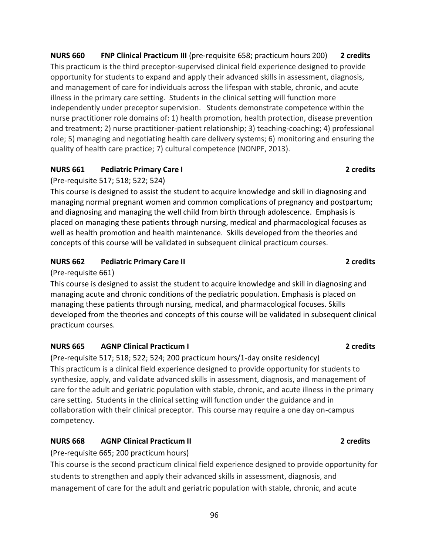**NURS 660 FNP Clinical Practicum III** (pre-requisite 658; practicum hours 200) **2 credits** This practicum is the third preceptor-supervised clinical field experience designed to provide opportunity for students to expand and apply their advanced skills in assessment, diagnosis, and management of care for individuals across the lifespan with stable, chronic, and acute illness in the primary care setting. Students in the clinical setting will function more independently under preceptor supervision. Students demonstrate competence within the nurse practitioner role domains of: 1) health promotion, health protection, disease prevention and treatment; 2) nurse practitioner-patient relationship; 3) teaching-coaching; 4) professional role; 5) managing and negotiating health care delivery systems; 6) monitoring and ensuring the quality of health care practice; 7) cultural competence (NONPF, 2013).

## **NURS 661 Pediatric Primary Care I 2 credits**

(Pre-requisite 517; 518; 522; 524)

This course is designed to assist the student to acquire knowledge and skill in diagnosing and managing normal pregnant women and common complications of pregnancy and postpartum; and diagnosing and managing the well child from birth through adolescence. Emphasis is placed on managing these patients through nursing, medical and pharmacological focuses as well as health promotion and health maintenance. Skills developed from the theories and concepts of this course will be validated in subsequent clinical practicum courses.

## **NURS 662 Pediatric Primary Care II 2 credits**

(Pre-requisite 661)

This course is designed to assist the student to acquire knowledge and skill in diagnosing and managing acute and chronic conditions of the pediatric population. Emphasis is placed on managing these patients through nursing, medical, and pharmacological focuses. Skills developed from the theories and concepts of this course will be validated in subsequent clinical practicum courses.

## **NURS 665 AGNP Clinical Practicum I 2 credits**

(Pre-requisite 517; 518; 522; 524; 200 practicum hours/1-day onsite residency) This practicum is a clinical field experience designed to provide opportunity for students to synthesize, apply, and validate advanced skills in assessment, diagnosis, and management of care for the adult and geriatric population with stable, chronic, and acute illness in the primary care setting. Students in the clinical setting will function under the guidance and in collaboration with their clinical preceptor. This course may require a one day on-campus competency.

## **NURS 668 AGNP Clinical Practicum II 2 credits**

(Pre-requisite 665; 200 practicum hours)

This course is the second practicum clinical field experience designed to provide opportunity for students to strengthen and apply their advanced skills in assessment, diagnosis, and management of care for the adult and geriatric population with stable, chronic, and acute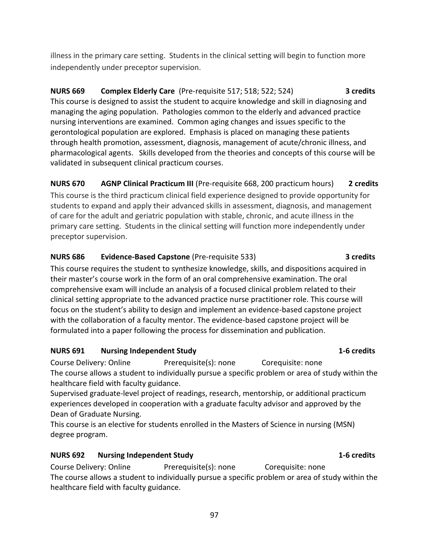illness in the primary care setting. Students in the clinical setting will begin to function more independently under preceptor supervision.

## **NURS 669 Complex Elderly Care** (Pre-requisite 517; 518; 522; 524) **3 credits** This course is designed to assist the student to acquire knowledge and skill in diagnosing and managing the aging population. Pathologies common to the elderly and advanced practice nursing interventions are examined. Common aging changes and issues specific to the gerontological population are explored. Emphasis is placed on managing these patients through health promotion, assessment, diagnosis, management of acute/chronic illness, and pharmacological agents. Skills developed from the theories and concepts of this course will be validated in subsequent clinical practicum courses.

## **NURS 670 AGNP Clinical Practicum III** (Pre-requisite 668, 200 practicum hours) **2 credits**

This course is the third practicum clinical field experience designed to provide opportunity for students to expand and apply their advanced skills in assessment, diagnosis, and management of care for the adult and geriatric population with stable, chronic, and acute illness in the primary care setting. Students in the clinical setting will function more independently under preceptor supervision.

## **NURS 686 Evidence-Based Capstone** (Pre-requisite 533) **3 credits**

This course requires the student to synthesize knowledge, skills, and dispositions acquired in their master's course work in the form of an oral comprehensive examination. The oral comprehensive exam will include an analysis of a focused clinical problem related to their clinical setting appropriate to the advanced practice nurse practitioner role. This course will focus on the student's ability to design and implement an evidence-based capstone project with the collaboration of a faculty mentor. The evidence-based capstone project will be formulated into a paper following the process for dissemination and publication.

## **NURS 691 Nursing Independent Study 1-6 credits**

Course Delivery: Online Prerequisite(s): none Corequisite: none The course allows a student to individually pursue a specific problem or area of study within the healthcare field with faculty guidance.

Supervised graduate-level project of readings, research, mentorship, or additional practicum experiences developed in cooperation with a graduate faculty advisor and approved by the Dean of Graduate Nursing.

This course is an elective for students enrolled in the Masters of Science in nursing (MSN) degree program.

## **NURS 692 Nursing Independent Study 1-6 credits**

Course Delivery: Online Prerequisite(s): none Corequisite: none The course allows a student to individually pursue a specific problem or area of study within the healthcare field with faculty guidance.

### 97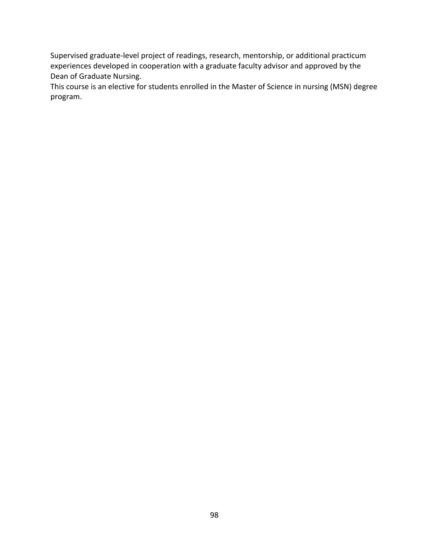Supervised graduate-level project of readings, research, mentorship, or additional practicum experiences developed in cooperation with a graduate faculty advisor and approved by the Dean of Graduate Nursing.

This course is an elective for students enrolled in the Master of Science in nursing (MSN) degree program.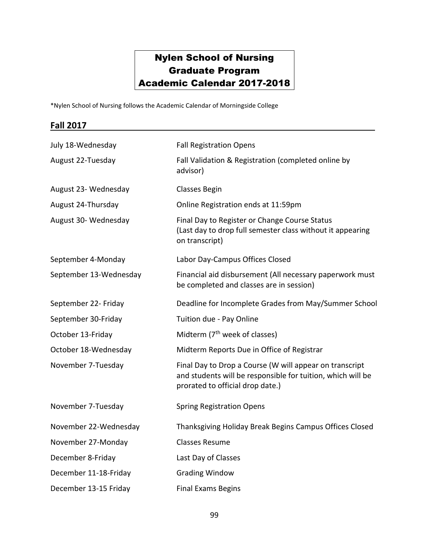# Nylen School of Nursing Graduate Program Academic Calendar 2017-2018

\*Nylen School of Nursing follows the Academic Calendar of Morningside College

### **Fall 2017**

| July 18-Wednesday      | <b>Fall Registration Opens</b>                                                                                                                             |
|------------------------|------------------------------------------------------------------------------------------------------------------------------------------------------------|
| August 22-Tuesday      | Fall Validation & Registration (completed online by<br>advisor)                                                                                            |
| August 23- Wednesday   | <b>Classes Begin</b>                                                                                                                                       |
| August 24-Thursday     | Online Registration ends at 11:59pm                                                                                                                        |
| August 30- Wednesday   | Final Day to Register or Change Course Status<br>(Last day to drop full semester class without it appearing<br>on transcript)                              |
| September 4-Monday     | Labor Day-Campus Offices Closed                                                                                                                            |
| September 13-Wednesday | Financial aid disbursement (All necessary paperwork must<br>be completed and classes are in session)                                                       |
| September 22- Friday   | Deadline for Incomplete Grades from May/Summer School                                                                                                      |
| September 30-Friday    | Tuition due - Pay Online                                                                                                                                   |
| October 13-Friday      | Midterm (7 <sup>th</sup> week of classes)                                                                                                                  |
| October 18-Wednesday   | Midterm Reports Due in Office of Registrar                                                                                                                 |
| November 7-Tuesday     | Final Day to Drop a Course (W will appear on transcript<br>and students will be responsible for tuition, which will be<br>prorated to official drop date.) |
| November 7-Tuesday     | <b>Spring Registration Opens</b>                                                                                                                           |
| November 22-Wednesday  | Thanksgiving Holiday Break Begins Campus Offices Closed                                                                                                    |
| November 27-Monday     | <b>Classes Resume</b>                                                                                                                                      |
| December 8-Friday      | Last Day of Classes                                                                                                                                        |
| December 11-18-Friday  | <b>Grading Window</b>                                                                                                                                      |
| December 13-15 Friday  | <b>Final Exams Begins</b>                                                                                                                                  |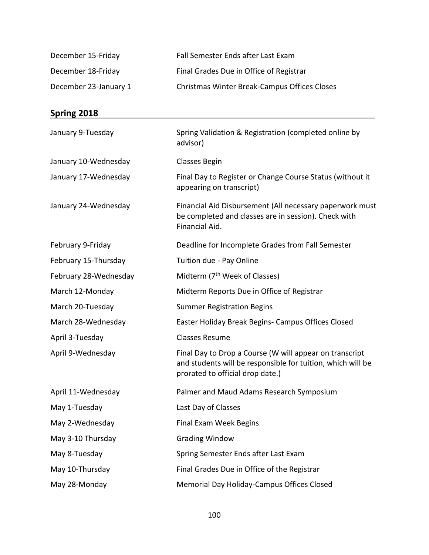| December 15-Friday    | Fall Semester Ends after Last Exam           |
|-----------------------|----------------------------------------------|
| December 18-Friday    | Final Grades Due in Office of Registrar      |
| December 23-January 1 | Christmas Winter Break-Campus Offices Closes |

# **Spring 2018**

| January 9-Tuesday     | Spring Validation & Registration (completed online by<br>advisor)                                                                                          |
|-----------------------|------------------------------------------------------------------------------------------------------------------------------------------------------------|
| January 10-Wednesday  | <b>Classes Begin</b>                                                                                                                                       |
| January 17-Wednesday  | Final Day to Register or Change Course Status (without it<br>appearing on transcript)                                                                      |
| January 24-Wednesday  | Financial Aid Disbursement (All necessary paperwork must<br>be completed and classes are in session). Check with<br>Financial Aid.                         |
| February 9-Friday     | Deadline for Incomplete Grades from Fall Semester                                                                                                          |
| February 15-Thursday  | Tuition due - Pay Online                                                                                                                                   |
| February 28-Wednesday | Midterm (7 <sup>th</sup> Week of Classes)                                                                                                                  |
| March 12-Monday       | Midterm Reports Due in Office of Registrar                                                                                                                 |
| March 20-Tuesday      | <b>Summer Registration Begins</b>                                                                                                                          |
| March 28-Wednesday    | Easter Holiday Break Begins- Campus Offices Closed                                                                                                         |
| April 3-Tuesday       | <b>Classes Resume</b>                                                                                                                                      |
| April 9-Wednesday     | Final Day to Drop a Course (W will appear on transcript<br>and students will be responsible for tuition, which will be<br>prorated to official drop date.) |
| April 11-Wednesday    | Palmer and Maud Adams Research Symposium                                                                                                                   |
| May 1-Tuesday         | Last Day of Classes                                                                                                                                        |
| May 2-Wednesday       | <b>Final Exam Week Begins</b>                                                                                                                              |
| May 3-10 Thursday     | <b>Grading Window</b>                                                                                                                                      |
| May 8-Tuesday         | Spring Semester Ends after Last Exam                                                                                                                       |
| May 10-Thursday       | Final Grades Due in Office of the Registrar                                                                                                                |
| May 28-Monday         | Memorial Day Holiday-Campus Offices Closed                                                                                                                 |